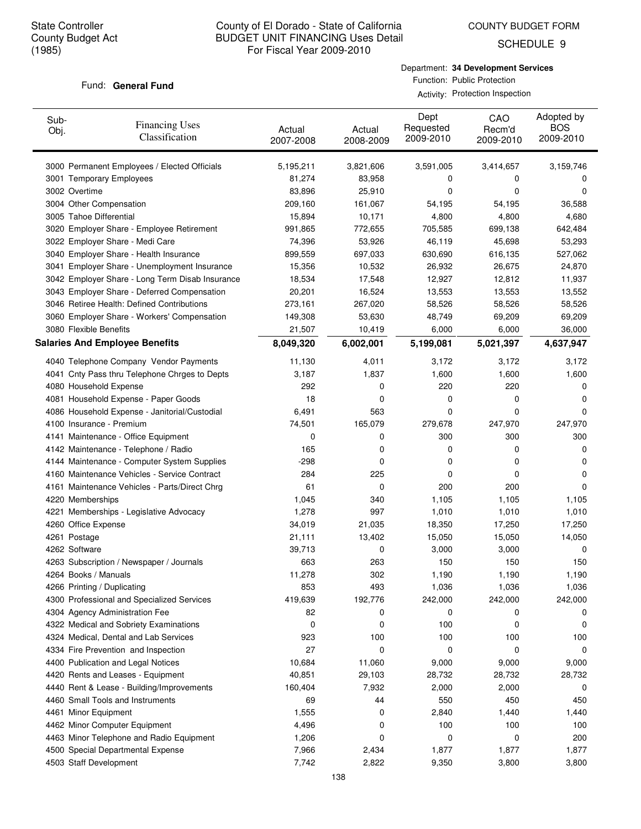SCHEDULE 9

#### Fund: General Fund

Department: **34 Development Services** Function: Public Protection

Activity: Protection Inspection

| Sub-<br>Obj. | <b>Financing Uses</b><br>Classification         | Actual<br>2007-2008 | Actual<br>2008-2009 | Dept<br>Requested<br>2009-2010 | CAO<br>Recm'd<br>2009-2010 | Adopted by<br><b>BOS</b><br>2009-2010 |
|--------------|-------------------------------------------------|---------------------|---------------------|--------------------------------|----------------------------|---------------------------------------|
|              | 3000 Permanent Employees / Elected Officials    | 5,195,211           | 3,821,606           | 3,591,005                      | 3,414,657                  | 3,159,746                             |
|              | 3001 Temporary Employees                        | 81,274              | 83,958              | 0                              | 0                          | 0                                     |
|              | 3002 Overtime                                   | 83,896              | 25,910              | 0                              | 0                          | 0                                     |
|              | 3004 Other Compensation                         | 209,160             | 161,067             | 54,195                         | 54,195                     | 36,588                                |
|              | 3005 Tahoe Differential                         | 15,894              | 10,171              | 4,800                          | 4,800                      | 4,680                                 |
|              | 3020 Employer Share - Employee Retirement       | 991,865             | 772,655             | 705,585                        | 699,138                    | 642,484                               |
|              | 3022 Employer Share - Medi Care                 | 74,396              | 53,926              | 46,119                         | 45,698                     | 53,293                                |
|              | 3040 Employer Share - Health Insurance          | 899,559             | 697,033             | 630,690                        | 616,135                    | 527,062                               |
|              | 3041 Employer Share - Unemployment Insurance    | 15,356              | 10,532              | 26,932                         | 26,675                     | 24,870                                |
|              | 3042 Employer Share - Long Term Disab Insurance | 18,534              | 17,548              | 12,927                         | 12,812                     | 11,937                                |
|              | 3043 Employer Share - Deferred Compensation     | 20,201              | 16,524              | 13,553                         | 13,553                     | 13,552                                |
|              | 3046 Retiree Health: Defined Contributions      | 273,161             | 267,020             | 58,526                         | 58,526                     | 58,526                                |
|              | 3060 Employer Share - Workers' Compensation     | 149,308             | 53,630              | 48,749                         | 69,209                     | 69,209                                |
|              | 3080 Flexible Benefits                          | 21,507              | 10,419              | 6,000                          | 6,000                      | 36,000                                |
|              | <b>Salaries And Employee Benefits</b>           | 8,049,320           | 6,002,001           | 5,199,081                      | 5,021,397                  | 4,637,947                             |
|              | 4040 Telephone Company Vendor Payments          | 11,130              | 4,011               | 3,172                          | 3,172                      | 3,172                                 |
|              | 4041 Cnty Pass thru Telephone Chrges to Depts   | 3,187               | 1,837               | 1,600                          | 1,600                      | 1,600                                 |
|              | 4080 Household Expense                          | 292                 | 0                   | 220                            | 220                        | 0                                     |
|              | 4081 Household Expense - Paper Goods            | 18                  | 0                   | 0                              | 0                          | 0                                     |
|              | 4086 Household Expense - Janitorial/Custodial   | 6,491               | 563                 | 0                              | 0                          | 0                                     |
|              | 4100 Insurance - Premium                        | 74,501              | 165,079             | 279,678                        | 247,970                    | 247,970                               |
|              | 4141 Maintenance - Office Equipment             | 0                   | 0                   | 300                            | 300                        | 300                                   |
|              | 4142 Maintenance - Telephone / Radio            | 165                 | 0                   | 0                              | 0                          | 0                                     |
|              | 4144 Maintenance - Computer System Supplies     | $-298$              | 0                   | 0                              | 0                          | 0                                     |
|              | 4160 Maintenance Vehicles - Service Contract    | 284                 | 225                 | 0                              | 0                          | 0                                     |
|              | 4161 Maintenance Vehicles - Parts/Direct Chrg   | 61                  | 0                   | 200                            | 200                        | 0                                     |
|              | 4220 Memberships                                | 1,045               | 340                 | 1,105                          | 1,105                      | 1,105                                 |
|              | 4221 Memberships - Legislative Advocacy         | 1,278               | 997                 | 1,010                          | 1,010                      | 1,010                                 |
|              | 4260 Office Expense                             | 34,019              | 21,035              | 18,350                         | 17,250                     | 17,250                                |
|              | 4261 Postage                                    | 21,111              | 13,402              | 15,050                         | 15,050                     | 14,050                                |
|              | 4262 Software                                   | 39,713              | 0                   | 3,000                          | 3,000                      | 0                                     |
|              | 4263 Subscription / Newspaper / Journals        | 663                 | 263                 | 150                            | 150                        | 150                                   |
|              | 4264 Books / Manuals                            | 11,278              | 302                 | 1,190                          | 1,190                      | 1,190                                 |
|              | 4266 Printing / Duplicating                     | 853                 | 493                 | 1,036                          | 1,036                      | 1,036                                 |
|              | 4300 Professional and Specialized Services      | 419,639             | 192,776             | 242,000                        | 242,000                    | 242,000                               |
|              | 4304 Agency Administration Fee                  | 82                  | 0                   | 0                              | 0                          | 0                                     |
|              | 4322 Medical and Sobriety Examinations          | 0                   | 0                   | 100                            | 0                          | 0                                     |
|              | 4324 Medical, Dental and Lab Services           | 923                 | 100                 | 100                            | 100                        | 100                                   |
|              | 4334 Fire Prevention and Inspection             | 27                  | 0                   | 0                              | 0                          | 0                                     |
|              | 4400 Publication and Legal Notices              | 10,684              | 11,060              | 9,000                          | 9,000                      | 9,000                                 |
|              | 4420 Rents and Leases - Equipment               | 40,851              | 29,103              | 28,732                         | 28,732                     | 28,732                                |
|              | 4440 Rent & Lease - Building/Improvements       | 160,404             | 7,932               | 2,000                          | 2,000                      | 0                                     |
|              | 4460 Small Tools and Instruments                | 69                  | 44                  | 550                            | 450                        | 450                                   |
|              | 4461 Minor Equipment                            | 1,555               | 0                   | 2,840                          | 1,440                      | 1,440                                 |
|              | 4462 Minor Computer Equipment                   | 4,496               | 0                   | 100                            | 100                        | 100                                   |
|              | 4463 Minor Telephone and Radio Equipment        | 1,206               | 0                   | 0                              | 0                          | 200                                   |
|              | 4500 Special Departmental Expense               | 7,966               | 2,434               | 1,877                          | 1,877                      | 1,877                                 |
|              | 4503 Staff Development                          | 7,742               | 2,822               | 9,350                          | 3,800                      | 3,800                                 |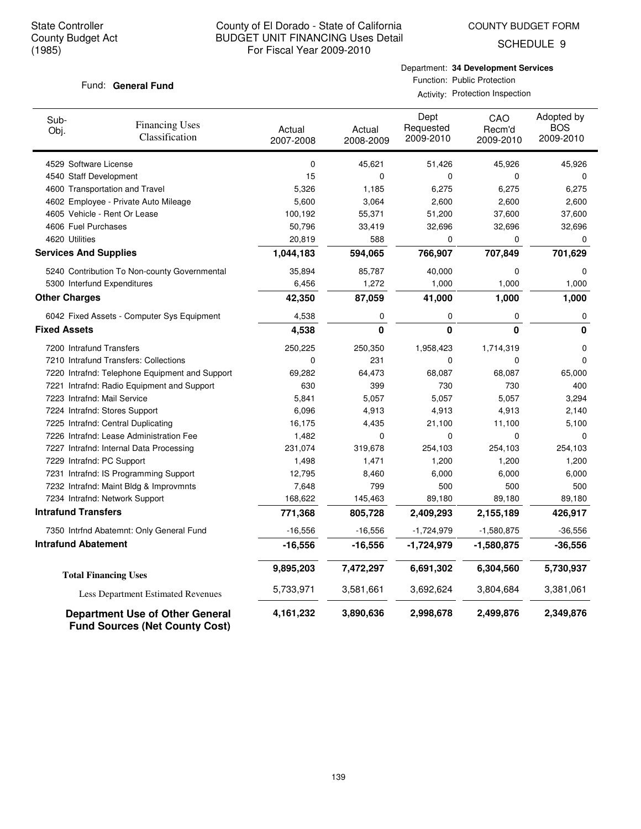COUNTY BUDGET FORM

SCHEDULE 9

#### Fund: General Fund

Department: **34 Development Services** Function: Public Protection Activity: Protection Inspection

| Sub-<br>Obj.                 | <b>Financing Uses</b><br>Classification                                         | Actual<br>2007-2008 | Actual<br>2008-2009 | Dept<br>Requested<br>2009-2010 | CAO<br>Recm'd<br>2009-2010 | Adopted by<br><b>BOS</b><br>2009-2010 |
|------------------------------|---------------------------------------------------------------------------------|---------------------|---------------------|--------------------------------|----------------------------|---------------------------------------|
| 4529 Software License        |                                                                                 | 0                   | 45,621              | 51,426                         | 45,926                     | 45,926                                |
| 4540 Staff Development       |                                                                                 | 15                  | $\mathbf 0$         | 0                              | 0                          | 0                                     |
|                              | 4600 Transportation and Travel                                                  | 5,326               | 1,185               | 6,275                          | 6,275                      | 6,275                                 |
|                              | 4602 Employee - Private Auto Mileage                                            | 5,600               | 3,064               | 2,600                          | 2,600                      | 2,600                                 |
|                              | 4605 Vehicle - Rent Or Lease                                                    | 100,192             | 55,371              | 51,200                         | 37,600                     | 37,600                                |
| 4606 Fuel Purchases          |                                                                                 | 50,796              | 33,419              | 32,696                         | 32,696                     | 32,696                                |
| 4620 Utilities               |                                                                                 | 20,819              | 588                 | 0                              | 0                          | $\Omega$                              |
| <b>Services And Supplies</b> |                                                                                 | 1,044,183           | 594,065             | 766,907                        | 707,849                    | 701,629                               |
|                              | 5240 Contribution To Non-county Governmental                                    | 35,894              | 85,787              | 40,000                         | 0                          | $\Omega$                              |
|                              | 5300 Interfund Expenditures                                                     | 6,456               | 1,272               | 1,000                          | 1,000                      | 1,000                                 |
| <b>Other Charges</b>         |                                                                                 | 42,350              | 87,059              | 41,000                         | 1,000                      | 1,000                                 |
|                              | 6042 Fixed Assets - Computer Sys Equipment                                      | 4,538               | 0                   | 0                              | 0                          | 0                                     |
| <b>Fixed Assets</b>          |                                                                                 | 4,538               | 0                   | 0                              | $\bf{0}$                   | 0                                     |
| 7200 Intrafund Transfers     |                                                                                 | 250,225             | 250,350             | 1,958,423                      | 1,714,319                  | 0                                     |
|                              | 7210 Intrafund Transfers: Collections                                           | 0                   | 231                 | 0                              | $\Omega$                   | $\Omega$                              |
|                              | 7220 Intrafnd: Telephone Equipment and Support                                  | 69,282              | 64,473              | 68,087                         | 68,087                     | 65,000                                |
|                              | 7221 Intrafnd: Radio Equipment and Support                                      | 630                 | 399                 | 730                            | 730                        | 400                                   |
| 7223 Intrafnd: Mail Service  |                                                                                 | 5,841               | 5,057               | 5,057                          | 5,057                      | 3,294                                 |
|                              | 7224 Intrafnd: Stores Support                                                   | 6,096               | 4,913               | 4,913                          | 4,913                      | 2,140                                 |
|                              | 7225 Intrafnd: Central Duplicating                                              | 16,175              | 4,435               | 21,100                         | 11,100                     | 5,100                                 |
|                              | 7226 Intrafnd: Lease Administration Fee                                         | 1,482               | 0                   | 0                              | $\Omega$                   | 0                                     |
|                              | 7227 Intrafnd: Internal Data Processing                                         | 231,074             | 319,678             | 254,103                        | 254,103                    | 254,103                               |
| 7229 Intrafnd: PC Support    |                                                                                 | 1,498               | 1,471               | 1,200                          | 1,200                      | 1,200                                 |
|                              | 7231 Intrafnd: IS Programming Support                                           | 12,795              | 8,460               | 6,000                          | 6,000                      | 6,000                                 |
|                              | 7232 Intrafnd: Maint Bldg & Improvmnts                                          | 7,648               | 799                 | 500                            | 500                        | 500                                   |
|                              | 7234 Intrafnd: Network Support                                                  | 168,622             | 145,463             | 89,180                         | 89,180                     | 89,180                                |
| <b>Intrafund Transfers</b>   |                                                                                 | 771,368             | 805,728             | 2,409,293                      | 2,155,189                  | 426,917                               |
|                              | 7350 Intrfnd Abatemnt: Only General Fund                                        | $-16,556$           | $-16,556$           | $-1,724,979$                   | $-1,580,875$               | $-36,556$                             |
| <b>Intrafund Abatement</b>   |                                                                                 | $-16,556$           | $-16,556$           | $-1,724,979$                   | $-1,580,875$               | $-36,556$                             |
|                              | <b>Total Financing Uses</b>                                                     | 9,895,203           | 7,472,297           | 6,691,302                      | 6,304,560                  | 5,730,937                             |
|                              | Less Department Estimated Revenues                                              | 5,733,971           | 3,581,661           | 3,692,624                      | 3,804,684                  | 3,381,061                             |
|                              | <b>Department Use of Other General</b><br><b>Fund Sources (Net County Cost)</b> | 4, 161, 232         | 3,890,636           | 2,998,678                      | 2,499,876                  | 2,349,876                             |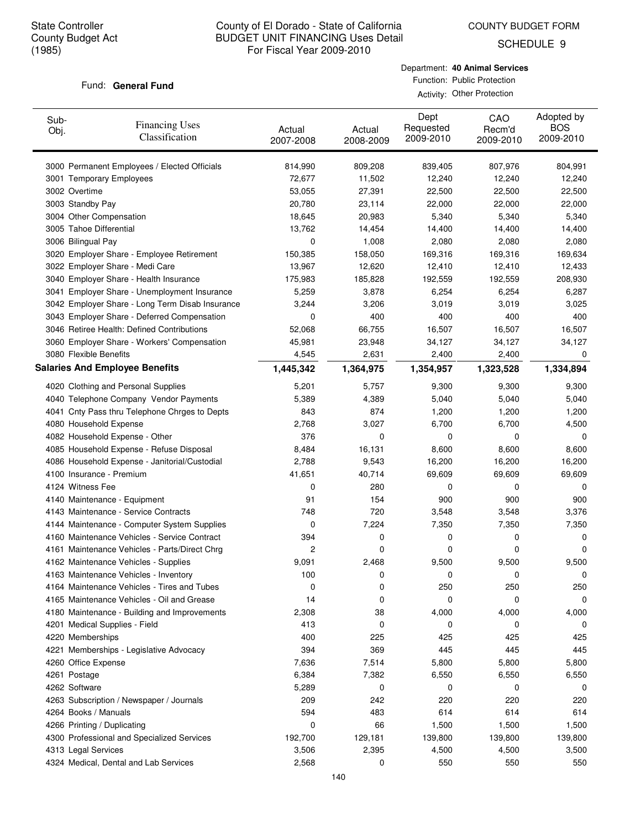COUNTY BUDGET FORM

SCHEDULE 9

#### Fund: General Fund

Department: **40 Animal Services** Function: Public Protection Activity: Other Protection

| 3000 Permanent Employees / Elected Officials<br>807,976<br>804,991<br>814,990<br>809,208<br>839,405<br>3001 Temporary Employees<br>72,677<br>11,502<br>12,240<br>12,240<br>12,240<br>3002 Overtime<br>53,055<br>22,500<br>27,391<br>22,500<br>22,500<br>3003 Standby Pay<br>20,780<br>22,000<br>22,000<br>23,114<br>22,000<br>3004 Other Compensation<br>5,340<br>5,340<br>5,340<br>18,645<br>20,983<br>3005 Tahoe Differential<br>13,762<br>14,454<br>14,400<br>14,400<br>14,400<br>3006 Bilingual Pay<br>0<br>1,008<br>2,080<br>2,080<br>2,080<br>3020 Employer Share - Employee Retirement<br>150,385<br>169,316<br>169,316<br>169,634<br>158,050<br>3022 Employer Share - Medi Care<br>12,410<br>13,967<br>12,620<br>12,410<br>12,433<br>3040 Employer Share - Health Insurance<br>175,983<br>185,828<br>192,559<br>192,559<br>208,930<br>3041 Employer Share - Unemployment Insurance<br>5,259<br>6,254<br>6,287<br>3,878<br>6,254<br>3042 Employer Share - Long Term Disab Insurance<br>3,244<br>3,019<br>3,019<br>3,025<br>3,206<br>400<br>3043 Employer Share - Deferred Compensation<br>400<br>400<br>400<br>0<br>3046 Retiree Health: Defined Contributions<br>66,755<br>16,507<br>16,507<br>52,068<br>16,507<br>3060 Employer Share - Workers' Compensation<br>34,127<br>34,127<br>45,981<br>23,948<br>34,127<br>3080 Flexible Benefits<br>4,545<br>2,631<br>2,400<br>2,400<br>0<br><b>Salaries And Employee Benefits</b><br>1,445,342<br>1,334,894<br>1,364,975<br>1,354,957<br>1,323,528<br>4020 Clothing and Personal Supplies<br>5,201<br>5,757<br>9,300<br>9,300<br>9,300<br>4040 Telephone Company Vendor Payments<br>5,389<br>5,040<br>5,040<br>5,040<br>4,389<br>874<br>4041 Cnty Pass thru Telephone Chrges to Depts<br>843<br>1,200<br>1,200<br>1,200<br>4080 Household Expense<br>2,768<br>3,027<br>6,700<br>6,700<br>4,500<br>376<br>4082 Household Expense - Other<br>0<br>0<br>0<br>0<br>4085 Household Expense - Refuse Disposal<br>8,484<br>16,131<br>8,600<br>8,600<br>8,600<br>2,788<br>4086 Household Expense - Janitorial/Custodial<br>9,543<br>16,200<br>16,200<br>16,200<br>4100 Insurance - Premium<br>41,651<br>40,714<br>69,609<br>69,609<br>69,609<br>4124 Witness Fee<br>0<br>280<br>0<br>0<br>0<br>4140 Maintenance - Equipment<br>91<br>154<br>900<br>900<br>900<br>4143 Maintenance - Service Contracts<br>748<br>720<br>3,548<br>3,548<br>3,376<br>4144 Maintenance - Computer System Supplies<br>0<br>7,224<br>7,350<br>7,350<br>7,350<br>4160 Maintenance Vehicles - Service Contract<br>394<br>0<br>0<br>0<br>0<br>4161 Maintenance Vehicles - Parts/Direct Chrg<br>2<br>0<br>0<br>0<br>0<br>4162 Maintenance Vehicles - Supplies<br>9,091<br>2,468<br>9,500<br>9,500<br>9,500<br>100<br>4163 Maintenance Vehicles - Inventory<br>U<br>U<br>U<br>U<br>250<br>250<br>4164 Maintenance Vehicles - Tires and Tubes<br>0<br>0<br>250<br>4165 Maintenance Vehicles - Oil and Grease<br>14<br>0<br>0<br>0<br>0<br>4180 Maintenance - Building and Improvements<br>2,308<br>38<br>4,000<br>4,000<br>4,000<br>0<br>4201 Medical Supplies - Field<br>413<br>0<br>0<br>0<br>4220 Memberships<br>400<br>225<br>425<br>425<br>425<br>394<br>369<br>445<br>445<br>4221 Memberships - Legislative Advocacy<br>445<br>5,800<br>4260 Office Expense<br>7,636<br>7,514<br>5,800<br>5,800<br>6,550<br>4261 Postage<br>6,384<br>7,382<br>6,550<br>6,550<br>4262 Software<br>5,289<br>0<br>0<br>0<br>0<br>220<br>4263 Subscription / Newspaper / Journals<br>209<br>242<br>220<br>220<br>4264 Books / Manuals<br>594<br>614<br>614<br>483<br>614<br>4266 Printing / Duplicating<br>1,500<br>1,500<br>0<br>66<br>1,500<br>4300 Professional and Specialized Services<br>192,700<br>129,181<br>139,800<br>139,800<br>139,800<br>4,500<br>4313 Legal Services<br>3,506<br>2,395<br>4,500<br>3,500<br>4324 Medical, Dental and Lab Services<br>550<br>550<br>550 | Sub-<br>Obj. | <b>Financing Uses</b><br>Classification | Actual<br>2007-2008 | Actual<br>2008-2009 | Dept<br>Requested<br>2009-2010 | CAO<br>Recm'd<br>2009-2010 | Adopted by<br><b>BOS</b><br>2009-2010 |
|---------------------------------------------------------------------------------------------------------------------------------------------------------------------------------------------------------------------------------------------------------------------------------------------------------------------------------------------------------------------------------------------------------------------------------------------------------------------------------------------------------------------------------------------------------------------------------------------------------------------------------------------------------------------------------------------------------------------------------------------------------------------------------------------------------------------------------------------------------------------------------------------------------------------------------------------------------------------------------------------------------------------------------------------------------------------------------------------------------------------------------------------------------------------------------------------------------------------------------------------------------------------------------------------------------------------------------------------------------------------------------------------------------------------------------------------------------------------------------------------------------------------------------------------------------------------------------------------------------------------------------------------------------------------------------------------------------------------------------------------------------------------------------------------------------------------------------------------------------------------------------------------------------------------------------------------------------------------------------------------------------------------------------------------------------------------------------------------------------------------------------------------------------------------------------------------------------------------------------------------------------------------------------------------------------------------------------------------------------------------------------------------------------------------------------------------------------------------------------------------------------------------------------------------------------------------------------------------------------------------------------------------------------------------------------------------------------------------------------------------------------------------------------------------------------------------------------------------------------------------------------------------------------------------------------------------------------------------------------------------------------------------------------------------------------------------------------------------------------------------------------------------------------------------------------------------------------------------------------------------------------------------------------------------------------------------------------------------------------------------------------------------------------------------------------------------------------------------------------------------------------------------------------------------------------------------------------------------------------------------------------------------------------------------------------------------------------------------------------------------------------------------------------------------------------------------------------------------------------------------------------------|--------------|-----------------------------------------|---------------------|---------------------|--------------------------------|----------------------------|---------------------------------------|
|                                                                                                                                                                                                                                                                                                                                                                                                                                                                                                                                                                                                                                                                                                                                                                                                                                                                                                                                                                                                                                                                                                                                                                                                                                                                                                                                                                                                                                                                                                                                                                                                                                                                                                                                                                                                                                                                                                                                                                                                                                                                                                                                                                                                                                                                                                                                                                                                                                                                                                                                                                                                                                                                                                                                                                                                                                                                                                                                                                                                                                                                                                                                                                                                                                                                                                                                                                                                                                                                                                                                                                                                                                                                                                                                                                                                                                                                                       |              |                                         |                     |                     |                                |                            |                                       |
|                                                                                                                                                                                                                                                                                                                                                                                                                                                                                                                                                                                                                                                                                                                                                                                                                                                                                                                                                                                                                                                                                                                                                                                                                                                                                                                                                                                                                                                                                                                                                                                                                                                                                                                                                                                                                                                                                                                                                                                                                                                                                                                                                                                                                                                                                                                                                                                                                                                                                                                                                                                                                                                                                                                                                                                                                                                                                                                                                                                                                                                                                                                                                                                                                                                                                                                                                                                                                                                                                                                                                                                                                                                                                                                                                                                                                                                                                       |              |                                         |                     |                     |                                |                            |                                       |
|                                                                                                                                                                                                                                                                                                                                                                                                                                                                                                                                                                                                                                                                                                                                                                                                                                                                                                                                                                                                                                                                                                                                                                                                                                                                                                                                                                                                                                                                                                                                                                                                                                                                                                                                                                                                                                                                                                                                                                                                                                                                                                                                                                                                                                                                                                                                                                                                                                                                                                                                                                                                                                                                                                                                                                                                                                                                                                                                                                                                                                                                                                                                                                                                                                                                                                                                                                                                                                                                                                                                                                                                                                                                                                                                                                                                                                                                                       |              |                                         |                     |                     |                                |                            |                                       |
|                                                                                                                                                                                                                                                                                                                                                                                                                                                                                                                                                                                                                                                                                                                                                                                                                                                                                                                                                                                                                                                                                                                                                                                                                                                                                                                                                                                                                                                                                                                                                                                                                                                                                                                                                                                                                                                                                                                                                                                                                                                                                                                                                                                                                                                                                                                                                                                                                                                                                                                                                                                                                                                                                                                                                                                                                                                                                                                                                                                                                                                                                                                                                                                                                                                                                                                                                                                                                                                                                                                                                                                                                                                                                                                                                                                                                                                                                       |              |                                         |                     |                     |                                |                            |                                       |
|                                                                                                                                                                                                                                                                                                                                                                                                                                                                                                                                                                                                                                                                                                                                                                                                                                                                                                                                                                                                                                                                                                                                                                                                                                                                                                                                                                                                                                                                                                                                                                                                                                                                                                                                                                                                                                                                                                                                                                                                                                                                                                                                                                                                                                                                                                                                                                                                                                                                                                                                                                                                                                                                                                                                                                                                                                                                                                                                                                                                                                                                                                                                                                                                                                                                                                                                                                                                                                                                                                                                                                                                                                                                                                                                                                                                                                                                                       |              |                                         |                     |                     |                                |                            |                                       |
|                                                                                                                                                                                                                                                                                                                                                                                                                                                                                                                                                                                                                                                                                                                                                                                                                                                                                                                                                                                                                                                                                                                                                                                                                                                                                                                                                                                                                                                                                                                                                                                                                                                                                                                                                                                                                                                                                                                                                                                                                                                                                                                                                                                                                                                                                                                                                                                                                                                                                                                                                                                                                                                                                                                                                                                                                                                                                                                                                                                                                                                                                                                                                                                                                                                                                                                                                                                                                                                                                                                                                                                                                                                                                                                                                                                                                                                                                       |              |                                         |                     |                     |                                |                            |                                       |
|                                                                                                                                                                                                                                                                                                                                                                                                                                                                                                                                                                                                                                                                                                                                                                                                                                                                                                                                                                                                                                                                                                                                                                                                                                                                                                                                                                                                                                                                                                                                                                                                                                                                                                                                                                                                                                                                                                                                                                                                                                                                                                                                                                                                                                                                                                                                                                                                                                                                                                                                                                                                                                                                                                                                                                                                                                                                                                                                                                                                                                                                                                                                                                                                                                                                                                                                                                                                                                                                                                                                                                                                                                                                                                                                                                                                                                                                                       |              |                                         |                     |                     |                                |                            |                                       |
|                                                                                                                                                                                                                                                                                                                                                                                                                                                                                                                                                                                                                                                                                                                                                                                                                                                                                                                                                                                                                                                                                                                                                                                                                                                                                                                                                                                                                                                                                                                                                                                                                                                                                                                                                                                                                                                                                                                                                                                                                                                                                                                                                                                                                                                                                                                                                                                                                                                                                                                                                                                                                                                                                                                                                                                                                                                                                                                                                                                                                                                                                                                                                                                                                                                                                                                                                                                                                                                                                                                                                                                                                                                                                                                                                                                                                                                                                       |              |                                         |                     |                     |                                |                            |                                       |
|                                                                                                                                                                                                                                                                                                                                                                                                                                                                                                                                                                                                                                                                                                                                                                                                                                                                                                                                                                                                                                                                                                                                                                                                                                                                                                                                                                                                                                                                                                                                                                                                                                                                                                                                                                                                                                                                                                                                                                                                                                                                                                                                                                                                                                                                                                                                                                                                                                                                                                                                                                                                                                                                                                                                                                                                                                                                                                                                                                                                                                                                                                                                                                                                                                                                                                                                                                                                                                                                                                                                                                                                                                                                                                                                                                                                                                                                                       |              |                                         |                     |                     |                                |                            |                                       |
|                                                                                                                                                                                                                                                                                                                                                                                                                                                                                                                                                                                                                                                                                                                                                                                                                                                                                                                                                                                                                                                                                                                                                                                                                                                                                                                                                                                                                                                                                                                                                                                                                                                                                                                                                                                                                                                                                                                                                                                                                                                                                                                                                                                                                                                                                                                                                                                                                                                                                                                                                                                                                                                                                                                                                                                                                                                                                                                                                                                                                                                                                                                                                                                                                                                                                                                                                                                                                                                                                                                                                                                                                                                                                                                                                                                                                                                                                       |              |                                         |                     |                     |                                |                            |                                       |
|                                                                                                                                                                                                                                                                                                                                                                                                                                                                                                                                                                                                                                                                                                                                                                                                                                                                                                                                                                                                                                                                                                                                                                                                                                                                                                                                                                                                                                                                                                                                                                                                                                                                                                                                                                                                                                                                                                                                                                                                                                                                                                                                                                                                                                                                                                                                                                                                                                                                                                                                                                                                                                                                                                                                                                                                                                                                                                                                                                                                                                                                                                                                                                                                                                                                                                                                                                                                                                                                                                                                                                                                                                                                                                                                                                                                                                                                                       |              |                                         |                     |                     |                                |                            |                                       |
|                                                                                                                                                                                                                                                                                                                                                                                                                                                                                                                                                                                                                                                                                                                                                                                                                                                                                                                                                                                                                                                                                                                                                                                                                                                                                                                                                                                                                                                                                                                                                                                                                                                                                                                                                                                                                                                                                                                                                                                                                                                                                                                                                                                                                                                                                                                                                                                                                                                                                                                                                                                                                                                                                                                                                                                                                                                                                                                                                                                                                                                                                                                                                                                                                                                                                                                                                                                                                                                                                                                                                                                                                                                                                                                                                                                                                                                                                       |              |                                         |                     |                     |                                |                            |                                       |
|                                                                                                                                                                                                                                                                                                                                                                                                                                                                                                                                                                                                                                                                                                                                                                                                                                                                                                                                                                                                                                                                                                                                                                                                                                                                                                                                                                                                                                                                                                                                                                                                                                                                                                                                                                                                                                                                                                                                                                                                                                                                                                                                                                                                                                                                                                                                                                                                                                                                                                                                                                                                                                                                                                                                                                                                                                                                                                                                                                                                                                                                                                                                                                                                                                                                                                                                                                                                                                                                                                                                                                                                                                                                                                                                                                                                                                                                                       |              |                                         |                     |                     |                                |                            |                                       |
|                                                                                                                                                                                                                                                                                                                                                                                                                                                                                                                                                                                                                                                                                                                                                                                                                                                                                                                                                                                                                                                                                                                                                                                                                                                                                                                                                                                                                                                                                                                                                                                                                                                                                                                                                                                                                                                                                                                                                                                                                                                                                                                                                                                                                                                                                                                                                                                                                                                                                                                                                                                                                                                                                                                                                                                                                                                                                                                                                                                                                                                                                                                                                                                                                                                                                                                                                                                                                                                                                                                                                                                                                                                                                                                                                                                                                                                                                       |              |                                         |                     |                     |                                |                            |                                       |
|                                                                                                                                                                                                                                                                                                                                                                                                                                                                                                                                                                                                                                                                                                                                                                                                                                                                                                                                                                                                                                                                                                                                                                                                                                                                                                                                                                                                                                                                                                                                                                                                                                                                                                                                                                                                                                                                                                                                                                                                                                                                                                                                                                                                                                                                                                                                                                                                                                                                                                                                                                                                                                                                                                                                                                                                                                                                                                                                                                                                                                                                                                                                                                                                                                                                                                                                                                                                                                                                                                                                                                                                                                                                                                                                                                                                                                                                                       |              |                                         |                     |                     |                                |                            |                                       |
|                                                                                                                                                                                                                                                                                                                                                                                                                                                                                                                                                                                                                                                                                                                                                                                                                                                                                                                                                                                                                                                                                                                                                                                                                                                                                                                                                                                                                                                                                                                                                                                                                                                                                                                                                                                                                                                                                                                                                                                                                                                                                                                                                                                                                                                                                                                                                                                                                                                                                                                                                                                                                                                                                                                                                                                                                                                                                                                                                                                                                                                                                                                                                                                                                                                                                                                                                                                                                                                                                                                                                                                                                                                                                                                                                                                                                                                                                       |              |                                         |                     |                     |                                |                            |                                       |
|                                                                                                                                                                                                                                                                                                                                                                                                                                                                                                                                                                                                                                                                                                                                                                                                                                                                                                                                                                                                                                                                                                                                                                                                                                                                                                                                                                                                                                                                                                                                                                                                                                                                                                                                                                                                                                                                                                                                                                                                                                                                                                                                                                                                                                                                                                                                                                                                                                                                                                                                                                                                                                                                                                                                                                                                                                                                                                                                                                                                                                                                                                                                                                                                                                                                                                                                                                                                                                                                                                                                                                                                                                                                                                                                                                                                                                                                                       |              |                                         |                     |                     |                                |                            |                                       |
|                                                                                                                                                                                                                                                                                                                                                                                                                                                                                                                                                                                                                                                                                                                                                                                                                                                                                                                                                                                                                                                                                                                                                                                                                                                                                                                                                                                                                                                                                                                                                                                                                                                                                                                                                                                                                                                                                                                                                                                                                                                                                                                                                                                                                                                                                                                                                                                                                                                                                                                                                                                                                                                                                                                                                                                                                                                                                                                                                                                                                                                                                                                                                                                                                                                                                                                                                                                                                                                                                                                                                                                                                                                                                                                                                                                                                                                                                       |              |                                         |                     |                     |                                |                            |                                       |
|                                                                                                                                                                                                                                                                                                                                                                                                                                                                                                                                                                                                                                                                                                                                                                                                                                                                                                                                                                                                                                                                                                                                                                                                                                                                                                                                                                                                                                                                                                                                                                                                                                                                                                                                                                                                                                                                                                                                                                                                                                                                                                                                                                                                                                                                                                                                                                                                                                                                                                                                                                                                                                                                                                                                                                                                                                                                                                                                                                                                                                                                                                                                                                                                                                                                                                                                                                                                                                                                                                                                                                                                                                                                                                                                                                                                                                                                                       |              |                                         |                     |                     |                                |                            |                                       |
|                                                                                                                                                                                                                                                                                                                                                                                                                                                                                                                                                                                                                                                                                                                                                                                                                                                                                                                                                                                                                                                                                                                                                                                                                                                                                                                                                                                                                                                                                                                                                                                                                                                                                                                                                                                                                                                                                                                                                                                                                                                                                                                                                                                                                                                                                                                                                                                                                                                                                                                                                                                                                                                                                                                                                                                                                                                                                                                                                                                                                                                                                                                                                                                                                                                                                                                                                                                                                                                                                                                                                                                                                                                                                                                                                                                                                                                                                       |              |                                         |                     |                     |                                |                            |                                       |
|                                                                                                                                                                                                                                                                                                                                                                                                                                                                                                                                                                                                                                                                                                                                                                                                                                                                                                                                                                                                                                                                                                                                                                                                                                                                                                                                                                                                                                                                                                                                                                                                                                                                                                                                                                                                                                                                                                                                                                                                                                                                                                                                                                                                                                                                                                                                                                                                                                                                                                                                                                                                                                                                                                                                                                                                                                                                                                                                                                                                                                                                                                                                                                                                                                                                                                                                                                                                                                                                                                                                                                                                                                                                                                                                                                                                                                                                                       |              |                                         |                     |                     |                                |                            |                                       |
|                                                                                                                                                                                                                                                                                                                                                                                                                                                                                                                                                                                                                                                                                                                                                                                                                                                                                                                                                                                                                                                                                                                                                                                                                                                                                                                                                                                                                                                                                                                                                                                                                                                                                                                                                                                                                                                                                                                                                                                                                                                                                                                                                                                                                                                                                                                                                                                                                                                                                                                                                                                                                                                                                                                                                                                                                                                                                                                                                                                                                                                                                                                                                                                                                                                                                                                                                                                                                                                                                                                                                                                                                                                                                                                                                                                                                                                                                       |              |                                         |                     |                     |                                |                            |                                       |
|                                                                                                                                                                                                                                                                                                                                                                                                                                                                                                                                                                                                                                                                                                                                                                                                                                                                                                                                                                                                                                                                                                                                                                                                                                                                                                                                                                                                                                                                                                                                                                                                                                                                                                                                                                                                                                                                                                                                                                                                                                                                                                                                                                                                                                                                                                                                                                                                                                                                                                                                                                                                                                                                                                                                                                                                                                                                                                                                                                                                                                                                                                                                                                                                                                                                                                                                                                                                                                                                                                                                                                                                                                                                                                                                                                                                                                                                                       |              |                                         |                     |                     |                                |                            |                                       |
|                                                                                                                                                                                                                                                                                                                                                                                                                                                                                                                                                                                                                                                                                                                                                                                                                                                                                                                                                                                                                                                                                                                                                                                                                                                                                                                                                                                                                                                                                                                                                                                                                                                                                                                                                                                                                                                                                                                                                                                                                                                                                                                                                                                                                                                                                                                                                                                                                                                                                                                                                                                                                                                                                                                                                                                                                                                                                                                                                                                                                                                                                                                                                                                                                                                                                                                                                                                                                                                                                                                                                                                                                                                                                                                                                                                                                                                                                       |              |                                         |                     |                     |                                |                            |                                       |
|                                                                                                                                                                                                                                                                                                                                                                                                                                                                                                                                                                                                                                                                                                                                                                                                                                                                                                                                                                                                                                                                                                                                                                                                                                                                                                                                                                                                                                                                                                                                                                                                                                                                                                                                                                                                                                                                                                                                                                                                                                                                                                                                                                                                                                                                                                                                                                                                                                                                                                                                                                                                                                                                                                                                                                                                                                                                                                                                                                                                                                                                                                                                                                                                                                                                                                                                                                                                                                                                                                                                                                                                                                                                                                                                                                                                                                                                                       |              |                                         |                     |                     |                                |                            |                                       |
|                                                                                                                                                                                                                                                                                                                                                                                                                                                                                                                                                                                                                                                                                                                                                                                                                                                                                                                                                                                                                                                                                                                                                                                                                                                                                                                                                                                                                                                                                                                                                                                                                                                                                                                                                                                                                                                                                                                                                                                                                                                                                                                                                                                                                                                                                                                                                                                                                                                                                                                                                                                                                                                                                                                                                                                                                                                                                                                                                                                                                                                                                                                                                                                                                                                                                                                                                                                                                                                                                                                                                                                                                                                                                                                                                                                                                                                                                       |              |                                         |                     |                     |                                |                            |                                       |
|                                                                                                                                                                                                                                                                                                                                                                                                                                                                                                                                                                                                                                                                                                                                                                                                                                                                                                                                                                                                                                                                                                                                                                                                                                                                                                                                                                                                                                                                                                                                                                                                                                                                                                                                                                                                                                                                                                                                                                                                                                                                                                                                                                                                                                                                                                                                                                                                                                                                                                                                                                                                                                                                                                                                                                                                                                                                                                                                                                                                                                                                                                                                                                                                                                                                                                                                                                                                                                                                                                                                                                                                                                                                                                                                                                                                                                                                                       |              |                                         |                     |                     |                                |                            |                                       |
|                                                                                                                                                                                                                                                                                                                                                                                                                                                                                                                                                                                                                                                                                                                                                                                                                                                                                                                                                                                                                                                                                                                                                                                                                                                                                                                                                                                                                                                                                                                                                                                                                                                                                                                                                                                                                                                                                                                                                                                                                                                                                                                                                                                                                                                                                                                                                                                                                                                                                                                                                                                                                                                                                                                                                                                                                                                                                                                                                                                                                                                                                                                                                                                                                                                                                                                                                                                                                                                                                                                                                                                                                                                                                                                                                                                                                                                                                       |              |                                         |                     |                     |                                |                            |                                       |
|                                                                                                                                                                                                                                                                                                                                                                                                                                                                                                                                                                                                                                                                                                                                                                                                                                                                                                                                                                                                                                                                                                                                                                                                                                                                                                                                                                                                                                                                                                                                                                                                                                                                                                                                                                                                                                                                                                                                                                                                                                                                                                                                                                                                                                                                                                                                                                                                                                                                                                                                                                                                                                                                                                                                                                                                                                                                                                                                                                                                                                                                                                                                                                                                                                                                                                                                                                                                                                                                                                                                                                                                                                                                                                                                                                                                                                                                                       |              |                                         |                     |                     |                                |                            |                                       |
|                                                                                                                                                                                                                                                                                                                                                                                                                                                                                                                                                                                                                                                                                                                                                                                                                                                                                                                                                                                                                                                                                                                                                                                                                                                                                                                                                                                                                                                                                                                                                                                                                                                                                                                                                                                                                                                                                                                                                                                                                                                                                                                                                                                                                                                                                                                                                                                                                                                                                                                                                                                                                                                                                                                                                                                                                                                                                                                                                                                                                                                                                                                                                                                                                                                                                                                                                                                                                                                                                                                                                                                                                                                                                                                                                                                                                                                                                       |              |                                         |                     |                     |                                |                            |                                       |
|                                                                                                                                                                                                                                                                                                                                                                                                                                                                                                                                                                                                                                                                                                                                                                                                                                                                                                                                                                                                                                                                                                                                                                                                                                                                                                                                                                                                                                                                                                                                                                                                                                                                                                                                                                                                                                                                                                                                                                                                                                                                                                                                                                                                                                                                                                                                                                                                                                                                                                                                                                                                                                                                                                                                                                                                                                                                                                                                                                                                                                                                                                                                                                                                                                                                                                                                                                                                                                                                                                                                                                                                                                                                                                                                                                                                                                                                                       |              |                                         |                     |                     |                                |                            |                                       |
|                                                                                                                                                                                                                                                                                                                                                                                                                                                                                                                                                                                                                                                                                                                                                                                                                                                                                                                                                                                                                                                                                                                                                                                                                                                                                                                                                                                                                                                                                                                                                                                                                                                                                                                                                                                                                                                                                                                                                                                                                                                                                                                                                                                                                                                                                                                                                                                                                                                                                                                                                                                                                                                                                                                                                                                                                                                                                                                                                                                                                                                                                                                                                                                                                                                                                                                                                                                                                                                                                                                                                                                                                                                                                                                                                                                                                                                                                       |              |                                         |                     |                     |                                |                            |                                       |
|                                                                                                                                                                                                                                                                                                                                                                                                                                                                                                                                                                                                                                                                                                                                                                                                                                                                                                                                                                                                                                                                                                                                                                                                                                                                                                                                                                                                                                                                                                                                                                                                                                                                                                                                                                                                                                                                                                                                                                                                                                                                                                                                                                                                                                                                                                                                                                                                                                                                                                                                                                                                                                                                                                                                                                                                                                                                                                                                                                                                                                                                                                                                                                                                                                                                                                                                                                                                                                                                                                                                                                                                                                                                                                                                                                                                                                                                                       |              |                                         |                     |                     |                                |                            |                                       |
|                                                                                                                                                                                                                                                                                                                                                                                                                                                                                                                                                                                                                                                                                                                                                                                                                                                                                                                                                                                                                                                                                                                                                                                                                                                                                                                                                                                                                                                                                                                                                                                                                                                                                                                                                                                                                                                                                                                                                                                                                                                                                                                                                                                                                                                                                                                                                                                                                                                                                                                                                                                                                                                                                                                                                                                                                                                                                                                                                                                                                                                                                                                                                                                                                                                                                                                                                                                                                                                                                                                                                                                                                                                                                                                                                                                                                                                                                       |              |                                         |                     |                     |                                |                            |                                       |
|                                                                                                                                                                                                                                                                                                                                                                                                                                                                                                                                                                                                                                                                                                                                                                                                                                                                                                                                                                                                                                                                                                                                                                                                                                                                                                                                                                                                                                                                                                                                                                                                                                                                                                                                                                                                                                                                                                                                                                                                                                                                                                                                                                                                                                                                                                                                                                                                                                                                                                                                                                                                                                                                                                                                                                                                                                                                                                                                                                                                                                                                                                                                                                                                                                                                                                                                                                                                                                                                                                                                                                                                                                                                                                                                                                                                                                                                                       |              |                                         |                     |                     |                                |                            |                                       |
|                                                                                                                                                                                                                                                                                                                                                                                                                                                                                                                                                                                                                                                                                                                                                                                                                                                                                                                                                                                                                                                                                                                                                                                                                                                                                                                                                                                                                                                                                                                                                                                                                                                                                                                                                                                                                                                                                                                                                                                                                                                                                                                                                                                                                                                                                                                                                                                                                                                                                                                                                                                                                                                                                                                                                                                                                                                                                                                                                                                                                                                                                                                                                                                                                                                                                                                                                                                                                                                                                                                                                                                                                                                                                                                                                                                                                                                                                       |              |                                         |                     |                     |                                |                            |                                       |
|                                                                                                                                                                                                                                                                                                                                                                                                                                                                                                                                                                                                                                                                                                                                                                                                                                                                                                                                                                                                                                                                                                                                                                                                                                                                                                                                                                                                                                                                                                                                                                                                                                                                                                                                                                                                                                                                                                                                                                                                                                                                                                                                                                                                                                                                                                                                                                                                                                                                                                                                                                                                                                                                                                                                                                                                                                                                                                                                                                                                                                                                                                                                                                                                                                                                                                                                                                                                                                                                                                                                                                                                                                                                                                                                                                                                                                                                                       |              |                                         |                     |                     |                                |                            |                                       |
|                                                                                                                                                                                                                                                                                                                                                                                                                                                                                                                                                                                                                                                                                                                                                                                                                                                                                                                                                                                                                                                                                                                                                                                                                                                                                                                                                                                                                                                                                                                                                                                                                                                                                                                                                                                                                                                                                                                                                                                                                                                                                                                                                                                                                                                                                                                                                                                                                                                                                                                                                                                                                                                                                                                                                                                                                                                                                                                                                                                                                                                                                                                                                                                                                                                                                                                                                                                                                                                                                                                                                                                                                                                                                                                                                                                                                                                                                       |              |                                         |                     |                     |                                |                            |                                       |
|                                                                                                                                                                                                                                                                                                                                                                                                                                                                                                                                                                                                                                                                                                                                                                                                                                                                                                                                                                                                                                                                                                                                                                                                                                                                                                                                                                                                                                                                                                                                                                                                                                                                                                                                                                                                                                                                                                                                                                                                                                                                                                                                                                                                                                                                                                                                                                                                                                                                                                                                                                                                                                                                                                                                                                                                                                                                                                                                                                                                                                                                                                                                                                                                                                                                                                                                                                                                                                                                                                                                                                                                                                                                                                                                                                                                                                                                                       |              |                                         |                     |                     |                                |                            |                                       |
|                                                                                                                                                                                                                                                                                                                                                                                                                                                                                                                                                                                                                                                                                                                                                                                                                                                                                                                                                                                                                                                                                                                                                                                                                                                                                                                                                                                                                                                                                                                                                                                                                                                                                                                                                                                                                                                                                                                                                                                                                                                                                                                                                                                                                                                                                                                                                                                                                                                                                                                                                                                                                                                                                                                                                                                                                                                                                                                                                                                                                                                                                                                                                                                                                                                                                                                                                                                                                                                                                                                                                                                                                                                                                                                                                                                                                                                                                       |              |                                         |                     |                     |                                |                            |                                       |
|                                                                                                                                                                                                                                                                                                                                                                                                                                                                                                                                                                                                                                                                                                                                                                                                                                                                                                                                                                                                                                                                                                                                                                                                                                                                                                                                                                                                                                                                                                                                                                                                                                                                                                                                                                                                                                                                                                                                                                                                                                                                                                                                                                                                                                                                                                                                                                                                                                                                                                                                                                                                                                                                                                                                                                                                                                                                                                                                                                                                                                                                                                                                                                                                                                                                                                                                                                                                                                                                                                                                                                                                                                                                                                                                                                                                                                                                                       |              |                                         |                     |                     |                                |                            |                                       |
|                                                                                                                                                                                                                                                                                                                                                                                                                                                                                                                                                                                                                                                                                                                                                                                                                                                                                                                                                                                                                                                                                                                                                                                                                                                                                                                                                                                                                                                                                                                                                                                                                                                                                                                                                                                                                                                                                                                                                                                                                                                                                                                                                                                                                                                                                                                                                                                                                                                                                                                                                                                                                                                                                                                                                                                                                                                                                                                                                                                                                                                                                                                                                                                                                                                                                                                                                                                                                                                                                                                                                                                                                                                                                                                                                                                                                                                                                       |              |                                         |                     |                     |                                |                            |                                       |
|                                                                                                                                                                                                                                                                                                                                                                                                                                                                                                                                                                                                                                                                                                                                                                                                                                                                                                                                                                                                                                                                                                                                                                                                                                                                                                                                                                                                                                                                                                                                                                                                                                                                                                                                                                                                                                                                                                                                                                                                                                                                                                                                                                                                                                                                                                                                                                                                                                                                                                                                                                                                                                                                                                                                                                                                                                                                                                                                                                                                                                                                                                                                                                                                                                                                                                                                                                                                                                                                                                                                                                                                                                                                                                                                                                                                                                                                                       |              |                                         |                     |                     |                                |                            |                                       |
|                                                                                                                                                                                                                                                                                                                                                                                                                                                                                                                                                                                                                                                                                                                                                                                                                                                                                                                                                                                                                                                                                                                                                                                                                                                                                                                                                                                                                                                                                                                                                                                                                                                                                                                                                                                                                                                                                                                                                                                                                                                                                                                                                                                                                                                                                                                                                                                                                                                                                                                                                                                                                                                                                                                                                                                                                                                                                                                                                                                                                                                                                                                                                                                                                                                                                                                                                                                                                                                                                                                                                                                                                                                                                                                                                                                                                                                                                       |              |                                         |                     |                     |                                |                            |                                       |
|                                                                                                                                                                                                                                                                                                                                                                                                                                                                                                                                                                                                                                                                                                                                                                                                                                                                                                                                                                                                                                                                                                                                                                                                                                                                                                                                                                                                                                                                                                                                                                                                                                                                                                                                                                                                                                                                                                                                                                                                                                                                                                                                                                                                                                                                                                                                                                                                                                                                                                                                                                                                                                                                                                                                                                                                                                                                                                                                                                                                                                                                                                                                                                                                                                                                                                                                                                                                                                                                                                                                                                                                                                                                                                                                                                                                                                                                                       |              |                                         |                     |                     |                                |                            |                                       |
|                                                                                                                                                                                                                                                                                                                                                                                                                                                                                                                                                                                                                                                                                                                                                                                                                                                                                                                                                                                                                                                                                                                                                                                                                                                                                                                                                                                                                                                                                                                                                                                                                                                                                                                                                                                                                                                                                                                                                                                                                                                                                                                                                                                                                                                                                                                                                                                                                                                                                                                                                                                                                                                                                                                                                                                                                                                                                                                                                                                                                                                                                                                                                                                                                                                                                                                                                                                                                                                                                                                                                                                                                                                                                                                                                                                                                                                                                       |              |                                         |                     |                     |                                |                            |                                       |
|                                                                                                                                                                                                                                                                                                                                                                                                                                                                                                                                                                                                                                                                                                                                                                                                                                                                                                                                                                                                                                                                                                                                                                                                                                                                                                                                                                                                                                                                                                                                                                                                                                                                                                                                                                                                                                                                                                                                                                                                                                                                                                                                                                                                                                                                                                                                                                                                                                                                                                                                                                                                                                                                                                                                                                                                                                                                                                                                                                                                                                                                                                                                                                                                                                                                                                                                                                                                                                                                                                                                                                                                                                                                                                                                                                                                                                                                                       |              |                                         |                     |                     |                                |                            |                                       |
|                                                                                                                                                                                                                                                                                                                                                                                                                                                                                                                                                                                                                                                                                                                                                                                                                                                                                                                                                                                                                                                                                                                                                                                                                                                                                                                                                                                                                                                                                                                                                                                                                                                                                                                                                                                                                                                                                                                                                                                                                                                                                                                                                                                                                                                                                                                                                                                                                                                                                                                                                                                                                                                                                                                                                                                                                                                                                                                                                                                                                                                                                                                                                                                                                                                                                                                                                                                                                                                                                                                                                                                                                                                                                                                                                                                                                                                                                       |              |                                         | 2,568               | 0                   |                                |                            |                                       |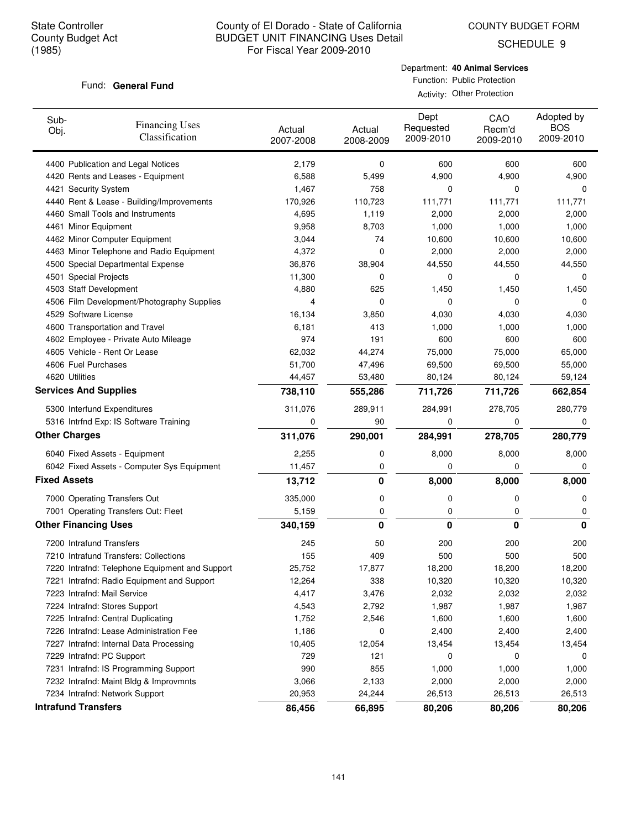COUNTY BUDGET FORM

SCHEDULE 9

#### Fund: General Fund

Department: **40 Animal Services** Function: Public Protection Activity: Other Protection

| Sub-<br>Obj.        | <b>Financing Uses</b><br>Classification        | Actual<br>2007-2008 | Actual<br>2008-2009 | Dept<br>Requested<br>2009-2010 | CAO<br>Recm'd<br>2009-2010 | Adopted by<br><b>BOS</b><br>2009-2010 |
|---------------------|------------------------------------------------|---------------------|---------------------|--------------------------------|----------------------------|---------------------------------------|
|                     | 4400 Publication and Legal Notices             | 2,179               | 0                   | 600                            | 600                        | 600                                   |
|                     | 4420 Rents and Leases - Equipment              | 6,588               | 5,499               | 4,900                          | 4,900                      | 4,900                                 |
|                     | 4421 Security System                           | 1,467               | 758                 | 0                              | 0                          | 0                                     |
|                     | 4440 Rent & Lease - Building/Improvements      | 170,926             | 110,723             | 111,771                        | 111,771                    | 111,771                               |
|                     | 4460 Small Tools and Instruments               | 4,695               | 1,119               | 2,000                          | 2,000                      | 2,000                                 |
|                     | 4461 Minor Equipment                           | 9,958               | 8,703               | 1,000                          | 1,000                      | 1,000                                 |
|                     | 4462 Minor Computer Equipment                  | 3,044               | 74                  | 10,600                         | 10,600                     | 10,600                                |
|                     | 4463 Minor Telephone and Radio Equipment       | 4,372               | 0                   | 2,000                          | 2,000                      | 2,000                                 |
|                     | 4500 Special Departmental Expense              | 36,876              | 38,904              | 44,550                         | 44,550                     | 44,550                                |
|                     | 4501 Special Projects                          | 11,300              | 0                   | 0                              | 0                          | 0                                     |
|                     | 4503 Staff Development                         | 4,880               | 625                 | 1,450                          | 1,450                      | 1,450                                 |
|                     | 4506 Film Development/Photography Supplies     | 4                   | 0                   | 0                              | 0                          | 0                                     |
|                     | 4529 Software License                          | 16,134              | 3,850               | 4,030                          | 4,030                      | 4,030                                 |
|                     | 4600 Transportation and Travel                 | 6,181               | 413                 | 1,000                          | 1,000                      | 1,000                                 |
|                     | 4602 Employee - Private Auto Mileage           | 974                 | 191                 | 600                            | 600                        | 600                                   |
|                     | 4605 Vehicle - Rent Or Lease                   | 62,032              | 44,274              | 75,000                         | 75,000                     | 65,000                                |
|                     | 4606 Fuel Purchases                            | 51,700              | 47,496              | 69,500                         | 69,500                     | 55,000                                |
|                     | 4620 Utilities                                 | 44,457              | 53,480              | 80,124                         | 80,124                     | 59,124                                |
|                     | <b>Services And Supplies</b>                   | 738,110             | 555,286             | 711,726                        | 711,726                    | 662,854                               |
|                     | 5300 Interfund Expenditures                    | 311,076             | 289,911             | 284,991                        | 278,705                    | 280,779                               |
|                     | 5316 Intrfnd Exp: IS Software Training         | 0                   | 90                  | 0                              | 0                          | $\Omega$                              |
|                     | <b>Other Charges</b>                           | 311,076             | 290,001             | 284,991                        | 278,705                    | 280,779                               |
|                     | 6040 Fixed Assets - Equipment                  | 2,255               | 0                   | 8,000                          | 8,000                      | 8,000                                 |
|                     | 6042 Fixed Assets - Computer Sys Equipment     | 11,457              | 0                   | 0                              | 0                          | 0                                     |
| <b>Fixed Assets</b> |                                                | 13,712              | 0                   | 8,000                          | 8,000                      | 8,000                                 |
|                     | 7000 Operating Transfers Out                   | 335,000             | 0                   | 0                              | 0                          | 0                                     |
|                     | 7001 Operating Transfers Out: Fleet            | 5,159               | 0                   | 0                              | 0                          | 0                                     |
|                     | <b>Other Financing Uses</b>                    | 340,159             | 0                   | 0                              | 0                          | 0                                     |
|                     | 7200 Intrafund Transfers                       | 245                 | 50                  | 200                            | 200                        | 200                                   |
|                     | 7210 Intrafund Transfers: Collections          | 155                 | 409                 | 500                            | 500                        | 500                                   |
|                     | 7220 Intrafnd: Telephone Equipment and Support | 25,752              | 17,877              | 18,200                         | 18,200                     | 18,200                                |
|                     | 7221 Intrafnd: Radio Equipment and Support     | 12,264              | 338                 | 10,320                         | 10,320                     | 10,320                                |
|                     | 7223 Intrafnd: Mail Service                    | 4,417               | 3,476               | 2,032                          | 2,032                      | 2,032                                 |
|                     | 7224 Intrafnd: Stores Support                  | 4,543               | 2,792               | 1,987                          | 1,987                      | 1,987                                 |
|                     | 7225 Intrafnd: Central Duplicating             | 1,752               | 2,546               | 1,600                          | 1,600                      | 1,600                                 |
|                     | 7226 Intrafnd: Lease Administration Fee        | 1,186               | 0                   | 2,400                          | 2,400                      | 2,400                                 |
|                     | 7227 Intrafnd: Internal Data Processing        | 10,405              | 12,054              | 13,454                         | 13,454                     | 13,454                                |
|                     | 7229 Intrafnd: PC Support                      | 729                 | 121                 | 0                              | 0                          | 0                                     |
|                     | 7231 Intrafnd: IS Programming Support          | 990                 | 855                 | 1,000                          | 1,000                      | 1,000                                 |
|                     | 7232 Intrafnd: Maint Bldg & Improvmnts         | 3,066               | 2,133               | 2,000                          | 2,000                      | 2,000                                 |
|                     | 7234 Intrafnd: Network Support                 | 20,953              | 24,244              | 26,513                         | 26,513                     | 26,513                                |
|                     | <b>Intrafund Transfers</b>                     | 86,456              | 66,895              | 80,206                         | 80,206                     | 80,206                                |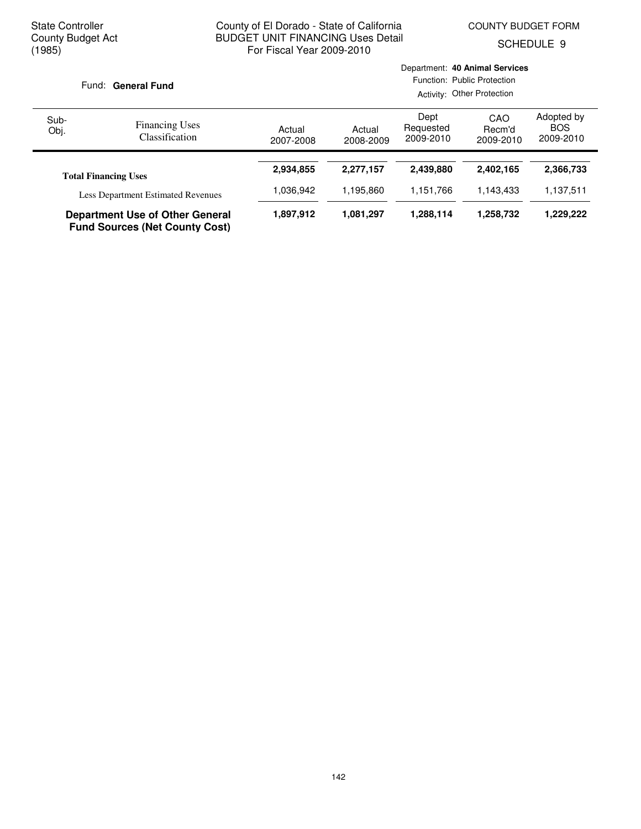Department: **40 Animal Services**

SCHEDULE 9

| Fund: General Fund |                                                                                 |                     | Function: Public Protection<br>Activity: Other Protection |                                |                            |                                       |  |
|--------------------|---------------------------------------------------------------------------------|---------------------|-----------------------------------------------------------|--------------------------------|----------------------------|---------------------------------------|--|
| Sub-<br>Obj.       | <b>Financing Uses</b><br><b>Classification</b>                                  | Actual<br>2007-2008 | Actual<br>2008-2009                                       | Dept<br>Requested<br>2009-2010 | CAO<br>Recm'd<br>2009-2010 | Adopted by<br><b>BOS</b><br>2009-2010 |  |
|                    | <b>Total Financing Uses</b>                                                     | 2,934,855           | 2,277,157                                                 | 2,439,880                      | 2,402,165                  | 2,366,733                             |  |
|                    | <b>Less Department Estimated Revenues</b>                                       | 1,036,942           | 1.195.860                                                 | 1,151,766                      | 1.143.433                  | 1,137,511                             |  |
|                    | <b>Department Use of Other General</b><br><b>Fund Sources (Net County Cost)</b> | 1,897,912           | 1,081,297                                                 | 1,288,114                      | 1,258,732                  | 1,229,222                             |  |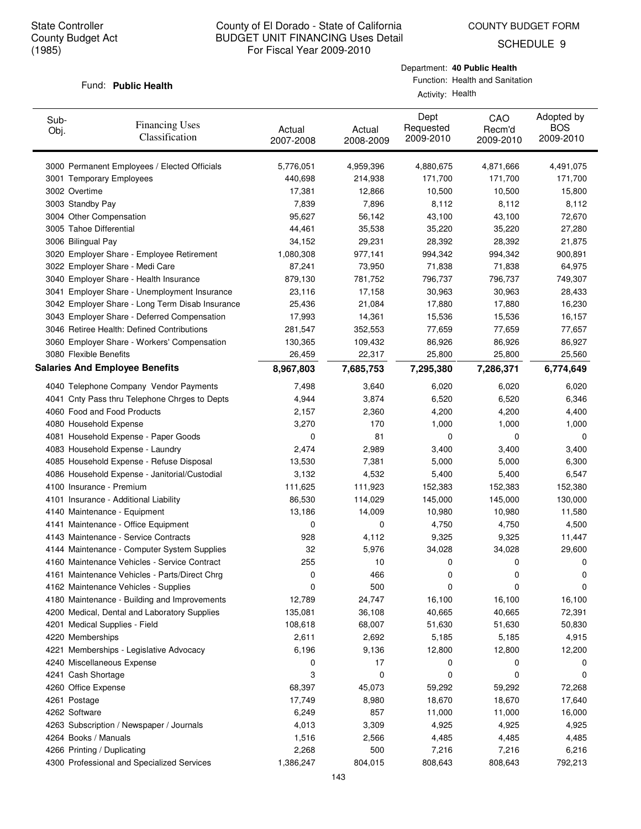COUNTY BUDGET FORM

SCHEDULE 9

#### Fund: Public Health

Department: **40 Public Health**

Function: Health and Sanitation Activity: Health

| Sub-<br>Obj. | <b>Financing Uses</b><br>Classification                                   | Actual<br>2007-2008 | Actual<br>2008-2009 | Dept<br>Requested<br>2009-2010 | CAO<br>Recm'd<br>2009-2010 | Adopted by<br><b>BOS</b><br>2009-2010 |
|--------------|---------------------------------------------------------------------------|---------------------|---------------------|--------------------------------|----------------------------|---------------------------------------|
|              | 3000 Permanent Employees / Elected Officials                              | 5,776,051           | 4,959,396           | 4,880,675                      | 4,871,666                  | 4,491,075                             |
|              | 3001 Temporary Employees                                                  | 440,698             | 214,938             | 171,700                        | 171,700                    | 171,700                               |
|              | 3002 Overtime                                                             | 17,381              | 12,866              | 10,500                         | 10,500                     | 15,800                                |
|              | 3003 Standby Pay                                                          | 7,839               | 7,896               | 8,112                          | 8,112                      | 8,112                                 |
|              | 3004 Other Compensation                                                   | 95,627              | 56,142              | 43,100                         | 43,100                     | 72,670                                |
|              | 3005 Tahoe Differential                                                   | 44,461              | 35,538              | 35,220                         | 35,220                     | 27,280                                |
|              | 3006 Bilingual Pay                                                        | 34,152              | 29,231              | 28,392                         | 28,392                     | 21,875                                |
|              | 3020 Employer Share - Employee Retirement                                 | 1,080,308           | 977,141             | 994,342                        | 994,342                    | 900,891                               |
|              | 3022 Employer Share - Medi Care                                           | 87,241              | 73,950              | 71,838                         | 71,838                     | 64,975                                |
|              | 3040 Employer Share - Health Insurance                                    | 879,130             | 781,752             | 796,737                        | 796,737                    | 749,307                               |
|              | 3041 Employer Share - Unemployment Insurance                              | 23,116              | 17,158              | 30,963                         | 30,963                     | 28,433                                |
|              | 3042 Employer Share - Long Term Disab Insurance                           | 25,436              | 21,084              | 17,880                         | 17,880                     | 16,230                                |
|              | 3043 Employer Share - Deferred Compensation                               | 17,993              | 14,361              | 15,536                         | 15,536                     | 16,157                                |
|              | 3046 Retiree Health: Defined Contributions                                | 281,547             | 352,553             | 77,659                         | 77,659                     | 77,657                                |
|              | 3060 Employer Share - Workers' Compensation                               | 130,365             | 109,432             | 86,926                         | 86,926                     | 86,927                                |
|              | 3080 Flexible Benefits                                                    | 26,459              | 22,317              | 25,800                         | 25,800                     | 25,560                                |
|              | <b>Salaries And Employee Benefits</b>                                     | 8,967,803           | 7,685,753           | 7,295,380                      | 7,286,371                  | 6,774,649                             |
|              | 4040 Telephone Company Vendor Payments                                    | 7,498               | 3,640               | 6,020                          | 6,020                      | 6,020                                 |
|              | 4041 Cnty Pass thru Telephone Chrges to Depts                             | 4,944               | 3,874               | 6,520                          | 6,520                      | 6,346                                 |
|              | 4060 Food and Food Products                                               | 2,157               | 2,360               | 4,200                          | 4,200                      | 4,400                                 |
|              | 4080 Household Expense                                                    | 3,270               | 170                 | 1,000                          | 1,000                      | 1,000                                 |
|              | 4081 Household Expense - Paper Goods                                      | 0                   | 81                  | 0                              | 0                          | 0                                     |
|              | 4083 Household Expense - Laundry                                          | 2,474               | 2,989               | 3,400                          | 3,400                      | 3,400                                 |
|              |                                                                           |                     |                     | 5,000                          |                            |                                       |
|              | 4085 Household Expense - Refuse Disposal                                  | 13,530<br>3,132     | 7,381<br>4,532      | 5,400                          | 5,000<br>5,400             | 6,300<br>6,547                        |
|              | 4086 Household Expense - Janitorial/Custodial<br>4100 Insurance - Premium | 111,625             |                     |                                |                            | 152,380                               |
|              |                                                                           |                     | 111,923             | 152,383                        | 152,383                    |                                       |
|              | 4101 Insurance - Additional Liability                                     | 86,530              | 114,029             | 145,000                        | 145,000                    | 130,000                               |
|              | 4140 Maintenance - Equipment                                              | 13,186              | 14,009              | 10,980                         | 10,980                     | 11,580                                |
|              | 4141 Maintenance - Office Equipment                                       | 0                   | 0                   | 4,750                          | 4,750                      | 4,500                                 |
|              | 4143 Maintenance - Service Contracts                                      | 928                 | 4,112               | 9,325                          | 9,325                      | 11,447                                |
|              | 4144 Maintenance - Computer System Supplies                               | 32                  | 5,976               | 34,028                         | 34,028                     | 29,600                                |
|              | 4160 Maintenance Vehicles - Service Contract                              | 255                 | 10                  | 0                              | 0                          | 0                                     |
|              | 4161 Maintenance Vehicles - Parts/Direct Chrg                             | 0                   | 466                 | 0                              | 0                          | 0                                     |
|              | 4162 Maintenance Vehicles - Supplies                                      | 0                   | 500                 | 0                              | 0                          | 0                                     |
|              | 4180 Maintenance - Building and Improvements                              | 12,789              | 24,747              | 16,100                         | 16,100                     | 16,100                                |
|              | 4200 Medical, Dental and Laboratory Supplies                              | 135,081             | 36,108              | 40,665                         | 40,665                     | 72,391                                |
|              | 4201 Medical Supplies - Field                                             | 108,618             | 68,007              | 51,630                         | 51,630                     | 50,830                                |
|              | 4220 Memberships                                                          | 2,611               | 2,692               | 5,185                          | 5,185                      | 4,915                                 |
|              | 4221 Memberships - Legislative Advocacy                                   | 6,196               | 9,136               | 12,800                         | 12,800                     | 12,200                                |
|              | 4240 Miscellaneous Expense                                                | 0                   | 17                  | 0                              | 0                          | 0                                     |
|              | 4241 Cash Shortage                                                        | 3                   | 0                   | 0                              | 0                          | 0                                     |
|              | 4260 Office Expense                                                       | 68,397              | 45,073              | 59,292                         | 59,292                     | 72,268                                |
|              | 4261 Postage                                                              | 17,749              | 8,980               | 18,670                         | 18,670                     | 17,640                                |
|              | 4262 Software                                                             | 6,249               | 857                 | 11,000                         | 11,000                     | 16,000                                |
|              | 4263 Subscription / Newspaper / Journals                                  | 4,013               | 3,309               | 4,925                          | 4,925                      | 4,925                                 |
|              | 4264 Books / Manuals                                                      | 1,516               | 2,566               | 4,485                          | 4,485                      | 4,485                                 |
|              | 4266 Printing / Duplicating                                               | 2,268               | 500                 | 7,216                          | 7,216                      | 6,216                                 |
|              | 4300 Professional and Specialized Services                                | 1,386,247           | 804,015             | 808,643                        | 808,643                    | 792,213                               |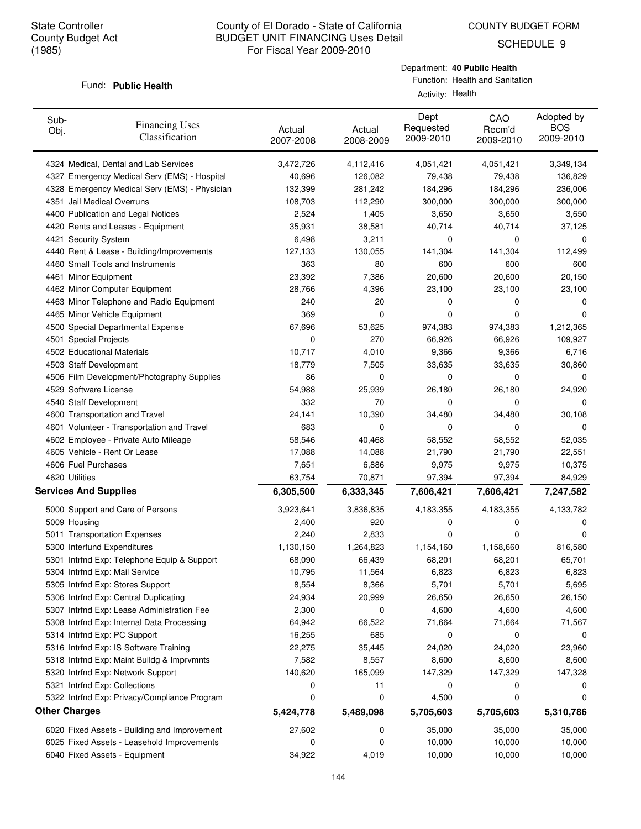SCHEDULE 9

#### Fund: Public Health

| Department: 40 Public Health    |
|---------------------------------|
| Function: Health and Sanitation |

Activity: Health

| Sub-<br>Obj. | <b>Financing Uses</b><br>Classification                                         | Actual<br>2007-2008 | Actual<br>2008-2009 | Dept<br>Requested<br>2009-2010 | CAO<br>Recm'd<br>2009-2010 | Adopted by<br><b>BOS</b><br>2009-2010 |
|--------------|---------------------------------------------------------------------------------|---------------------|---------------------|--------------------------------|----------------------------|---------------------------------------|
|              | 4324 Medical, Dental and Lab Services                                           | 3,472,726           | 4,112,416           | 4,051,421                      | 4,051,421                  | 3,349,134                             |
|              | 4327 Emergency Medical Serv (EMS) - Hospital                                    | 40,696              | 126,082             | 79,438                         | 79,438                     | 136,829                               |
|              | 4328 Emergency Medical Serv (EMS) - Physician                                   | 132,399             | 281,242             | 184,296                        | 184,296                    | 236,006                               |
|              | 4351 Jail Medical Overruns                                                      | 108,703             | 112,290             | 300,000                        | 300,000                    | 300,000                               |
|              | 4400 Publication and Legal Notices                                              | 2,524               | 1,405               | 3,650                          | 3,650                      | 3,650                                 |
|              | 4420 Rents and Leases - Equipment                                               | 35,931              | 38,581              | 40,714                         | 40,714                     | 37,125                                |
|              | 4421 Security System                                                            | 6,498               | 3,211               | 0                              | 0                          | 0                                     |
|              | 4440 Rent & Lease - Building/Improvements                                       | 127,133             | 130,055             | 141,304                        | 141,304                    | 112,499                               |
|              | 4460 Small Tools and Instruments                                                | 363                 | 80                  | 600                            | 600                        | 600                                   |
|              | 4461 Minor Equipment                                                            | 23,392              | 7,386               | 20,600                         | 20,600                     | 20,150                                |
|              | 4462 Minor Computer Equipment                                                   | 28,766              | 4,396               | 23,100                         | 23,100                     | 23,100                                |
|              | 4463 Minor Telephone and Radio Equipment                                        | 240                 | 20                  | 0                              | 0                          | 0                                     |
|              | 4465 Minor Vehicle Equipment                                                    | 369                 | 0                   | 0                              | 0                          | 0                                     |
|              | 4500 Special Departmental Expense                                               | 67,696              | 53,625              | 974,383                        | 974,383                    | 1,212,365                             |
|              | 4501 Special Projects                                                           | 0                   | 270                 | 66,926                         | 66,926                     | 109,927                               |
|              | 4502 Educational Materials                                                      | 10,717              | 4,010               | 9,366                          | 9,366                      | 6,716                                 |
|              | 4503 Staff Development                                                          | 18,779              | 7,505               | 33,635                         | 33,635                     | 30,860                                |
|              | 4506 Film Development/Photography Supplies                                      | 86                  | 0                   | 0                              | 0                          | 0                                     |
|              | 4529 Software License                                                           | 54,988              | 25,939              | 26,180                         | 26,180                     | 24,920                                |
|              | 4540 Staff Development                                                          | 332                 | 70                  | 0                              | 0                          | 0                                     |
|              | 4600 Transportation and Travel                                                  | 24,141              | 10,390              | 34,480                         | 34,480                     | 30,108                                |
|              | 4601 Volunteer - Transportation and Travel                                      | 683                 | 0                   | 0                              | 0                          | 0                                     |
|              | 4602 Employee - Private Auto Mileage                                            | 58,546              | 40,468              | 58,552                         | 58,552                     | 52,035                                |
|              | 4605 Vehicle - Rent Or Lease                                                    | 17,088              | 14,088              | 21,790                         | 21,790                     | 22,551                                |
|              | 4606 Fuel Purchases                                                             | 7,651               | 6,886               | 9,975                          | 9,975                      | 10,375                                |
|              | 4620 Utilities                                                                  | 63,754              | 70,871              | 97,394                         | 97,394                     | 84,929                                |
|              | <b>Services And Supplies</b>                                                    | 6,305,500           | 6,333,345           | 7,606,421                      | 7,606,421                  | 7,247,582                             |
|              | 5000 Support and Care of Persons                                                | 3,923,641           | 3,836,835           | 4,183,355                      | 4,183,355                  | 4,133,782                             |
|              | 5009 Housing                                                                    | 2,400               | 920                 | 0                              | 0                          | 0                                     |
|              | 5011 Transportation Expenses                                                    | 2,240               | 2,833               | 0                              | 0                          | 0                                     |
|              | 5300 Interfund Expenditures                                                     | 1,130,150           | 1,264,823           | 1,154,160                      | 1,158,660                  | 816,580                               |
|              | 5301 Intrfnd Exp: Telephone Equip & Support                                     | 68,090              | 66,439              | 68,201                         | 68,201                     | 65,701                                |
|              | 5304 Intrfnd Exp: Mail Service                                                  | 10,795              | 11,564              | 6,823                          | 6,823                      | 6,823                                 |
|              | 5305 Intrfnd Exp: Stores Support                                                | 8,554               | 8,366               | 5,701                          | 5,701                      | 5,695                                 |
|              | 5306 Intrfnd Exp: Central Duplicating                                           | 24,934              | 20,999              | 26,650                         | 26,650                     | 26,150                                |
|              | 5307 Intrfnd Exp: Lease Administration Fee                                      | 2,300               | 0                   | 4,600                          | 4,600                      | 4,600                                 |
|              | 5308 Intrfnd Exp: Internal Data Processing                                      | 64,942              | 66,522              | 71,664                         | 71,664                     | 71,567                                |
|              | 5314 Intrfnd Exp: PC Support                                                    | 16,255              | 685                 | 0                              | 0                          | 0                                     |
|              | 5316 Intrfnd Exp: IS Software Training                                          | 22,275              | 35,445              | 24,020                         | 24,020                     | 23,960                                |
|              |                                                                                 |                     |                     |                                |                            |                                       |
|              | 5318 Intrind Exp: Maint Buildg & Imprvmnts<br>5320 Intrfnd Exp: Network Support | 7,582<br>140,620    | 8,557<br>165,099    | 8,600<br>147,329               | 8,600<br>147,329           | 8,600<br>147,328                      |
|              |                                                                                 |                     |                     |                                |                            |                                       |
|              | 5321 Intrfnd Exp: Collections<br>5322 Intrfnd Exp: Privacy/Compliance Program   | 0<br>0              | 11<br>0             | 0                              | 0<br>0                     | 0<br>0                                |
|              |                                                                                 |                     |                     | 4,500                          |                            |                                       |
|              | <b>Other Charges</b>                                                            | 5,424,778           | 5,489,098           | 5,705,603                      | 5,705,603                  | 5,310,786                             |
|              | 6020 Fixed Assets - Building and Improvement                                    | 27,602              | 0                   | 35,000                         | 35,000                     | 35,000                                |
|              | 6025 Fixed Assets - Leasehold Improvements                                      | 0                   | 0                   | 10,000                         | 10,000                     | 10,000                                |
|              | 6040 Fixed Assets - Equipment                                                   | 34,922              | 4,019               | 10,000                         | 10,000                     | 10,000                                |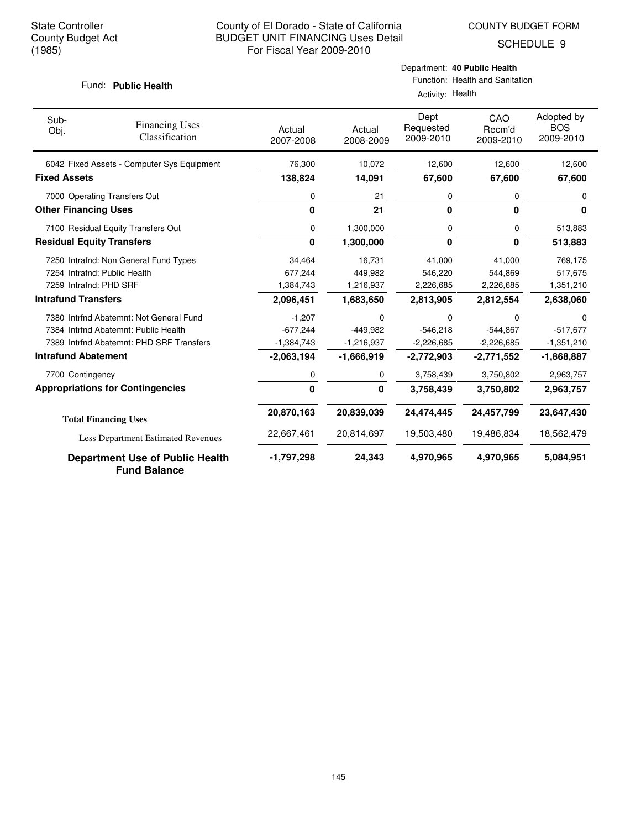SCHEDULE 9

#### Fund: Public Health

Function: Health and Sanitation  $\overline{A}$ 

| Health |  |
|--------|--|
|        |  |

| Sub-<br>Obj.        | <b>Financing Uses</b><br>Classification                       | Actual<br>2007-2008 | Actual<br>2008-2009 | Dept<br>Requested<br>2009-2010 | CAO<br>Recm'd<br>2009-2010 | Adopted by<br><b>BOS</b><br>2009-2010 |
|---------------------|---------------------------------------------------------------|---------------------|---------------------|--------------------------------|----------------------------|---------------------------------------|
|                     | 6042 Fixed Assets - Computer Sys Equipment                    | 76,300              | 10,072              | 12,600                         | 12,600                     | 12,600                                |
| <b>Fixed Assets</b> |                                                               | 138,824             | 14,091              | 67,600                         | 67,600                     | 67,600                                |
|                     | 7000 Operating Transfers Out                                  | 0                   | 21                  | 0                              | 0                          | 0                                     |
|                     | <b>Other Financing Uses</b>                                   | 0                   | 21                  | 0                              | $\bf{0}$                   | 0                                     |
|                     | 7100 Residual Equity Transfers Out                            | 0                   | 1,300,000           | 0                              | 0                          | 513,883                               |
|                     | <b>Residual Equity Transfers</b>                              | 0                   | 1,300,000           | 0                              | $\mathbf{0}$               | 513,883                               |
|                     | 7250 Intrafnd: Non General Fund Types                         | 34,464              | 16,731              | 41,000                         | 41.000                     | 769,175                               |
|                     | 7254 Intrafnd: Public Health                                  | 677,244             | 449,982             | 546,220                        | 544,869                    | 517,675                               |
|                     | 7259 Intrafnd: PHD SRF                                        | 1,384,743           | 1,216,937           | 2,226,685                      | 2,226,685                  | 1,351,210                             |
|                     | <b>Intrafund Transfers</b>                                    | 2,096,451           | 1,683,650           | 2,813,905                      | 2,812,554                  | 2,638,060                             |
|                     | 7380 Intrfnd Abatemnt: Not General Fund                       | $-1,207$            | 0                   | 0                              | 0                          | $\Omega$                              |
|                     | 7384 Intrfnd Abatemnt: Public Health                          | $-677,244$          | $-449.982$          | $-546,218$                     | $-544,867$                 | $-517.677$                            |
|                     | 7389 Intrind Abatemnt: PHD SRF Transfers                      | $-1,384,743$        | $-1,216,937$        | $-2,226,685$                   | $-2,226,685$               | $-1,351,210$                          |
|                     | <b>Intrafund Abatement</b>                                    | $-2,063,194$        | $-1,666,919$        | $-2,772,903$                   | $-2,771,552$               | $-1,868,887$                          |
|                     | 7700 Contingency                                              | 0                   | 0                   | 3,758,439                      | 3,750,802                  | 2,963,757                             |
|                     | <b>Appropriations for Contingencies</b>                       | 0                   | 0                   | 3,758,439                      | 3,750,802                  | 2,963,757                             |
|                     | <b>Total Financing Uses</b>                                   | 20,870,163          | 20,839,039          | 24,474,445                     | 24,457,799                 | 23,647,430                            |
|                     | Less Department Estimated Revenues                            | 22,667,461          | 20,814,697          | 19,503,480                     | 19,486,834                 | 18,562,479                            |
|                     | <b>Department Use of Public Health</b><br><b>Fund Balance</b> | $-1,797,298$        | 24,343              | 4,970,965                      | 4,970,965                  | 5,084,951                             |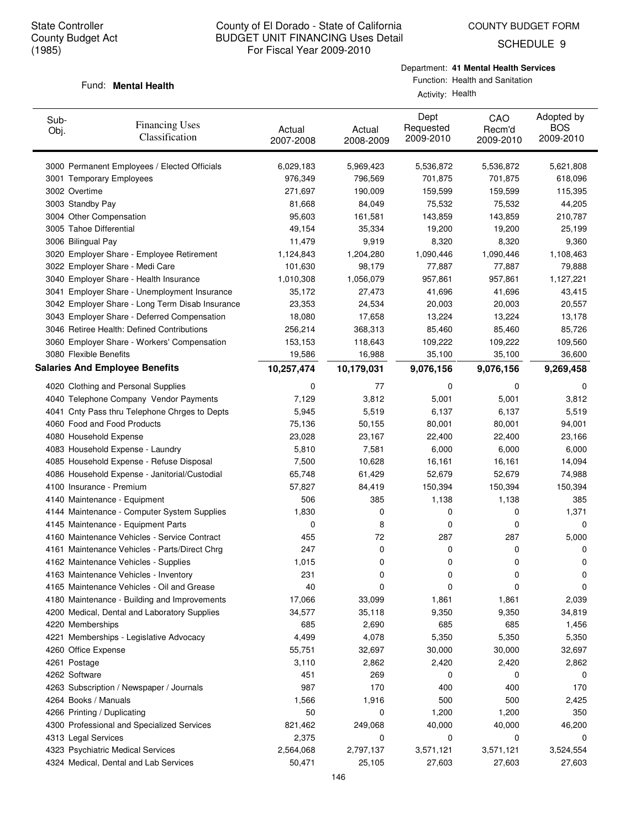SCHEDULE 9

#### Department: **41 Mental Health Services**

#### Fund: **Mental Health**

Function: Health and Sanitation Activity: Health

| Sub-<br>Obj.                | <b>Financing Uses</b><br>Classification         | Actual<br>2007-2008 | Actual<br>2008-2009 | Dept<br>Requested<br>2009-2010 | CAO<br>Recm'd<br>2009-2010 | Adopted by<br><b>BOS</b><br>2009-2010 |
|-----------------------------|-------------------------------------------------|---------------------|---------------------|--------------------------------|----------------------------|---------------------------------------|
|                             | 3000 Permanent Employees / Elected Officials    | 6,029,183           | 5,969,423           | 5,536,872                      | 5,536,872                  | 5,621,808                             |
|                             | 3001 Temporary Employees                        | 976,349             | 796,569             | 701,875                        | 701,875                    | 618,096                               |
| 3002 Overtime               |                                                 | 271,697             | 190,009             | 159,599                        | 159,599                    | 115,395                               |
| 3003 Standby Pay            |                                                 | 81,668              | 84,049              | 75,532                         | 75,532                     | 44,205                                |
| 3004 Other Compensation     |                                                 | 95,603              | 161,581             | 143,859                        | 143,859                    | 210,787                               |
| 3005 Tahoe Differential     |                                                 | 49,154              | 35,334              | 19,200                         | 19,200                     | 25,199                                |
| 3006 Bilingual Pay          |                                                 | 11,479              | 9,919               | 8,320                          | 8,320                      | 9,360                                 |
|                             | 3020 Employer Share - Employee Retirement       | 1,124,843           | 1,204,280           | 1,090,446                      | 1,090,446                  | 1,108,463                             |
|                             | 3022 Employer Share - Medi Care                 | 101,630             | 98,179              | 77,887                         | 77,887                     | 79,888                                |
|                             | 3040 Employer Share - Health Insurance          | 1,010,308           | 1,056,079           | 957,861                        | 957,861                    | 1,127,221                             |
|                             | 3041 Employer Share - Unemployment Insurance    | 35,172              | 27,473              | 41,696                         | 41,696                     | 43,415                                |
|                             | 3042 Employer Share - Long Term Disab Insurance | 23,353              | 24,534              | 20,003                         | 20,003                     | 20,557                                |
|                             | 3043 Employer Share - Deferred Compensation     | 18,080              | 17,658              | 13,224                         | 13,224                     | 13,178                                |
|                             | 3046 Retiree Health: Defined Contributions      | 256,214             | 368,313             | 85,460                         | 85,460                     | 85,726                                |
|                             | 3060 Employer Share - Workers' Compensation     | 153,153             | 118,643             | 109,222                        | 109,222                    | 109,560                               |
| 3080 Flexible Benefits      |                                                 | 19,586              | 16,988              | 35,100                         | 35,100                     | 36,600                                |
|                             | <b>Salaries And Employee Benefits</b>           | 10,257,474          | 10,179,031          | 9,076,156                      | 9,076,156                  | 9,269,458                             |
|                             | 4020 Clothing and Personal Supplies             | 0                   | 77                  | 0                              | 0                          | 0                                     |
|                             | 4040 Telephone Company Vendor Payments          | 7,129               | 3,812               | 5,001                          | 5,001                      | 3,812                                 |
|                             | 4041 Cnty Pass thru Telephone Chrges to Depts   | 5,945               | 5,519               | 6,137                          | 6,137                      | 5,519                                 |
|                             | 4060 Food and Food Products                     | 75,136              | 50,155              | 80,001                         | 80,001                     | 94,001                                |
| 4080 Household Expense      |                                                 | 23,028              | 23,167              | 22,400                         | 22,400                     | 23,166                                |
|                             | 4083 Household Expense - Laundry                | 5,810               | 7,581               | 6,000                          | 6,000                      | 6,000                                 |
|                             | 4085 Household Expense - Refuse Disposal        | 7,500               | 10,628              | 16,161                         | 16,161                     | 14,094                                |
|                             | 4086 Household Expense - Janitorial/Custodial   | 65,748              | 61,429              | 52,679                         | 52,679                     | 74,988                                |
| 4100 Insurance - Premium    |                                                 | 57,827              | 84,419              | 150,394                        | 150,394                    | 150,394                               |
|                             | 4140 Maintenance - Equipment                    | 506                 | 385                 | 1,138                          | 1,138                      | 385                                   |
|                             | 4144 Maintenance - Computer System Supplies     | 1,830               | 0                   | 0                              | 0                          | 1,371                                 |
|                             | 4145 Maintenance - Equipment Parts              | 0                   | 8                   | 0                              | 0                          | 0                                     |
|                             | 4160 Maintenance Vehicles - Service Contract    | 455                 | 72                  | 287                            | 287                        | 5,000                                 |
|                             | 4161 Maintenance Vehicles - Parts/Direct Chrg   | 247                 | 0                   | 0                              | 0                          | 0                                     |
|                             | 4162 Maintenance Vehicles - Supplies            | 1,015               | 0                   | 0                              | 0                          | 0                                     |
|                             | 4163 Maintenance Vehicles - Inventory           | 231                 | 0                   | 0                              | 0                          | 0                                     |
|                             | 4165 Maintenance Vehicles - Oil and Grease      | 40                  | 0                   | 0                              | 0                          | 0                                     |
|                             | 4180 Maintenance - Building and Improvements    | 17,066              | 33,099              | 1,861                          | 1,861                      | 2,039                                 |
|                             | 4200 Medical, Dental and Laboratory Supplies    | 34,577              | 35,118              | 9,350                          | 9,350                      | 34,819                                |
| 4220 Memberships            |                                                 | 685                 | 2,690               | 685                            | 685                        | 1,456                                 |
|                             | 4221 Memberships - Legislative Advocacy         | 4,499               | 4,078               | 5,350                          | 5,350                      | 5,350                                 |
| 4260 Office Expense         |                                                 | 55,751              | 32,697              | 30,000                         | 30,000                     | 32,697                                |
| 4261 Postage                |                                                 | 3,110               | 2,862               | 2,420                          | 2,420                      | 2,862                                 |
| 4262 Software               |                                                 | 451                 | 269                 | 0                              | 0                          | 0                                     |
|                             | 4263 Subscription / Newspaper / Journals        | 987                 | 170                 | 400                            | 400                        | 170                                   |
| 4264 Books / Manuals        |                                                 | 1,566               | 1,916               | 500                            | 500                        | 2,425                                 |
| 4266 Printing / Duplicating |                                                 | 50                  | 0                   | 1,200                          | 1,200                      | 350                                   |
|                             | 4300 Professional and Specialized Services      | 821,462             | 249,068             | 40,000                         | 40,000                     | 46,200                                |
| 4313 Legal Services         |                                                 | 2,375               | 0                   | 0                              | 0                          | 0                                     |
|                             | 4323 Psychiatric Medical Services               | 2,564,068           | 2,797,137           | 3,571,121                      | 3,571,121                  | 3,524,554                             |
|                             | 4324 Medical, Dental and Lab Services           | 50,471              | 25,105              | 27,603                         | 27,603                     | 27,603                                |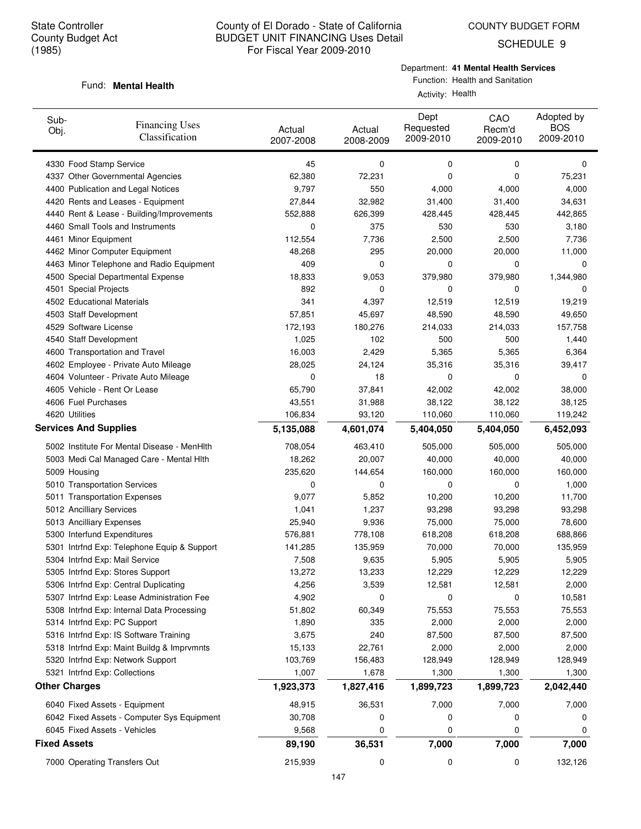SCHEDULE 9

#### Department: **41 Mental Health Services**

Function: Health and Sanitation Activity: Health

#### Fund: **Mental Health**

| Sub-<br>Obj.        | <b>Financing Uses</b><br>Classification     | Actual<br>2007-2008 | Actual<br>2008-2009 | Dept<br>Requested<br>2009-2010 | CAO<br>Recm'd<br>2009-2010 | Adopted by<br><b>BOS</b><br>2009-2010 |
|---------------------|---------------------------------------------|---------------------|---------------------|--------------------------------|----------------------------|---------------------------------------|
|                     | 4330 Food Stamp Service                     | 45                  | 0                   | 0                              | 0                          | 0                                     |
|                     | 4337 Other Governmental Agencies            | 62,380              | 72,231              | 0                              | 0                          | 75,231                                |
|                     | 4400 Publication and Legal Notices          | 9,797               | 550                 | 4,000                          | 4,000                      | 4,000                                 |
|                     | 4420 Rents and Leases - Equipment           | 27,844              | 32,982              | 31,400                         | 31,400                     | 34,631                                |
|                     | 4440 Rent & Lease - Building/Improvements   | 552,888             | 626,399             | 428,445                        | 428,445                    | 442,865                               |
|                     | 4460 Small Tools and Instruments            | 0                   | 375                 | 530                            | 530                        | 3,180                                 |
|                     | 4461 Minor Equipment                        | 112,554             | 7,736               | 2,500                          | 2,500                      | 7,736                                 |
|                     | 4462 Minor Computer Equipment               | 48,268              | 295                 | 20,000                         | 20,000                     | 11,000                                |
|                     | 4463 Minor Telephone and Radio Equipment    | 409                 | 0                   | 0                              | 0                          | 0                                     |
|                     | 4500 Special Departmental Expense           | 18,833              | 9,053               | 379,980                        | 379,980                    | 1,344,980                             |
|                     | 4501 Special Projects                       | 892                 | 0                   | 0                              | 0                          | 0                                     |
|                     | 4502 Educational Materials                  | 341                 | 4,397               | 12,519                         | 12,519                     | 19,219                                |
|                     | 4503 Staff Development                      | 57,851              | 45,697              | 48,590                         | 48,590                     | 49,650                                |
|                     | 4529 Software License                       | 172,193             | 180,276             | 214,033                        | 214,033                    | 157,758                               |
|                     | 4540 Staff Development                      | 1,025               | 102                 | 500                            | 500                        | 1,440                                 |
|                     | 4600 Transportation and Travel              | 16,003              | 2,429               | 5,365                          | 5,365                      | 6,364                                 |
|                     | 4602 Employee - Private Auto Mileage        | 28,025              | 24,124              | 35,316                         | 35,316                     | 39,417                                |
|                     | 4604 Volunteer - Private Auto Mileage       | 0                   | 18                  | 0                              | 0                          | 0                                     |
|                     | 4605 Vehicle - Rent Or Lease                | 65,790              | 37,841              | 42,002                         | 42,002                     | 38,000                                |
|                     | 4606 Fuel Purchases                         | 43,551              | 31,988              | 38,122                         | 38,122                     | 38,125                                |
|                     | 4620 Utilities                              | 106,834             | 93,120              | 110,060                        | 110,060                    | 119,242                               |
|                     | <b>Services And Supplies</b>                | 5,135,088           | 4,601,074           | 5,404,050                      | 5,404,050                  | 6,452,093                             |
|                     | 5002 Institute For Mental Disease - MenHith | 708,054             | 463,410             | 505,000                        | 505,000                    | 505,000                               |
|                     | 5003 Medi Cal Managed Care - Mental Hith    | 18,262              | 20,007              | 40,000                         | 40,000                     | 40,000                                |
|                     | 5009 Housing                                | 235,620             | 144,654             | 160,000                        | 160,000                    | 160,000                               |
|                     | 5010 Transportation Services                | 0                   | 0                   | 0                              | 0                          | 1,000                                 |
|                     | 5011 Transportation Expenses                | 9,077               | 5,852               | 10,200                         | 10,200                     | 11,700                                |
|                     | 5012 Ancilliary Services                    | 1,041               | 1,237               | 93,298                         | 93,298                     | 93,298                                |
|                     | 5013 Ancilliary Expenses                    | 25,940              | 9,936               | 75,000                         | 75,000                     | 78,600                                |
|                     | 5300 Interfund Expenditures                 | 576,881             | 778,108             | 618,208                        | 618,208                    | 688,866                               |
|                     | 5301 Intrfnd Exp: Telephone Equip & Support | 141,285             | 135,959             | 70,000                         | 70,000                     | 135,959                               |
|                     | 5304 Intrfnd Exp: Mail Service              | 7,508               | 9,635               | 5,905                          | 5,905                      | 5,905                                 |
|                     | 5305 Intrfnd Exp: Stores Support            | 13,272              | 13,233              | 12,229                         | 12,229                     | 12,229                                |
|                     | 5306 Intrfnd Exp: Central Duplicating       | 4,256               | 3,539               | 12,581                         | 12,581                     | 2,000                                 |
|                     | 5307 Intrfnd Exp: Lease Administration Fee  | 4,902               | 0                   | 0                              | 0                          | 10,581                                |
|                     | 5308 Intrfnd Exp: Internal Data Processing  | 51,802              | 60,349              | 75,553                         | 75,553                     | 75,553                                |
|                     | 5314 Intrfnd Exp: PC Support                | 1,890               | 335                 | 2,000                          | 2,000                      | 2,000                                 |
|                     | 5316 Intrfnd Exp: IS Software Training      | 3,675               | 240                 | 87,500                         | 87,500                     | 87,500                                |
|                     | 5318 Intrfnd Exp: Maint Buildg & Imprvmnts  | 15,133              | 22,761              | 2,000                          | 2,000                      | 2,000                                 |
|                     | 5320 Intrfnd Exp: Network Support           | 103,769             | 156,483             | 128,949                        | 128,949                    | 128,949                               |
|                     | 5321 Intrfnd Exp: Collections               | 1,007               | 1,678               | 1,300                          | 1,300                      | 1,300                                 |
|                     | <b>Other Charges</b>                        | 1,923,373           | 1,827,416           | 1,899,723                      | 1,899,723                  | 2,042,440                             |
|                     | 6040 Fixed Assets - Equipment               | 48,915              | 36,531              | 7,000                          | 7,000                      | 7,000                                 |
|                     | 6042 Fixed Assets - Computer Sys Equipment  | 30,708              | 0                   | 0                              | 0                          | 0                                     |
|                     | 6045 Fixed Assets - Vehicles                | 9,568               | 0                   | 0                              | 0                          | 0                                     |
| <b>Fixed Assets</b> |                                             | 89,190              | 36,531              | 7,000                          | 7,000                      | 7,000                                 |
|                     | 7000 Operating Transfers Out                | 215,939             | 0                   | 0                              | 0                          | 132,126                               |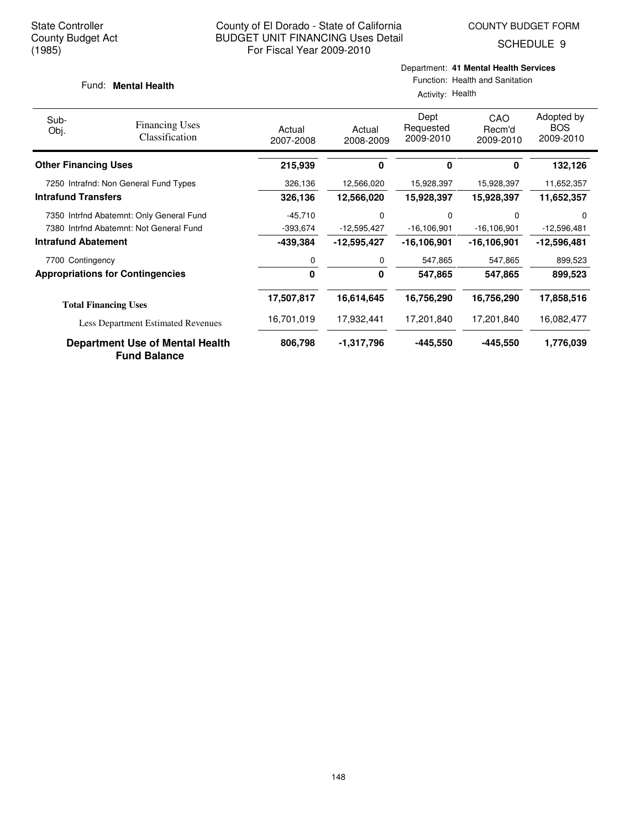SCHEDULE 9

#### Fund: **Mental Health**

Activity: Health

| Sub-<br>Obj.                | <b>Financing Uses</b><br>Classification                | Actual<br>2007-2008 | Actual<br>2008-2009 | Dept<br>Requested<br>2009-2010 | CAO<br>Recm'd<br>2009-2010 | Adopted by<br><b>BOS</b><br>2009-2010 |
|-----------------------------|--------------------------------------------------------|---------------------|---------------------|--------------------------------|----------------------------|---------------------------------------|
| <b>Other Financing Uses</b> |                                                        | 215,939             | 0                   | 0                              | 0                          | 132,126                               |
|                             | 7250 Intrafnd: Non General Fund Types                  | 326,136             | 12,566,020          | 15,928,397                     | 15,928,397                 | 11,652,357                            |
| <b>Intrafund Transfers</b>  |                                                        | 326,136             | 12,566,020          | 15,928,397                     | 15,928,397                 | 11,652,357                            |
|                             | 7350 Intrfnd Abatemnt: Only General Fund               | $-45,710$           | 0                   | 0                              | $\Omega$                   | $\Omega$                              |
|                             | 7380 Intrfnd Abatemnt: Not General Fund                | $-393,674$          | $-12,595,427$       | $-16, 106, 901$                | $-16, 106, 901$            | $-12,596,481$                         |
| <b>Intrafund Abatement</b>  |                                                        | -439,384            | -12,595,427         | -16,106,901                    | -16,106,901                | -12,596,481                           |
| 7700 Contingency            |                                                        | 0                   | 0                   | 547,865                        | 547,865                    | 899,523                               |
|                             | <b>Appropriations for Contingencies</b>                | 0                   | 0                   | 547,865                        | 547,865                    | 899,523                               |
|                             | <b>Total Financing Uses</b>                            | 17,507,817          | 16.614,645          | 16,756,290                     | 16,756,290                 | 17,858,516                            |
|                             | <b>Less Department Estimated Revenues</b>              | 16,701,019          | 17,932,441          | 17,201,840                     | 17,201,840                 | 16,082,477                            |
|                             | Department Use of Mental Health<br><b>Fund Balance</b> | 806,798             | -1,317,796          | -445.550                       | -445,550                   | 1,776,039                             |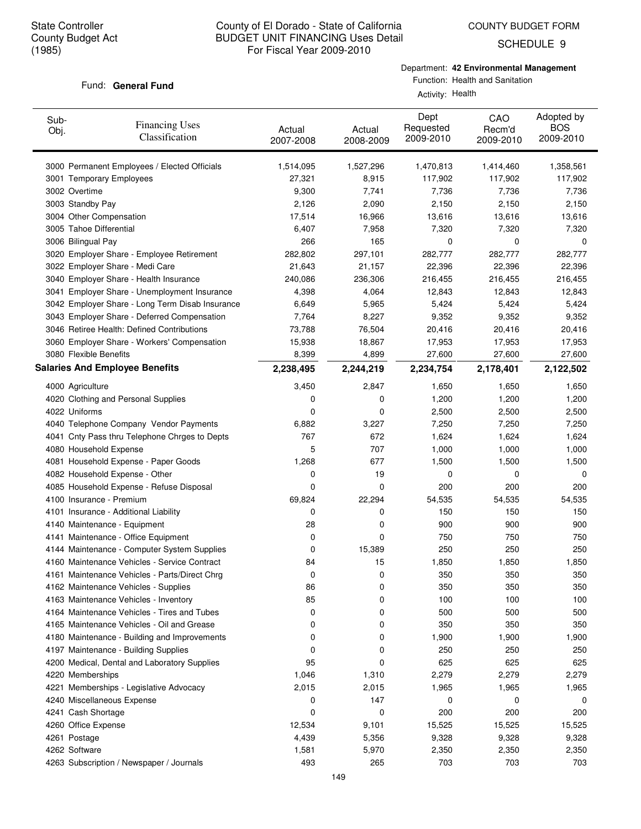COUNTY BUDGET FORM

SCHEDULE 9

#### Fund: General Fund

Department: **42 Environmental Management**

Function: Health and Sanitation Activity: Health

| Sub-<br>Obj. | <b>Financing Uses</b><br>Classification         | Actual<br>2007-2008 | Actual<br>2008-2009 | Dept<br>Requested<br>2009-2010 | CAO<br>Recm'd<br>2009-2010 | Adopted by<br><b>BOS</b><br>2009-2010 |
|--------------|-------------------------------------------------|---------------------|---------------------|--------------------------------|----------------------------|---------------------------------------|
|              | 3000 Permanent Employees / Elected Officials    | 1,514,095           | 1,527,296           | 1,470,813                      | 1,414,460                  | 1,358,561                             |
|              | 3001 Temporary Employees                        | 27,321              | 8,915               | 117,902                        | 117,902                    | 117,902                               |
|              | 3002 Overtime                                   | 9,300               | 7,741               | 7,736                          | 7,736                      | 7,736                                 |
|              | 3003 Standby Pay                                | 2,126               | 2,090               | 2,150                          | 2,150                      | 2,150                                 |
|              | 3004 Other Compensation                         | 17,514              | 16,966              | 13,616                         | 13,616                     | 13,616                                |
|              | 3005 Tahoe Differential                         | 6,407               | 7,958               | 7,320                          | 7,320                      | 7,320                                 |
|              | 3006 Bilingual Pay                              | 266                 | 165                 | 0                              | 0                          | 0                                     |
|              | 3020 Employer Share - Employee Retirement       | 282,802             | 297,101             | 282,777                        | 282,777                    | 282,777                               |
|              | 3022 Employer Share - Medi Care                 | 21,643              | 21,157              | 22,396                         | 22,396                     | 22,396                                |
|              | 3040 Employer Share - Health Insurance          | 240,086             | 236,306             | 216,455                        | 216,455                    | 216,455                               |
|              | 3041 Employer Share - Unemployment Insurance    | 4,398               | 4,064               | 12,843                         | 12,843                     | 12,843                                |
|              | 3042 Employer Share - Long Term Disab Insurance | 6,649               | 5,965               | 5,424                          | 5,424                      | 5,424                                 |
|              | 3043 Employer Share - Deferred Compensation     | 7,764               | 8,227               | 9,352                          | 9,352                      | 9,352                                 |
|              | 3046 Retiree Health: Defined Contributions      | 73,788              | 76,504              | 20,416                         | 20,416                     | 20,416                                |
|              | 3060 Employer Share - Workers' Compensation     | 15,938              | 18,867              | 17,953                         | 17,953                     | 17,953                                |
|              | 3080 Flexible Benefits                          | 8,399               | 4,899               | 27,600                         | 27,600                     | 27,600                                |
|              | <b>Salaries And Employee Benefits</b>           | 2,238,495           | 2,244,219           | 2,234,754                      | 2,178,401                  | 2,122,502                             |
|              | 4000 Agriculture                                | 3,450               | 2,847               | 1,650                          | 1,650                      | 1,650                                 |
|              | 4020 Clothing and Personal Supplies             | 0                   | 0                   | 1,200                          | 1,200                      | 1,200                                 |
|              | 4022 Uniforms                                   | 0                   | 0                   | 2,500                          | 2,500                      | 2,500                                 |
|              | 4040 Telephone Company Vendor Payments          | 6,882               | 3,227               | 7,250                          | 7,250                      | 7,250                                 |
|              | 4041 Cnty Pass thru Telephone Chrges to Depts   | 767                 | 672                 | 1,624                          | 1,624                      | 1,624                                 |
|              | 4080 Household Expense                          | 5                   | 707                 | 1,000                          | 1,000                      | 1,000                                 |
|              | 4081 Household Expense - Paper Goods            | 1,268               | 677                 | 1,500                          | 1,500                      | 1,500                                 |
|              | 4082 Household Expense - Other                  | 0                   | 19                  | 0                              | 0                          | 0                                     |
|              | 4085 Household Expense - Refuse Disposal        | 0                   | 0                   | 200                            | 200                        | 200                                   |
|              | 4100 Insurance - Premium                        | 69,824              | 22,294              | 54,535                         | 54,535                     | 54,535                                |
|              | 4101 Insurance - Additional Liability           | 0                   | 0                   | 150                            | 150                        | 150                                   |
|              | 4140 Maintenance - Equipment                    | 28                  | 0                   | 900                            | 900                        | 900                                   |
|              | 4141 Maintenance - Office Equipment             | 0                   | 0                   | 750                            | 750                        | 750                                   |
|              | 4144 Maintenance - Computer System Supplies     | 0                   | 15,389              | 250                            | 250                        | 250                                   |
|              | 4160 Maintenance Vehicles - Service Contract    | 84                  | 15                  | 1,850                          | 1,850                      | 1,850                                 |
|              | 4161 Maintenance Vehicles - Parts/Direct Chrg   | 0                   | 0                   | 350                            | 350                        | 350                                   |
|              | 4162 Maintenance Vehicles - Supplies            | 86                  | 0                   | 350                            | 350                        | 350                                   |
|              | 4163 Maintenance Vehicles - Inventory           | 85                  | 0                   | 100                            | 100                        | 100                                   |
|              | 4164 Maintenance Vehicles - Tires and Tubes     | 0                   | 0                   | 500                            | 500                        | 500                                   |
|              | 4165 Maintenance Vehicles - Oil and Grease      | 0                   | 0                   | 350                            | 350                        | 350                                   |
|              | 4180 Maintenance - Building and Improvements    | 0                   | 0                   | 1,900                          | 1,900                      | 1,900                                 |
|              | 4197 Maintenance - Building Supplies            | 0                   | 0                   | 250                            | 250                        | 250                                   |
|              | 4200 Medical, Dental and Laboratory Supplies    | 95                  | 0                   | 625                            | 625                        | 625                                   |
|              | 4220 Memberships                                | 1,046               | 1,310               | 2,279                          | 2,279                      | 2,279                                 |
|              | 4221 Memberships - Legislative Advocacy         | 2,015               | 2,015               | 1,965                          | 1,965                      | 1,965                                 |
|              | 4240 Miscellaneous Expense                      | 0                   | 147                 | 0                              | 0                          | 0                                     |
|              | 4241 Cash Shortage                              | 0                   | 0                   | 200                            | 200                        | 200                                   |
|              | 4260 Office Expense                             | 12,534              | 9,101               | 15,525                         | 15,525                     | 15,525                                |
|              | 4261 Postage                                    | 4,439               | 5,356               | 9,328                          | 9,328                      | 9,328                                 |
|              | 4262 Software                                   | 1,581               | 5,970               | 2,350                          | 2,350                      | 2,350                                 |
|              | 4263 Subscription / Newspaper / Journals        | 493                 | 265                 | 703                            | 703                        | 703                                   |
|              |                                                 |                     |                     |                                |                            |                                       |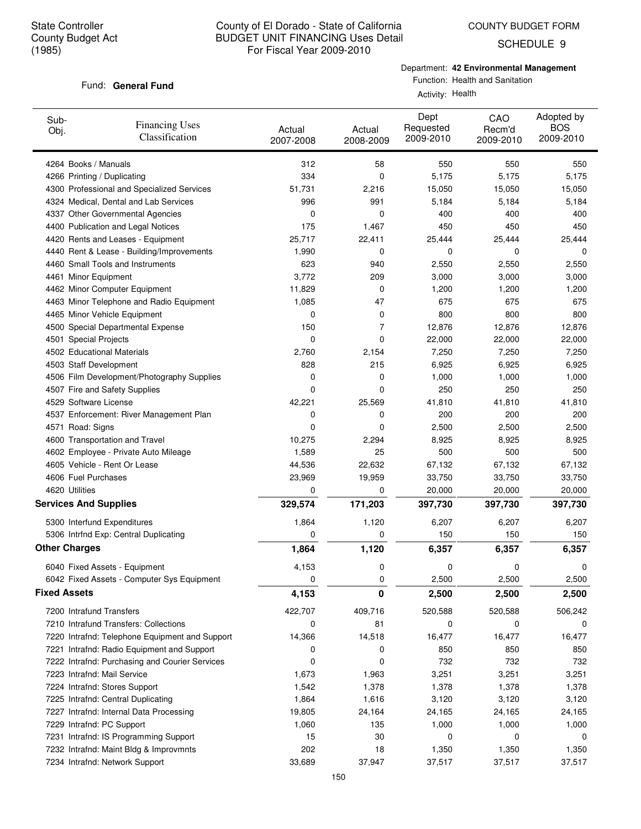SCHEDULE 9

#### Department: **42 Environmental Management**

#### Fund: General Fund

Function: Health and Sanitation Activity: Health

| Sub-<br>Obj.        | <b>Financing Uses</b><br>Classification        | Actual<br>2007-2008 | Actual<br>2008-2009 | Dept<br>Requested<br>2009-2010 | CAO<br>Recm'd<br>2009-2010 | Adopted by<br><b>BOS</b><br>2009-2010 |
|---------------------|------------------------------------------------|---------------------|---------------------|--------------------------------|----------------------------|---------------------------------------|
|                     | 4264 Books / Manuals                           | 312                 | 58                  | 550                            | 550                        | 550                                   |
|                     | 4266 Printing / Duplicating                    | 334                 | 0                   | 5,175                          | 5,175                      | 5,175                                 |
|                     | 4300 Professional and Specialized Services     | 51,731              | 2,216               | 15,050                         | 15,050                     | 15,050                                |
|                     | 4324 Medical, Dental and Lab Services          | 996                 | 991                 | 5,184                          | 5,184                      | 5,184                                 |
|                     | 4337 Other Governmental Agencies               | 0                   | 0                   | 400                            | 400                        | 400                                   |
|                     | 4400 Publication and Legal Notices             | 175                 | 1,467               | 450                            | 450                        | 450                                   |
|                     | 4420 Rents and Leases - Equipment              | 25,717              | 22,411              | 25,444                         | 25,444                     | 25,444                                |
|                     | 4440 Rent & Lease - Building/Improvements      | 1,990               | 0                   | 0                              | 0                          | 0                                     |
|                     | 4460 Small Tools and Instruments               | 623                 | 940                 | 2,550                          | 2,550                      | 2,550                                 |
|                     | 4461 Minor Equipment                           | 3,772               | 209                 | 3,000                          | 3,000                      | 3,000                                 |
|                     | 4462 Minor Computer Equipment                  | 11,829              | 0                   | 1,200                          | 1,200                      | 1,200                                 |
|                     | 4463 Minor Telephone and Radio Equipment       | 1,085               | 47                  | 675                            | 675                        | 675                                   |
|                     | 4465 Minor Vehicle Equipment                   | 0                   | 0                   | 800                            | 800                        | 800                                   |
|                     | 4500 Special Departmental Expense              | 150                 | 7                   | 12,876                         | 12,876                     | 12,876                                |
|                     | 4501 Special Projects                          | 0                   | 0                   | 22,000                         | 22,000                     | 22,000                                |
|                     | 4502 Educational Materials                     | 2,760               | 2,154               | 7,250                          | 7,250                      | 7,250                                 |
|                     | 4503 Staff Development                         | 828                 | 215                 | 6,925                          | 6,925                      | 6,925                                 |
|                     | 4506 Film Development/Photography Supplies     | 0                   | 0                   | 1,000                          | 1,000                      | 1,000                                 |
|                     | 4507 Fire and Safety Supplies                  | 0                   | 0                   | 250                            | 250                        | 250                                   |
|                     | 4529 Software License                          | 42,221              | 25,569              | 41,810                         | 41,810                     | 41,810                                |
|                     | 4537 Enforcement: River Management Plan        | 0                   | 0                   | 200                            | 200                        | 200                                   |
|                     | 4571 Road: Signs                               | 0                   | 0                   | 2,500                          | 2,500                      | 2,500                                 |
|                     | 4600 Transportation and Travel                 | 10,275              | 2,294               | 8,925                          | 8,925                      | 8,925                                 |
|                     | 4602 Employee - Private Auto Mileage           | 1,589               | 25                  | 500                            | 500                        | 500                                   |
|                     | 4605 Vehicle - Rent Or Lease                   | 44,536              | 22,632              | 67,132                         | 67,132                     | 67,132                                |
|                     | 4606 Fuel Purchases                            | 23,969              | 19,959              | 33,750                         | 33,750                     | 33,750                                |
|                     | 4620 Utilities                                 | 0                   | 0                   | 20,000                         | 20,000                     | 20,000                                |
|                     | <b>Services And Supplies</b>                   | 329,574             | 171,203             | 397,730                        | 397,730                    | 397,730                               |
|                     | 5300 Interfund Expenditures                    | 1,864               | 1,120               | 6,207                          | 6,207                      | 6,207                                 |
|                     | 5306 Intrfnd Exp: Central Duplicating          | 0                   | 0                   | 150                            | 150                        | 150                                   |
|                     | <b>Other Charges</b>                           | 1,864               | 1,120               | 6,357                          | 6,357                      | 6,357                                 |
|                     | 6040 Fixed Assets - Equipment                  | 4,153               | 0                   | 0                              | 0                          | 0                                     |
|                     | 6042 Fixed Assets - Computer Sys Equipment     | 0                   | 0                   | 2,500                          | 2,500                      | 2,500                                 |
| <b>Fixed Assets</b> |                                                | 4,153               | 0                   | 2,500                          | 2,500                      | 2,500                                 |
|                     | 7200 Intrafund Transfers                       | 422,707             | 409,716             | 520,588                        | 520,588                    | 506,242                               |
|                     | 7210 Intrafund Transfers: Collections          | 0                   | 81                  | 0                              | 0                          | 0                                     |
|                     | 7220 Intrafnd: Telephone Equipment and Support | 14,366              | 14,518              | 16,477                         | 16,477                     | 16,477                                |
|                     | 7221 Intrafnd: Radio Equipment and Support     | 0                   | 0                   | 850                            | 850                        | 850                                   |
|                     | 7222 Intrafnd: Purchasing and Courier Services | 0                   | 0                   | 732                            | 732                        | 732                                   |
|                     | 7223 Intrafnd: Mail Service                    | 1,673               | 1,963               | 3,251                          | 3,251                      | 3,251                                 |
|                     | 7224 Intrafnd: Stores Support                  | 1,542               | 1,378               | 1,378                          | 1,378                      | 1,378                                 |
|                     | 7225 Intrafnd: Central Duplicating             | 1,864               | 1,616               | 3,120                          | 3,120                      | 3,120                                 |
|                     | 7227 Intrafnd: Internal Data Processing        | 19,805              | 24,164              | 24,165                         | 24,165                     | 24,165                                |
|                     | 7229 Intrafnd: PC Support                      | 1,060               | 135                 | 1,000                          | 1,000                      | 1,000                                 |
|                     | 7231 Intrafnd: IS Programming Support          | 15                  | 30                  | 0                              | 0                          | 0                                     |
|                     | 7232 Intrafnd: Maint Bldg & Improvmnts         | 202                 | 18                  | 1,350                          | 1,350                      | 1,350                                 |
|                     | 7234 Intrafnd: Network Support                 | 33,689              | 37,947              | 37,517                         | 37,517                     | 37,517                                |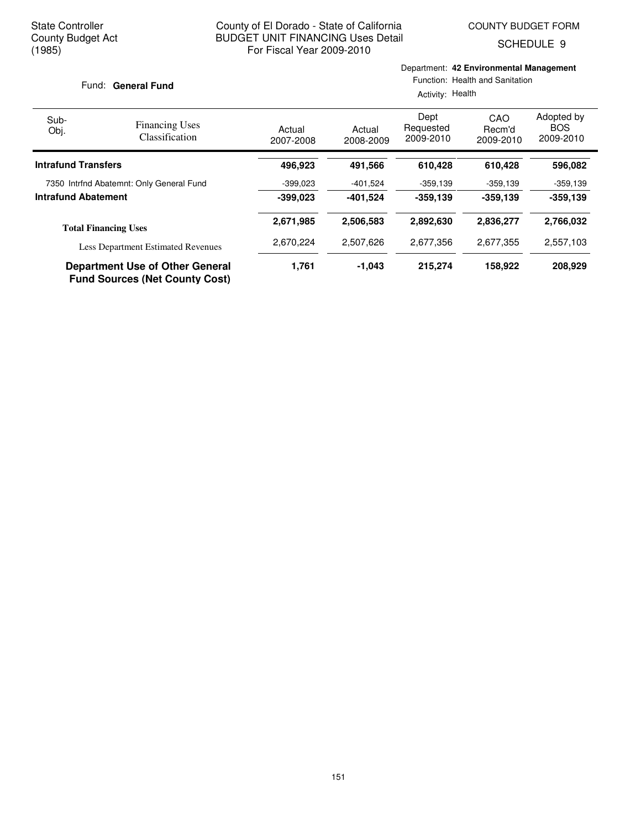Department: **42 Environmental Management**

SCHEDULE 9

| Fund: General Fund                       |                                                                                 | Function: Health and Sanitation<br>Activity: Health |                     |                                |                            |                                       |
|------------------------------------------|---------------------------------------------------------------------------------|-----------------------------------------------------|---------------------|--------------------------------|----------------------------|---------------------------------------|
| Sub-<br>Obj.                             | <b>Financing Uses</b><br><b>Classification</b>                                  | Actual<br>2007-2008                                 | Actual<br>2008-2009 | Dept<br>Requested<br>2009-2010 | CAO<br>Recm'd<br>2009-2010 | Adopted by<br><b>BOS</b><br>2009-2010 |
| <b>Intrafund Transfers</b>               |                                                                                 | 496,923                                             | 491,566             | 610,428                        | 610,428                    | 596,082                               |
| 7350 Intrfnd Abatemnt: Only General Fund |                                                                                 | $-399.023$                                          | $-401,524$          | $-359,139$                     | $-359,139$                 | $-359,139$                            |
| <b>Intrafund Abatement</b>               |                                                                                 | $-399.023$                                          | -401.524            | $-359.139$                     | $-359.139$                 | $-359,139$                            |
|                                          | <b>Total Financing Uses</b>                                                     | 2,671,985                                           | 2,506,583           | 2,892,630                      | 2,836,277                  | 2,766,032                             |
|                                          | <b>Less Department Estimated Revenues</b>                                       | 2,670,224                                           | 2,507,626           | 2,677,356                      | 2,677,355                  | 2,557,103                             |
|                                          | <b>Department Use of Other General</b><br><b>Fund Sources (Net County Cost)</b> | 1,761                                               | $-1,043$            | 215,274                        | 158,922                    | 208,929                               |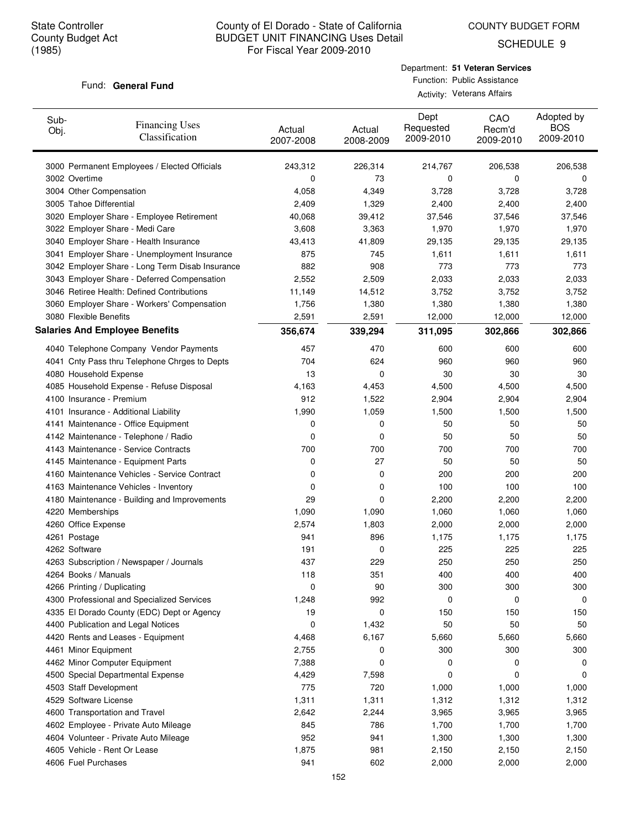SCHEDULE 9

#### Fund: General Fund

| Department: 51 Veteran Services |
|---------------------------------|
| Function: Public Assistance     |
| Activity: Veterans Affairs      |

| Sub-<br>Obj. | <b>Financing Uses</b><br>Classification         | Actual<br>2007-2008 | Actual<br>2008-2009 | Dept<br>Requested<br>2009-2010 | CAO<br>Recm'd<br>2009-2010 | Adopted by<br><b>BOS</b><br>2009-2010 |
|--------------|-------------------------------------------------|---------------------|---------------------|--------------------------------|----------------------------|---------------------------------------|
|              | 3000 Permanent Employees / Elected Officials    | 243,312             | 226,314             | 214,767                        | 206,538                    | 206,538                               |
|              | 3002 Overtime                                   | 0                   | 73                  | 0                              | 0                          | 0                                     |
|              | 3004 Other Compensation                         | 4,058               | 4,349               | 3,728                          | 3,728                      | 3,728                                 |
|              | 3005 Tahoe Differential                         | 2,409               | 1,329               | 2,400                          | 2,400                      | 2,400                                 |
|              | 3020 Employer Share - Employee Retirement       | 40,068              | 39,412              | 37,546                         | 37,546                     | 37,546                                |
|              | 3022 Employer Share - Medi Care                 | 3,608               | 3,363               | 1,970                          | 1,970                      | 1,970                                 |
|              | 3040 Employer Share - Health Insurance          | 43,413              | 41,809              | 29,135                         | 29,135                     | 29,135                                |
|              | 3041 Employer Share - Unemployment Insurance    | 875                 | 745                 | 1,611                          | 1,611                      | 1,611                                 |
|              | 3042 Employer Share - Long Term Disab Insurance | 882                 | 908                 | 773                            | 773                        | 773                                   |
|              | 3043 Employer Share - Deferred Compensation     | 2,552               | 2,509               | 2,033                          | 2,033                      | 2,033                                 |
|              | 3046 Retiree Health: Defined Contributions      | 11,149              | 14,512              | 3,752                          | 3,752                      | 3,752                                 |
|              | 3060 Employer Share - Workers' Compensation     | 1,756               | 1,380               | 1,380                          | 1,380                      | 1,380                                 |
|              | 3080 Flexible Benefits                          | 2,591               | 2,591               | 12,000                         | 12,000                     | 12,000                                |
|              | <b>Salaries And Employee Benefits</b>           | 356,674             | 339,294             | 311,095                        | 302,866                    | 302,866                               |
|              | 4040 Telephone Company Vendor Payments          | 457                 | 470                 | 600                            | 600                        | 600                                   |
|              | 4041 Cnty Pass thru Telephone Chrges to Depts   | 704                 | 624                 | 960                            | 960                        | 960                                   |
|              | 4080 Household Expense                          | 13                  | 0                   | 30                             | 30                         | 30                                    |
|              | 4085 Household Expense - Refuse Disposal        | 4,163               | 4,453               | 4,500                          | 4,500                      | 4,500                                 |
|              | 4100 Insurance - Premium                        | 912                 | 1,522               | 2,904                          | 2,904                      | 2,904                                 |
|              | 4101 Insurance - Additional Liability           | 1,990               | 1,059               | 1,500                          | 1,500                      | 1,500                                 |
|              | 4141 Maintenance - Office Equipment             | 0                   | 0                   | 50                             | 50                         | 50                                    |
|              | 4142 Maintenance - Telephone / Radio            | 0                   | 0                   | 50                             | 50                         | 50                                    |
|              | 4143 Maintenance - Service Contracts            | 700                 | 700                 | 700                            | 700                        | 700                                   |
|              | 4145 Maintenance - Equipment Parts              | 0                   | 27                  | 50                             | 50                         | 50                                    |
|              | 4160 Maintenance Vehicles - Service Contract    | 0                   | 0                   | 200                            | 200                        | 200                                   |
|              | 4163 Maintenance Vehicles - Inventory           | 0                   | 0                   | 100                            | 100                        | 100                                   |
|              | 4180 Maintenance - Building and Improvements    | 29                  | 0                   | 2,200                          | 2,200                      | 2,200                                 |
|              | 4220 Memberships                                | 1,090               | 1,090               | 1,060                          | 1,060                      | 1,060                                 |
|              | 4260 Office Expense                             | 2,574               | 1,803               | 2,000                          | 2,000                      | 2,000                                 |
|              | 4261 Postage                                    | 941                 | 896                 | 1,175                          | 1,175                      | 1,175                                 |
|              | 4262 Software                                   | 191                 | 0                   | 225                            | 225                        | 225                                   |
|              | 4263 Subscription / Newspaper / Journals        | 437                 | 229                 | 250                            | 250                        | 250                                   |
|              | 4264 Books / Manuals                            | 118                 | 351                 | 400                            | 400                        | 400                                   |
|              | 4266 Printing / Duplicating                     | 0                   | 90                  | 300                            | 300                        | 300                                   |
|              | 4300 Professional and Specialized Services      | 1,248               | 992                 | 0                              | 0                          | 0                                     |
|              | 4335 El Dorado County (EDC) Dept or Agency      | 19                  | 0                   | 150                            | 150                        | 150                                   |
|              | 4400 Publication and Legal Notices              | 0                   | 1,432               | 50                             | 50                         | 50                                    |
|              | 4420 Rents and Leases - Equipment               | 4,468               | 6,167               | 5,660                          | 5,660                      | 5,660                                 |
|              | 4461 Minor Equipment                            | 2,755               | 0                   | 300                            | 300                        | 300                                   |
|              | 4462 Minor Computer Equipment                   | 7,388               | 0                   | 0                              | 0                          | 0                                     |
|              | 4500 Special Departmental Expense               | 4,429               | 7,598               | 0                              | 0                          | 0                                     |
|              | 4503 Staff Development                          | 775                 | 720                 | 1,000                          | 1,000                      | 1,000                                 |
|              | 4529 Software License                           | 1,311               | 1,311               | 1,312                          | 1,312                      | 1,312                                 |
|              | 4600 Transportation and Travel                  | 2,642               | 2,244               | 3,965                          | 3,965                      | 3,965                                 |
|              | 4602 Employee - Private Auto Mileage            | 845                 | 786                 | 1,700                          | 1,700                      | 1,700                                 |
|              | 4604 Volunteer - Private Auto Mileage           | 952                 | 941                 | 1,300                          | 1,300                      | 1,300                                 |
|              | 4605 Vehicle - Rent Or Lease                    | 1,875               | 981                 | 2,150                          | 2,150                      | 2,150                                 |
|              | 4606 Fuel Purchases                             | 941                 | 602                 | 2,000                          | 2,000                      | 2,000                                 |
|              |                                                 |                     | 152                 |                                |                            |                                       |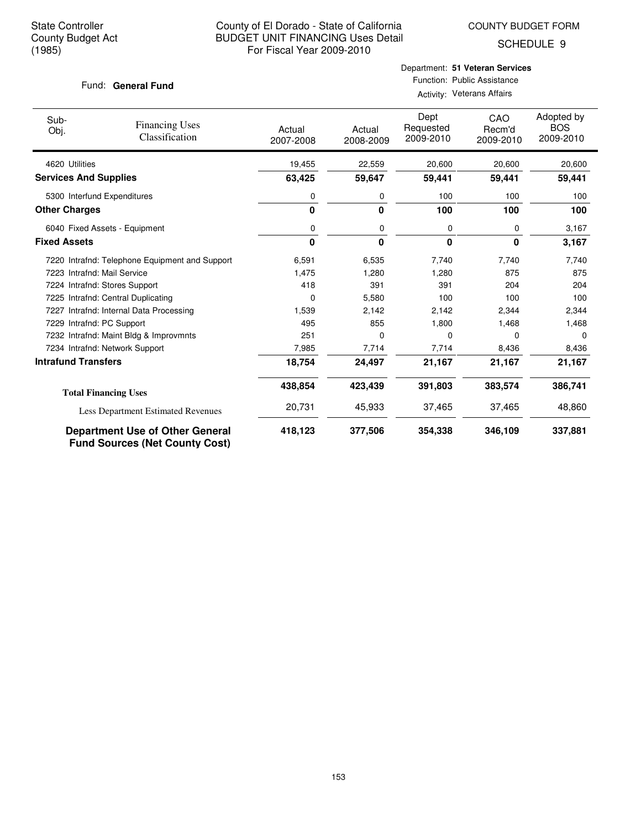COUNTY BUDGET FORM

SCHEDULE 9

#### Fund: General Fund

#### Department: **51 Veteran Services** Function: Public Assistance Activity: Veterans Affairs

| Sub-<br>Obj.                 | <b>Financing Uses</b><br>Classification                                         | Actual<br>2007-2008 | Actual<br>2008-2009 | Dept<br>Requested<br>2009-2010 | CAO<br>Recm'd<br>2009-2010 | Adopted by<br><b>BOS</b><br>2009-2010 |
|------------------------------|---------------------------------------------------------------------------------|---------------------|---------------------|--------------------------------|----------------------------|---------------------------------------|
| 4620 Utilities               |                                                                                 | 19,455              | 22,559              | 20,600                         | 20,600                     | 20,600                                |
| <b>Services And Supplies</b> |                                                                                 | 63,425              | 59,647              | 59,441                         | 59,441                     | 59,441                                |
| 5300 Interfund Expenditures  |                                                                                 | 0                   | 0                   | 100                            | 100                        | 100                                   |
| <b>Other Charges</b>         |                                                                                 | 0                   | $\mathbf{0}$        | 100                            | 100                        | 100                                   |
|                              | 6040 Fixed Assets - Equipment                                                   | 0                   | 0                   | 0                              | 0                          | 3,167                                 |
| <b>Fixed Assets</b>          |                                                                                 | 0                   | $\mathbf{0}$        | 0                              | $\bf{0}$                   | 3,167                                 |
|                              | 7220 Intrafnd: Telephone Equipment and Support                                  | 6,591               | 6,535               | 7,740                          | 7,740                      | 7,740                                 |
| 7223 Intrafnd: Mail Service  |                                                                                 | 1,475               | 1,280               | 1,280                          | 875                        | 875                                   |
|                              | 7224 Intrafnd: Stores Support                                                   | 418                 | 391                 | 391                            | 204                        | 204                                   |
|                              | 7225 Intrafnd: Central Duplicating                                              | 0                   | 5,580               | 100                            | 100                        | 100                                   |
|                              | 7227 Intrafnd: Internal Data Processing                                         | 1,539               | 2,142               | 2,142                          | 2,344                      | 2,344                                 |
| 7229 Intrafnd: PC Support    |                                                                                 | 495                 | 855                 | 1,800                          | 1,468                      | 1,468                                 |
|                              | 7232 Intrafnd: Maint Bldg & Improvmnts                                          | 251                 | 0                   | 0                              | $\Omega$                   | $\Omega$                              |
|                              | 7234 Intrafnd: Network Support                                                  | 7,985               | 7,714               | 7,714                          | 8,436                      | 8,436                                 |
| <b>Intrafund Transfers</b>   |                                                                                 | 18,754              | 24,497              | 21,167                         | 21,167                     | 21,167                                |
|                              | <b>Total Financing Uses</b>                                                     | 438,854             | 423,439             | 391,803                        | 383,574                    | 386,741                               |
|                              | Less Department Estimated Revenues                                              | 20,731              | 45,933              | 37,465                         | 37,465                     | 48,860                                |
|                              | <b>Department Use of Other General</b><br><b>Fund Sources (Net County Cost)</b> | 418,123             | 377,506             | 354,338                        | 346,109                    | 337,881                               |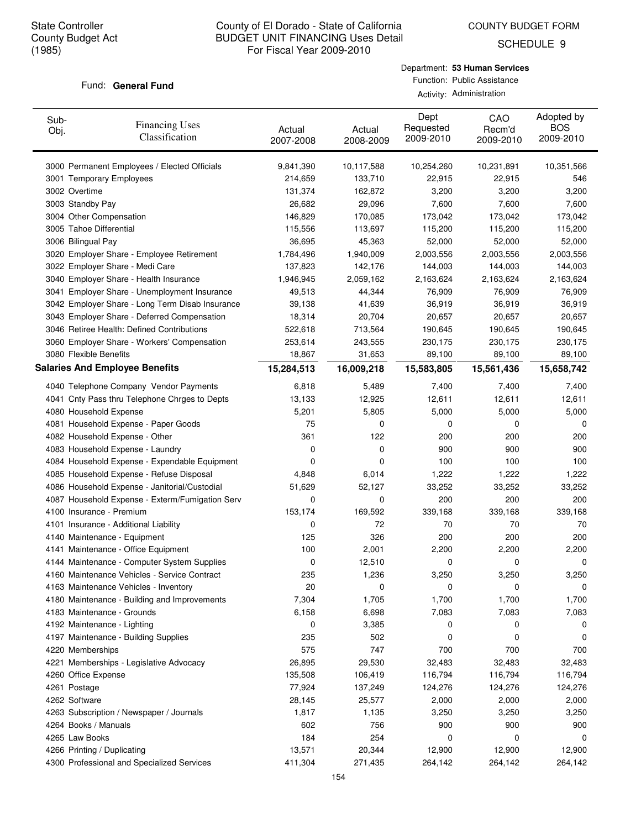COUNTY BUDGET FORM

SCHEDULE 9

#### Fund: General Fund

Department: **53 Human Services** Function: Public Assistance Activity: Administration

| Sub-<br>Obj. | <b>Financing Uses</b><br>Classification         | Actual<br>2007-2008 | Actual<br>2008-2009 | Dept<br>Requested<br>2009-2010 | CAO<br>Recm'd<br>2009-2010 | Adopted by<br><b>BOS</b><br>2009-2010 |
|--------------|-------------------------------------------------|---------------------|---------------------|--------------------------------|----------------------------|---------------------------------------|
|              | 3000 Permanent Employees / Elected Officials    | 9,841,390           | 10,117,588          | 10,254,260                     | 10,231,891                 | 10,351,566                            |
|              | 3001 Temporary Employees                        | 214,659             | 133,710             | 22,915                         | 22,915                     | 546                                   |
|              | 3002 Overtime                                   | 131,374             | 162,872             | 3,200                          | 3,200                      | 3,200                                 |
|              | 3003 Standby Pay                                | 26,682              | 29,096              | 7,600                          | 7,600                      | 7,600                                 |
|              | 3004 Other Compensation                         | 146,829             | 170,085             | 173,042                        | 173,042                    | 173,042                               |
|              | 3005 Tahoe Differential                         | 115,556             | 113,697             | 115,200                        | 115,200                    | 115,200                               |
|              | 3006 Bilingual Pay                              | 36,695              | 45,363              | 52,000                         | 52,000                     | 52,000                                |
|              | 3020 Employer Share - Employee Retirement       | 1,784,496           | 1,940,009           | 2,003,556                      | 2,003,556                  | 2,003,556                             |
|              | 3022 Employer Share - Medi Care                 | 137,823             | 142,176             | 144,003                        | 144,003                    | 144,003                               |
|              | 3040 Employer Share - Health Insurance          | 1,946,945           | 2,059,162           | 2,163,624                      | 2,163,624                  | 2,163,624                             |
|              | 3041 Employer Share - Unemployment Insurance    | 49,513              | 44,344              | 76,909                         | 76,909                     | 76,909                                |
|              | 3042 Employer Share - Long Term Disab Insurance | 39,138              | 41,639              | 36,919                         | 36,919                     | 36,919                                |
|              | 3043 Employer Share - Deferred Compensation     | 18,314              | 20,704              | 20,657                         | 20,657                     | 20,657                                |
|              | 3046 Retiree Health: Defined Contributions      | 522,618             | 713,564             | 190,645                        | 190,645                    | 190,645                               |
|              | 3060 Employer Share - Workers' Compensation     | 253,614             | 243,555             | 230,175                        | 230,175                    | 230,175                               |
|              | 3080 Flexible Benefits                          | 18,867              | 31,653              | 89,100                         | 89,100                     | 89,100                                |
|              | <b>Salaries And Employee Benefits</b>           | 15,284,513          | 16,009,218          | 15,583,805                     | 15,561,436                 | 15,658,742                            |
|              | 4040 Telephone Company Vendor Payments          | 6,818               | 5,489               | 7,400                          | 7,400                      | 7,400                                 |
|              | 4041 Cnty Pass thru Telephone Chrges to Depts   | 13,133              | 12,925              | 12,611                         | 12,611                     | 12,611                                |
|              | 4080 Household Expense                          | 5,201               | 5,805               | 5,000                          | 5,000                      | 5,000                                 |
|              | 4081 Household Expense - Paper Goods            | 75                  | 0                   | 0                              | 0                          | 0                                     |
|              | 4082 Household Expense - Other                  | 361                 | 122                 | 200                            | 200                        | 200                                   |
|              | 4083 Household Expense - Laundry                | 0                   | 0                   | 900                            | 900                        | 900                                   |
|              | 4084 Household Expense - Expendable Equipment   | 0                   | 0                   | 100                            | 100                        | 100                                   |
|              | 4085 Household Expense - Refuse Disposal        | 4,848               | 6,014               | 1,222                          | 1,222                      | 1,222                                 |
|              | 4086 Household Expense - Janitorial/Custodial   | 51,629              | 52,127              | 33,252                         | 33,252                     | 33,252                                |
|              | 4087 Household Expense - Exterm/Fumigation Serv | 0                   | 0                   | 200                            | 200                        | 200                                   |
|              | 4100 Insurance - Premium                        | 153,174             | 169,592             | 339,168                        | 339,168                    | 339,168                               |
|              | 4101 Insurance - Additional Liability           | 0                   | 72                  | 70                             | 70                         | 70                                    |
|              | 4140 Maintenance - Equipment                    | 125                 | 326                 | 200                            | 200                        | 200                                   |
|              | 4141 Maintenance - Office Equipment             | 100                 | 2,001               | 2,200                          | 2,200                      | 2,200                                 |
|              | 4144 Maintenance - Computer System Supplies     | 0                   | 12,510              | 0                              | 0                          | 0                                     |
|              | 4160 Maintenance Vehicles - Service Contract    | 235                 | 1,236               | 3,250                          | 3,250                      | 3,250                                 |
|              | 4163 Maintenance Vehicles - Inventory           | 20                  | 0                   | 0                              | 0                          | 0                                     |
|              | 4180 Maintenance - Building and Improvements    | 7,304               | 1,705               | 1,700                          | 1,700                      | 1,700                                 |
|              | 4183 Maintenance - Grounds                      | 6,158               | 6,698               | 7,083                          | 7,083                      | 7,083                                 |
|              | 4192 Maintenance - Lighting                     | 0                   | 3,385               | 0                              | 0                          | 0                                     |
|              | 4197 Maintenance - Building Supplies            | 235                 | 502                 | 0                              | 0                          | 0                                     |
|              | 4220 Memberships                                | 575                 | 747                 | 700                            | 700                        | 700                                   |
|              | 4221 Memberships - Legislative Advocacy         | 26,895              | 29,530              | 32,483                         | 32,483                     | 32,483                                |
|              | 4260 Office Expense                             | 135,508             | 106,419             | 116,794                        | 116,794                    | 116,794                               |
|              | 4261 Postage                                    | 77,924              | 137,249             | 124,276                        | 124,276                    | 124,276                               |
|              | 4262 Software                                   | 28,145              | 25,577              | 2,000                          | 2,000                      | 2,000                                 |
|              | 4263 Subscription / Newspaper / Journals        | 1,817               | 1,135               | 3,250                          | 3,250                      | 3,250                                 |
|              | 4264 Books / Manuals                            | 602                 | 756                 | 900                            | 900                        | 900                                   |
|              | 4265 Law Books                                  | 184                 | 254                 | 0                              | 0                          | 0                                     |
|              | 4266 Printing / Duplicating                     | 13,571              | 20,344              | 12,900                         | 12,900                     | 12,900                                |
|              | 4300 Professional and Specialized Services      | 411,304             | 271,435             | 264,142                        | 264,142                    | 264,142                               |
|              |                                                 |                     |                     |                                |                            |                                       |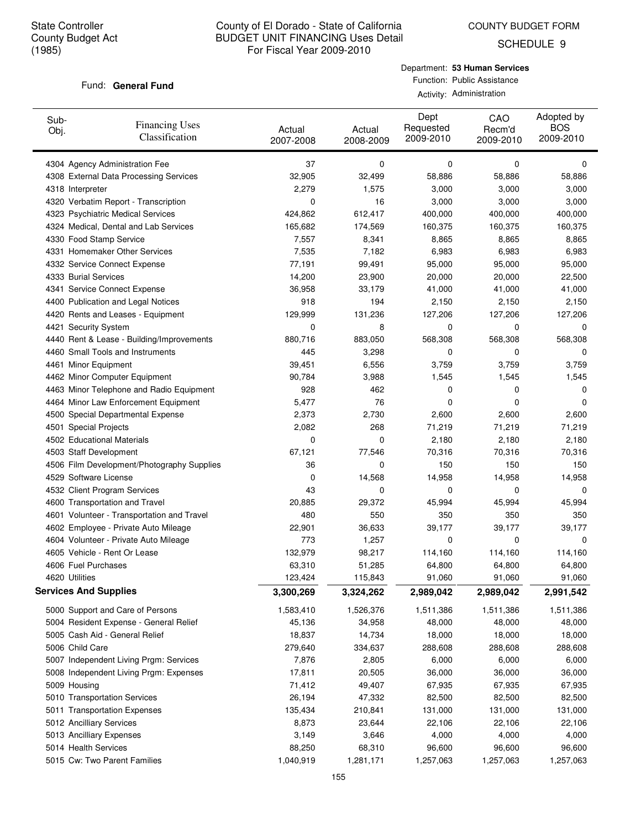SCHEDULE 9

#### Fund: General Fund

Department: **53 Human Services** Function: Public Assistance Activity: Administration

| Sub-<br>Obj. | <b>Financing Uses</b><br>Classification    | Actual<br>2007-2008 | Actual<br>2008-2009 | Dept<br>Requested<br>2009-2010 | CAO<br>Recm'd<br>2009-2010 | Adopted by<br><b>BOS</b><br>2009-2010 |
|--------------|--------------------------------------------|---------------------|---------------------|--------------------------------|----------------------------|---------------------------------------|
|              | 4304 Agency Administration Fee             | 37                  | 0                   | 0                              | 0                          | 0                                     |
|              | 4308 External Data Processing Services     | 32,905              | 32,499              | 58,886                         | 58,886                     | 58,886                                |
|              | 4318 Interpreter                           | 2,279               | 1,575               | 3,000                          | 3,000                      | 3,000                                 |
|              | 4320 Verbatim Report - Transcription       | 0                   | 16                  | 3,000                          | 3,000                      | 3,000                                 |
|              | 4323 Psychiatric Medical Services          | 424,862             | 612,417             | 400,000                        | 400,000                    | 400,000                               |
|              | 4324 Medical, Dental and Lab Services      | 165,682             | 174,569             | 160,375                        | 160,375                    | 160,375                               |
|              | 4330 Food Stamp Service                    | 7,557               | 8,341               | 8,865                          | 8,865                      | 8,865                                 |
|              | 4331 Homemaker Other Services              | 7,535               | 7,182               | 6,983                          | 6,983                      | 6,983                                 |
|              | 4332 Service Connect Expense               | 77,191              | 99,491              | 95,000                         | 95,000                     | 95,000                                |
|              | 4333 Burial Services                       | 14,200              | 23,900              | 20,000                         | 20,000                     | 22,500                                |
|              | 4341 Service Connect Expense               | 36,958              | 33,179              | 41,000                         | 41,000                     | 41,000                                |
|              | 4400 Publication and Legal Notices         | 918                 | 194                 | 2,150                          | 2,150                      | 2,150                                 |
|              | 4420 Rents and Leases - Equipment          | 129,999             | 131,236             | 127,206                        | 127,206                    | 127,206                               |
|              | 4421 Security System                       | 0                   | 8                   | 0                              | 0                          | 0                                     |
|              | 4440 Rent & Lease - Building/Improvements  | 880,716             | 883,050             | 568,308                        | 568,308                    | 568,308                               |
|              | 4460 Small Tools and Instruments           | 445                 | 3,298               | 0                              | 0                          | 0                                     |
|              | 4461 Minor Equipment                       | 39,451              | 6,556               | 3,759                          | 3,759                      | 3,759                                 |
|              | 4462 Minor Computer Equipment              | 90,784              | 3,988               | 1,545                          | 1,545                      | 1,545                                 |
|              | 4463 Minor Telephone and Radio Equipment   | 928                 | 462                 | 0                              | 0                          | 0                                     |
|              | 4464 Minor Law Enforcement Equipment       | 5,477               | 76                  | 0                              | 0                          | 0                                     |
|              | 4500 Special Departmental Expense          | 2,373               | 2,730               | 2,600                          | 2,600                      | 2,600                                 |
|              | 4501 Special Projects                      | 2,082               | 268                 | 71,219                         | 71,219                     | 71,219                                |
|              | 4502 Educational Materials                 | 0                   | 0                   | 2,180                          | 2,180                      | 2,180                                 |
|              | 4503 Staff Development                     | 67,121              | 77,546              | 70,316                         | 70,316                     | 70,316                                |
|              | 4506 Film Development/Photography Supplies | 36                  | 0                   | 150                            | 150                        | 150                                   |
|              | 4529 Software License                      | 0                   | 14,568              | 14,958                         | 14,958                     | 14,958                                |
|              | 4532 Client Program Services               | 43                  | 0                   | 0                              | 0                          | 0                                     |
|              | 4600 Transportation and Travel             | 20,885              | 29,372              | 45,994                         | 45,994                     | 45,994                                |
|              | 4601 Volunteer - Transportation and Travel | 480                 | 550                 | 350                            | 350                        | 350                                   |
|              | 4602 Employee - Private Auto Mileage       | 22,901              | 36,633              | 39,177                         | 39,177                     | 39,177                                |
|              | 4604 Volunteer - Private Auto Mileage      | 773                 | 1,257               | 0                              | 0                          | 0                                     |
|              | 4605 Vehicle - Rent Or Lease               | 132,979             | 98,217              | 114,160                        | 114,160                    | 114,160                               |
|              | 4606 Fuel Purchases                        | 63,310              | 51,285              | 64,800                         | 64,800                     | 64,800                                |
|              | 4620 Utilities                             | 123,424             | 115,843             | 91,060                         | 91,060                     | 91,060                                |
|              | <b>Services And Supplies</b>               | 3,300,269           | 3,324,262           | 2,989,042                      | 2,989,042                  | 2,991,542                             |
|              | 5000 Support and Care of Persons           | 1,583,410           | 1,526,376           | 1,511,386                      | 1,511,386                  | 1,511,386                             |
|              | 5004 Resident Expense - General Relief     | 45,136              | 34,958              | 48,000                         | 48,000                     | 48,000                                |
|              | 5005 Cash Aid - General Relief             | 18,837              | 14,734              | 18,000                         | 18,000                     | 18,000                                |
|              | 5006 Child Care                            | 279,640             | 334,637             | 288,608                        | 288,608                    | 288,608                               |
|              | 5007 Independent Living Prgm: Services     | 7,876               | 2,805               | 6,000                          | 6,000                      | 6,000                                 |
|              | 5008 Independent Living Prgm: Expenses     | 17,811              | 20,505              | 36,000                         | 36,000                     | 36,000                                |
|              | 5009 Housing                               | 71,412              | 49,407              | 67,935                         | 67,935                     | 67,935                                |
|              | 5010 Transportation Services               | 26,194              | 47,332              | 82,500                         | 82,500                     | 82,500                                |
|              | 5011 Transportation Expenses               | 135,434             | 210,841             | 131,000                        | 131,000                    | 131,000                               |
|              | 5012 Ancilliary Services                   | 8,873               | 23,644              | 22,106                         | 22,106                     | 22,106                                |
|              | 5013 Ancilliary Expenses                   | 3,149               | 3,646               | 4,000                          | 4,000                      | 4,000                                 |
|              | 5014 Health Services                       | 88,250              | 68,310              | 96,600                         | 96,600                     | 96,600                                |
|              | 5015 Cw: Two Parent Families               | 1,040,919           | 1,281,171           | 1,257,063                      | 1,257,063                  | 1,257,063                             |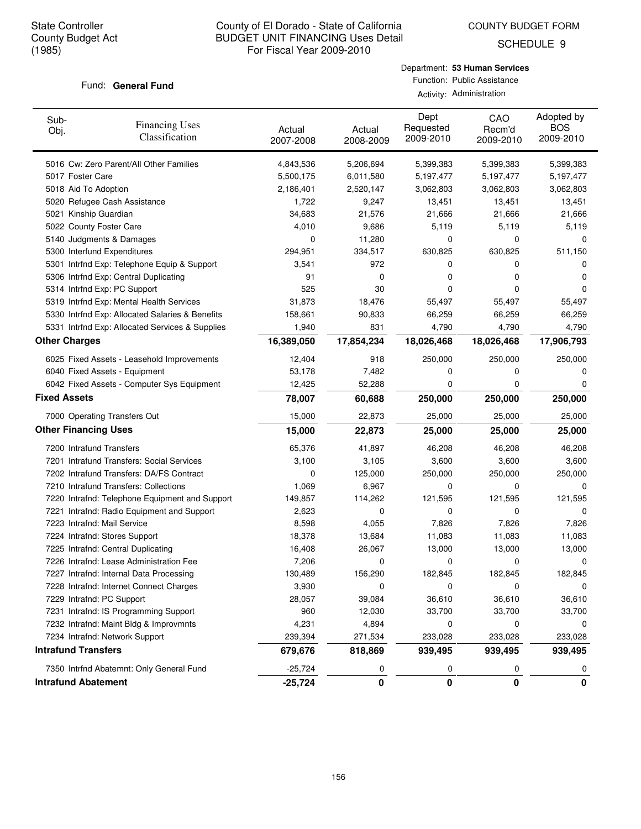COUNTY BUDGET FORM

SCHEDULE 9

#### Fund: General Fund

| Sub-<br>Obj.         | <b>Financing Uses</b><br>Classification         | Actual<br>2007-2008 | Actual<br>2008-2009 | Dept<br>Requested<br>2009-2010 | CAO<br>Recm'd<br>2009-2010 | Adopted by<br><b>BOS</b><br>2009-2010 |
|----------------------|-------------------------------------------------|---------------------|---------------------|--------------------------------|----------------------------|---------------------------------------|
|                      | 5016 Cw: Zero Parent/All Other Families         | 4,843,536           | 5,206,694           | 5,399,383                      | 5,399,383                  | 5,399,383                             |
|                      | 5017 Foster Care                                | 5,500,175           | 6,011,580           | 5,197,477                      | 5,197,477                  | 5,197,477                             |
|                      | 5018 Aid To Adoption                            | 2,186,401           | 2,520,147           | 3,062,803                      | 3,062,803                  | 3,062,803                             |
|                      | 5020 Refugee Cash Assistance                    | 1,722               | 9,247               | 13,451                         | 13,451                     | 13,451                                |
|                      | 5021 Kinship Guardian                           | 34,683              | 21,576              | 21,666                         | 21,666                     | 21,666                                |
|                      | 5022 County Foster Care                         | 4,010               | 9,686               | 5,119                          | 5,119                      | 5,119                                 |
|                      | 5140 Judgments & Damages                        | 0                   | 11,280              | 0                              | 0                          | 0                                     |
|                      | 5300 Interfund Expenditures                     | 294,951             | 334,517             | 630,825                        | 630,825                    | 511,150                               |
|                      | 5301 Intrfnd Exp: Telephone Equip & Support     | 3,541               | 972                 | 0                              | 0                          | 0                                     |
|                      | 5306 Intrfnd Exp: Central Duplicating           | 91                  | 0                   | 0                              | 0                          | 0                                     |
|                      | 5314 Intrfnd Exp: PC Support                    | 525                 | 30                  | 0                              | 0                          | 0                                     |
|                      | 5319 Intrfnd Exp: Mental Health Services        | 31,873              | 18,476              | 55,497                         | 55,497                     | 55,497                                |
|                      | 5330 Intrfnd Exp: Allocated Salaries & Benefits | 158,661             | 90,833              | 66,259                         | 66,259                     | 66,259                                |
|                      | 5331 Intrfnd Exp: Allocated Services & Supplies | 1,940               | 831                 | 4,790                          | 4,790                      | 4,790                                 |
| <b>Other Charges</b> |                                                 | 16,389,050          | 17,854,234          | 18,026,468                     | 18,026,468                 | 17,906,793                            |
|                      | 6025 Fixed Assets - Leasehold Improvements      | 12,404              | 918                 | 250,000                        | 250,000                    | 250,000                               |
|                      | 6040 Fixed Assets - Equipment                   | 53,178              | 7,482               | 0                              | 0                          | 0                                     |
|                      | 6042 Fixed Assets - Computer Sys Equipment      | 12,425              | 52,288              | 0                              | 0                          | 0                                     |
| <b>Fixed Assets</b>  |                                                 | 78,007              | 60,688              | 250,000                        | 250,000                    | 250,000                               |
|                      | 7000 Operating Transfers Out                    | 15,000              | 22,873              | 25,000                         | 25,000                     | 25,000                                |
|                      | <b>Other Financing Uses</b>                     | 15,000              | 22,873              | 25,000                         | 25,000                     | 25,000                                |
|                      | 7200 Intrafund Transfers                        | 65,376              | 41,897              | 46,208                         | 46,208                     | 46,208                                |
|                      | 7201 Intrafund Transfers: Social Services       | 3,100               | 3,105               | 3,600                          | 3,600                      | 3,600                                 |
|                      | 7202 Intrafund Transfers: DA/FS Contract        | 0                   | 125,000             | 250,000                        | 250,000                    | 250,000                               |
|                      | 7210 Intrafund Transfers: Collections           | 1,069               | 6,967               | 0                              | 0                          | 0                                     |
|                      | 7220 Intrafnd: Telephone Equipment and Support  | 149,857             | 114,262             | 121,595                        | 121,595                    | 121,595                               |
|                      | 7221 Intrafnd: Radio Equipment and Support      | 2,623               | 0                   | 0                              | 0                          | 0                                     |
|                      | 7223 Intrafnd: Mail Service                     | 8,598               | 4,055               | 7,826                          | 7,826                      | 7,826                                 |
|                      | 7224 Intrafnd: Stores Support                   | 18,378              | 13,684              | 11,083                         | 11,083                     | 11,083                                |
|                      | 7225 Intrafnd: Central Duplicating              | 16,408              | 26,067              | 13,000                         | 13,000                     | 13,000                                |
|                      | 7226 Intrafnd: Lease Administration Fee         | 7,206               | 0                   | 0                              | 0                          | 0                                     |
|                      | 7227 Intrafnd: Internal Data Processing         | 130,489             | 156,290             | 182,845                        | 182,845                    | 182,845                               |
|                      | 7228 Intrafnd: Internet Connect Charges         | 3,930               | 0                   | 0                              | 0                          | 0                                     |
|                      | 7229 Intrafnd: PC Support                       | 28,057              | 39,084              | 36,610                         | 36,610                     | 36,610                                |
|                      | 7231 Intrafnd: IS Programming Support           | 960                 | 12,030              | 33,700                         | 33,700                     | 33,700                                |
|                      | 7232 Intrafnd: Maint Bldg & Improvmnts          | 4,231               | 4,894               | 0                              | 0                          |                                       |
|                      | 7234 Intrafnd: Network Support                  | 239,394             | 271,534             | 233,028                        | 233,028                    | 233,028                               |
|                      | <b>Intrafund Transfers</b>                      | 679,676             | 818,869             | 939,495                        | 939,495                    | 939,495                               |
|                      | 7350 Intrfnd Abatemnt: Only General Fund        | $-25,724$           | 0                   | 0                              | 0                          | 0                                     |
|                      | <b>Intrafund Abatement</b>                      | $-25,724$           | 0                   | 0                              | 0                          | 0                                     |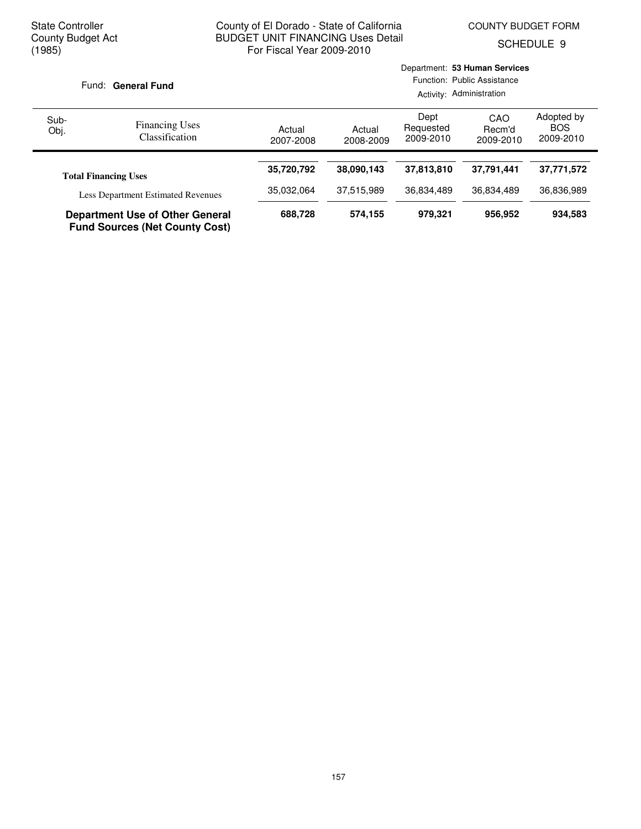Department: **53 Human Services**

SCHEDULE 9

| Fund: General Fund |                                                                                 | Function: Public Assistance<br>Activity: Administration |                     |                                |                            |                                       |
|--------------------|---------------------------------------------------------------------------------|---------------------------------------------------------|---------------------|--------------------------------|----------------------------|---------------------------------------|
| Sub-<br>Obj.       | <b>Financing Uses</b><br><b>Classification</b>                                  | Actual<br>2007-2008                                     | Actual<br>2008-2009 | Dept<br>Requested<br>2009-2010 | CAO<br>Recm'd<br>2009-2010 | Adopted by<br><b>BOS</b><br>2009-2010 |
|                    |                                                                                 |                                                         |                     |                                |                            |                                       |
|                    | <b>Total Financing Uses</b>                                                     | 35,720,792                                              | 38,090,143          | 37,813,810                     | 37,791,441                 | 37,771,572                            |
|                    | <b>Less Department Estimated Revenues</b>                                       | 35,032,064                                              | 37,515,989          | 36,834,489                     | 36,834,489                 | 36,836,989                            |
|                    | <b>Department Use of Other General</b><br><b>Fund Sources (Net County Cost)</b> | 688,728                                                 | 574,155             | 979,321                        | 956,952                    | 934,583                               |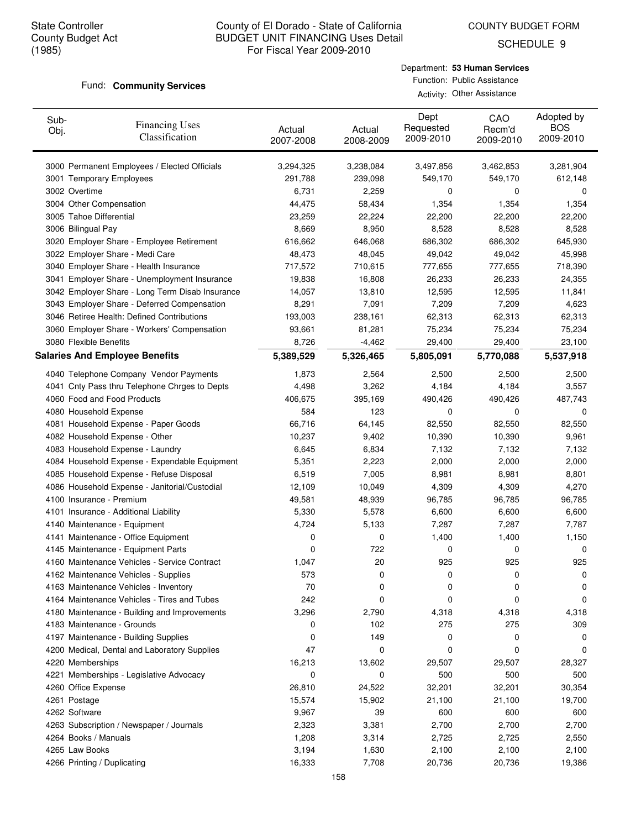COUNTY BUDGET FORM

SCHEDULE 9

#### Fund: **Community Services**

| Sub-<br>Obj.  | <b>Financing Uses</b><br>Classification         | Actual<br>2007-2008 | Actual<br>2008-2009 | Dept<br>Requested<br>2009-2010 | CAO<br>Recm'd<br>2009-2010 | Adopted by<br><b>BOS</b><br>2009-2010 |
|---------------|-------------------------------------------------|---------------------|---------------------|--------------------------------|----------------------------|---------------------------------------|
|               | 3000 Permanent Employees / Elected Officials    | 3,294,325           | 3,238,084           | 3,497,856                      | 3,462,853                  | 3,281,904                             |
|               | 3001 Temporary Employees                        | 291,788             | 239,098             | 549,170                        | 549,170                    | 612,148                               |
| 3002 Overtime |                                                 | 6,731               | 2,259               | 0                              | 0                          | 0                                     |
|               | 3004 Other Compensation                         | 44,475              | 58,434              | 1,354                          | 1,354                      | 1,354                                 |
|               | 3005 Tahoe Differential                         | 23,259              | 22,224              | 22,200                         | 22,200                     | 22,200                                |
|               | 3006 Bilingual Pay                              | 8,669               | 8,950               | 8,528                          | 8,528                      | 8,528                                 |
|               | 3020 Employer Share - Employee Retirement       | 616,662             | 646,068             | 686,302                        | 686,302                    | 645,930                               |
|               | 3022 Employer Share - Medi Care                 | 48,473              | 48,045              | 49,042                         | 49,042                     | 45,998                                |
|               | 3040 Employer Share - Health Insurance          | 717,572             | 710,615             | 777,655                        | 777,655                    | 718,390                               |
|               | 3041 Employer Share - Unemployment Insurance    | 19,838              | 16,808              | 26,233                         | 26,233                     | 24,355                                |
|               | 3042 Employer Share - Long Term Disab Insurance | 14,057              | 13,810              | 12,595                         | 12,595                     | 11,841                                |
|               | 3043 Employer Share - Deferred Compensation     | 8,291               | 7,091               | 7,209                          | 7,209                      | 4,623                                 |
|               | 3046 Retiree Health: Defined Contributions      | 193,003             | 238,161             | 62,313                         | 62,313                     | 62,313                                |
|               | 3060 Employer Share - Workers' Compensation     | 93,661              | 81,281              | 75,234                         | 75,234                     | 75,234                                |
|               | 3080 Flexible Benefits                          | 8,726               | $-4,462$            | 29,400                         | 29,400                     | 23,100                                |
|               | <b>Salaries And Employee Benefits</b>           | 5,389,529           | 5,326,465           | 5,805,091                      | 5,770,088                  | 5,537,918                             |
|               | 4040 Telephone Company Vendor Payments          | 1,873               | 2,564               | 2,500                          | 2,500                      | 2,500                                 |
|               | 4041 Cnty Pass thru Telephone Chrges to Depts   | 4,498               | 3,262               | 4,184                          | 4,184                      | 3,557                                 |
|               | 4060 Food and Food Products                     | 406,675             | 395,169             | 490,426                        | 490,426                    | 487,743                               |
|               | 4080 Household Expense                          | 584                 | 123                 | 0                              | 0                          | 0                                     |
|               | 4081 Household Expense - Paper Goods            | 66,716              | 64,145              | 82,550                         | 82,550                     | 82,550                                |
|               | 4082 Household Expense - Other                  | 10,237              | 9,402               | 10,390                         | 10,390                     | 9,961                                 |
|               | 4083 Household Expense - Laundry                | 6,645               | 6,834               | 7,132                          | 7,132                      | 7,132                                 |
|               | 4084 Household Expense - Expendable Equipment   | 5,351               | 2,223               | 2,000                          | 2,000                      | 2,000                                 |
|               | 4085 Household Expense - Refuse Disposal        | 6,519               | 7,005               | 8,981                          | 8,981                      | 8,801                                 |
|               | 4086 Household Expense - Janitorial/Custodial   | 12,109              | 10,049              | 4,309                          | 4,309                      | 4,270                                 |
|               | 4100 Insurance - Premium                        | 49,581              | 48,939              | 96,785                         | 96,785                     | 96,785                                |
|               | 4101 Insurance - Additional Liability           | 5,330               | 5,578               | 6,600                          | 6,600                      | 6,600                                 |
|               | 4140 Maintenance - Equipment                    | 4,724               | 5,133               | 7,287                          | 7,287                      | 7,787                                 |
|               | 4141 Maintenance - Office Equipment             | 0                   | 0                   | 1,400                          | 1,400                      | 1,150                                 |
|               | 4145 Maintenance - Equipment Parts              | 0                   | 722                 | 0                              | 0                          | 0                                     |
|               | 4160 Maintenance Vehicles - Service Contract    | 1,047               | 20                  | 925                            | 925                        | 925                                   |
|               | 4162 Maintenance Vehicles - Supplies            | 573                 | O                   | 0                              | U                          | U                                     |
|               | 4163 Maintenance Vehicles - Inventory           | 70                  | 0                   | 0                              | 0                          | 0                                     |
|               | 4164 Maintenance Vehicles - Tires and Tubes     | 242                 | 0                   | 0                              | 0                          | 0                                     |
|               | 4180 Maintenance - Building and Improvements    | 3,296               | 2,790               | 4,318                          | 4,318                      | 4,318                                 |
|               | 4183 Maintenance - Grounds                      | 0                   | 102                 | 275                            | 275                        | 309                                   |
|               | 4197 Maintenance - Building Supplies            | 0                   | 149                 | 0                              | 0                          | 0                                     |
|               | 4200 Medical, Dental and Laboratory Supplies    | 47                  | 0                   | 0                              | 0                          | 0                                     |
|               | 4220 Memberships                                | 16,213              | 13,602              | 29,507                         | 29,507                     | 28,327                                |
|               | 4221 Memberships - Legislative Advocacy         | 0                   | 0                   | 500                            | 500                        | 500                                   |
|               | 4260 Office Expense                             | 26,810              | 24,522              | 32,201                         | 32,201                     | 30,354                                |
| 4261 Postage  |                                                 | 15,574              | 15,902              | 21,100                         | 21,100                     | 19,700                                |
| 4262 Software |                                                 | 9,967               | 39                  | 600                            | 600                        | 600                                   |
|               | 4263 Subscription / Newspaper / Journals        | 2,323               | 3,381               | 2,700                          | 2,700                      | 2,700                                 |
|               | 4264 Books / Manuals                            | 1,208               | 3,314               | 2,725                          | 2,725                      | 2,550                                 |
|               | 4265 Law Books                                  | 3,194               | 1,630               | 2,100                          | 2,100                      | 2,100                                 |
|               | 4266 Printing / Duplicating                     | 16,333              | 7,708               | 20,736                         | 20,736                     | 19,386                                |
|               |                                                 |                     |                     |                                |                            |                                       |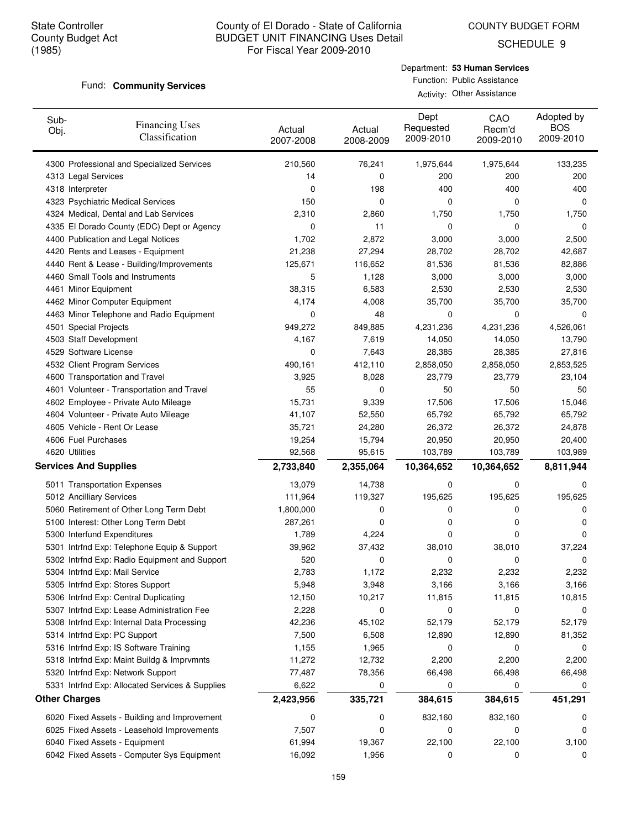COUNTY BUDGET FORM

SCHEDULE 9

#### Fund: **Community Services**

| Department: 53 Human Services |
|-------------------------------|
| Function: Public Assistance   |

| Activity: Other Assistance |
|----------------------------|
|                            |

| Sub-<br>Obj. | <b>Financing Uses</b><br>Classification                                                  | Actual<br>2007-2008 | Actual<br>2008-2009 | Dept<br>Requested<br>2009-2010 | CAO<br>Recm'd<br>2009-2010 | Adopted by<br><b>BOS</b><br>2009-2010 |
|--------------|------------------------------------------------------------------------------------------|---------------------|---------------------|--------------------------------|----------------------------|---------------------------------------|
|              | 4300 Professional and Specialized Services                                               | 210,560             | 76,241              | 1,975,644                      | 1,975,644                  | 133,235                               |
|              | 4313 Legal Services                                                                      | 14                  | 0                   | 200                            | 200                        | 200                                   |
|              | 4318 Interpreter                                                                         | 0                   | 198                 | 400                            | 400                        | 400                                   |
|              | 4323 Psychiatric Medical Services                                                        | 150                 | 0                   | 0                              | 0                          | 0                                     |
|              | 4324 Medical, Dental and Lab Services                                                    | 2,310               | 2,860               | 1,750                          | 1,750                      | 1,750                                 |
|              | 4335 El Dorado County (EDC) Dept or Agency                                               | 0                   | 11                  | 0                              | 0                          | 0                                     |
|              | 4400 Publication and Legal Notices                                                       | 1,702               | 2,872               | 3,000                          | 3,000                      | 2,500                                 |
|              | 4420 Rents and Leases - Equipment                                                        | 21,238              | 27,294              | 28,702                         | 28,702                     | 42,687                                |
|              | 4440 Rent & Lease - Building/Improvements                                                | 125,671             | 116,652             | 81,536                         | 81,536                     | 82,886                                |
|              | 4460 Small Tools and Instruments                                                         | 5                   | 1,128               | 3,000                          | 3,000                      | 3,000                                 |
|              | 4461 Minor Equipment                                                                     | 38,315              | 6,583               | 2,530                          | 2,530                      | 2,530                                 |
|              | 4462 Minor Computer Equipment                                                            | 4,174               | 4,008               | 35,700                         | 35,700                     | 35,700                                |
|              | 4463 Minor Telephone and Radio Equipment                                                 | 0                   | 48                  | 0                              | 0                          | 0                                     |
|              | 4501 Special Projects                                                                    | 949,272             | 849,885             | 4,231,236                      | 4,231,236                  | 4,526,061                             |
|              | 4503 Staff Development                                                                   | 4,167               | 7,619               | 14,050                         | 14,050                     | 13,790                                |
|              | 4529 Software License                                                                    | 0                   | 7,643               | 28,385                         | 28,385                     | 27,816                                |
|              | 4532 Client Program Services                                                             | 490,161             | 412,110             | 2,858,050                      | 2,858,050                  | 2,853,525                             |
|              | 4600 Transportation and Travel                                                           | 3,925               | 8,028               | 23,779                         | 23,779                     | 23,104                                |
|              | 4601 Volunteer - Transportation and Travel                                               | 55                  | 0                   | 50                             | 50                         | 50                                    |
|              | 4602 Employee - Private Auto Mileage                                                     | 15,731              | 9,339               | 17,506                         | 17,506                     | 15,046                                |
|              | 4604 Volunteer - Private Auto Mileage                                                    | 41,107              | 52,550              | 65,792                         | 65,792                     | 65,792                                |
|              | 4605 Vehicle - Rent Or Lease                                                             | 35,721              | 24,280              | 26,372                         | 26,372                     | 24,878                                |
|              | 4606 Fuel Purchases                                                                      | 19,254              | 15,794              | 20,950                         | 20,950                     | 20,400                                |
|              | 4620 Utilities                                                                           | 92,568              | 95,615              | 103,789                        | 103,789                    | 103,989                               |
|              | <b>Services And Supplies</b>                                                             | 2,733,840           | 2,355,064           | 10,364,652                     | 10,364,652                 | 8,811,944                             |
|              | 5011 Transportation Expenses                                                             | 13,079              | 14,738              | 0                              | 0                          | 0                                     |
|              | 5012 Ancilliary Services                                                                 | 111,964             | 119,327             | 195,625                        | 195,625                    | 195,625                               |
|              | 5060 Retirement of Other Long Term Debt                                                  | 1,800,000           | 0                   | 0                              | 0                          | 0                                     |
|              | 5100 Interest: Other Long Term Debt                                                      | 287,261             | 0                   | 0                              | 0                          | 0                                     |
|              | 5300 Interfund Expenditures                                                              | 1,789               | 4,224               | 0                              | 0                          | $\Omega$                              |
|              | 5301 Intrfnd Exp: Telephone Equip & Support                                              | 39,962              | 37,432              | 38,010                         | 38,010                     | 37,224                                |
|              | 5302 Intrfnd Exp: Radio Equipment and Support                                            | 520                 | 0                   | 0                              | 0                          | 0                                     |
|              | 5304 Intrfnd Exp: Mail Service                                                           | 2,783               | 1,172               | 2,232                          | 2,232                      | 2,232                                 |
|              |                                                                                          |                     | 3,948               |                                |                            |                                       |
|              | 5305 Intrfnd Exp: Stores Support                                                         | 5,948               |                     | 3,166                          | 3,166                      | 3,166                                 |
|              | 5306 Intrfnd Exp: Central Duplicating                                                    | 12,150              | 10,217              | 11,815<br>0                    | 11,815<br>0                | 10,815                                |
|              | 5307 Intrfnd Exp: Lease Administration Fee<br>5308 Intrfnd Exp: Internal Data Processing | 2,228<br>42,236     | 0<br>45,102         | 52,179                         | 52,179                     | 0<br>52,179                           |
|              | 5314 Intrfnd Exp: PC Support                                                             |                     |                     |                                |                            |                                       |
|              |                                                                                          | 7,500               | 6,508               | 12,890                         | 12,890                     | 81,352                                |
|              | 5316 Intrfnd Exp: IS Software Training                                                   | 1,155               | 1,965               | 0                              | 0                          | 0                                     |
|              | 5318 Intrfnd Exp: Maint Buildg & Imprvmnts                                               | 11,272              | 12,732              | 2,200                          | 2,200                      | 2,200                                 |
|              | 5320 Intrfnd Exp: Network Support                                                        | 77,487              | 78,356              | 66,498                         | 66,498                     | 66,498                                |
|              | 5331 Intrfnd Exp: Allocated Services & Supplies                                          | 6,622               | 0                   | 0                              | 0                          | 0                                     |
|              | <b>Other Charges</b>                                                                     | 2,423,956           | 335,721             | 384,615                        | 384,615                    | 451,291                               |
|              | 6020 Fixed Assets - Building and Improvement                                             | 0                   | 0                   | 832,160                        | 832,160                    | 0                                     |
|              | 6025 Fixed Assets - Leasehold Improvements                                               | 7,507               | 0                   | 0                              | 0                          | 0                                     |
|              | 6040 Fixed Assets - Equipment                                                            | 61,994              | 19,367              | 22,100                         | 22,100                     | 3,100                                 |
|              | 6042 Fixed Assets - Computer Sys Equipment                                               | 16,092              | 1,956               | 0                              | 0                          | 0                                     |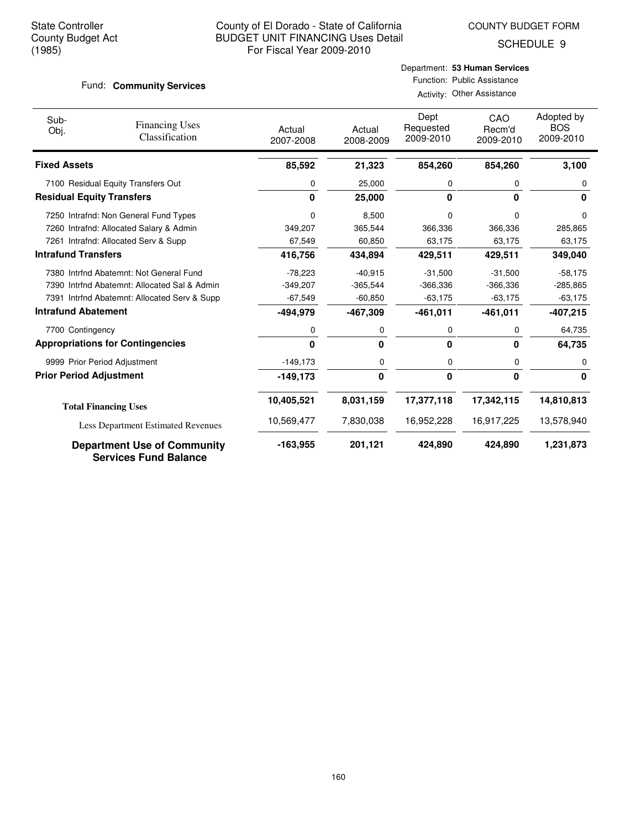COUNTY BUDGET FORM

SCHEDULE 9

#### Fund: **Community Services**

### Department: **53 Human Services** Function: Public Assistance

Activity: Other Assistance

| Sub-<br>Obj.                     | <b>Financing Uses</b><br>Classification                            | Actual<br>2007-2008 | Actual<br>2008-2009 | Dept<br>Requested<br>2009-2010 | CAO<br>Recm'd<br>2009-2010 | Adopted by<br><b>BOS</b><br>2009-2010 |
|----------------------------------|--------------------------------------------------------------------|---------------------|---------------------|--------------------------------|----------------------------|---------------------------------------|
| <b>Fixed Assets</b>              |                                                                    | 85,592              | 21,323              | 854,260                        | 854,260                    | 3,100                                 |
|                                  | 7100 Residual Equity Transfers Out                                 | 0                   | 25,000              | 0                              | 0                          | 0                                     |
| <b>Residual Equity Transfers</b> |                                                                    | 0                   | 25,000              | 0                              | $\Omega$                   | 0                                     |
|                                  | 7250 Intrafnd: Non General Fund Types                              | 0                   | 8,500               | $\Omega$                       | <sup>0</sup>               | <sup>0</sup>                          |
|                                  | 7260 Intrafnd: Allocated Salary & Admin                            | 349,207             | 365,544             | 366,336                        | 366,336                    | 285,865                               |
|                                  | 7261 Intrafnd: Allocated Serv & Supp                               | 67,549              | 60,850              | 63,175                         | 63,175                     | 63,175                                |
| <b>Intrafund Transfers</b>       |                                                                    | 416,756             | 434,894             | 429,511                        | 429,511                    | 349,040                               |
|                                  | 7380 Intrfnd Abatemnt: Not General Fund                            | $-78,223$           | $-40,915$           | $-31,500$                      | $-31,500$                  | $-58,175$                             |
|                                  | 7390 Intrfnd Abatemnt: Allocated Sal & Admin                       | $-349,207$          | $-365,544$          | $-366,336$                     | $-366,336$                 | $-285,865$                            |
|                                  | 7391 Intrfnd Abatemnt: Allocated Serv & Supp                       | $-67,549$           | $-60,850$           | $-63,175$                      | $-63,175$                  | $-63,175$                             |
| <b>Intrafund Abatement</b>       |                                                                    | -494,979            | -467,309            | $-461,011$                     | $-461,011$                 | -407,215                              |
| 7700 Contingency                 |                                                                    | 0                   | 0                   | 0                              | 0                          | 64,735                                |
|                                  | <b>Appropriations for Contingencies</b>                            | 0                   | $\Omega$            | 0                              | $\bf{0}$                   | 64,735                                |
|                                  | 9999 Prior Period Adjustment                                       | $-149,173$          | 0                   | 0                              | 0                          | 0                                     |
| <b>Prior Period Adjustment</b>   |                                                                    | $-149,173$          | 0                   | 0                              | $\bf{0}$                   | $\mathbf{0}$                          |
|                                  | <b>Total Financing Uses</b>                                        | 10,405,521          | 8,031,159           | 17,377,118                     | 17,342,115                 | 14,810,813                            |
|                                  | <b>Less Department Estimated Revenues</b>                          | 10,569,477          | 7,830,038           | 16,952,228                     | 16,917,225                 | 13,578,940                            |
|                                  | <b>Department Use of Community</b><br><b>Services Fund Balance</b> | $-163,955$          | 201,121             | 424,890                        | 424,890                    | 1,231,873                             |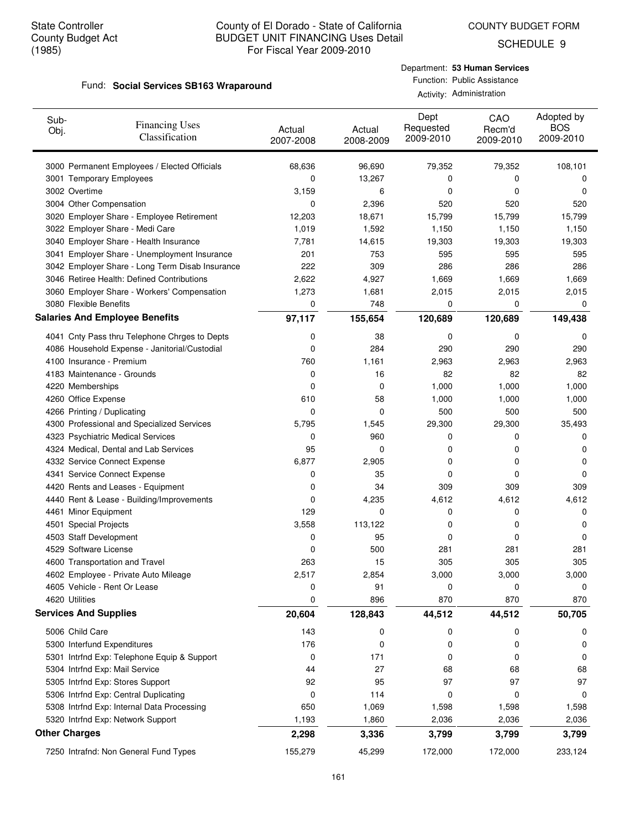SCHEDULE 9

#### Fund: Social Services SB163 Wraparound

#### Department: **53 Human Services** Function: Public Assistance

| Activity: | Administration |
|-----------|----------------|
|-----------|----------------|

| Sub-<br>Obj.                 | <b>Financing Uses</b><br>Classification                                | Actual<br>2007-2008 | Actual<br>2008-2009 | Dept<br>Requested<br>2009-2010 | CAO<br>Recm'd<br>2009-2010 | Adopted by<br><b>BOS</b><br>2009-2010 |
|------------------------------|------------------------------------------------------------------------|---------------------|---------------------|--------------------------------|----------------------------|---------------------------------------|
|                              | 3000 Permanent Employees / Elected Officials                           | 68,636              | 96,690              | 79,352                         | 79,352                     | 108,101                               |
|                              | 3001 Temporary Employees                                               | 0                   | 13,267              | 0                              | 0                          | 0                                     |
| 3002 Overtime                |                                                                        | 3,159               | 6                   | 0                              | 0                          | 0                                     |
| 3004 Other Compensation      |                                                                        | 0                   | 2,396               | 520                            | 520                        | 520                                   |
|                              | 3020 Employer Share - Employee Retirement                              | 12,203              | 18,671              | 15,799                         | 15,799                     | 15,799                                |
|                              | 3022 Employer Share - Medi Care                                        | 1,019               | 1,592               | 1,150                          | 1,150                      | 1,150                                 |
|                              | 3040 Employer Share - Health Insurance                                 | 7,781               | 14,615              | 19,303                         | 19,303                     | 19,303                                |
|                              | 3041 Employer Share - Unemployment Insurance                           | 201                 | 753                 | 595                            | 595                        | 595                                   |
|                              | 3042 Employer Share - Long Term Disab Insurance                        | 222                 | 309                 | 286                            | 286                        | 286                                   |
|                              | 3046 Retiree Health: Defined Contributions                             | 2,622               | 4,927               | 1,669                          | 1,669                      | 1,669                                 |
|                              | 3060 Employer Share - Workers' Compensation                            | 1,273               | 1,681               | 2,015                          | 2,015                      | 2,015                                 |
| 3080 Flexible Benefits       |                                                                        | 0                   | 748                 | 0                              | 0                          | 0                                     |
|                              | <b>Salaries And Employee Benefits</b>                                  | 97,117              | 155,654             | 120,689                        | 120,689                    | 149,438                               |
|                              | 4041 Cnty Pass thru Telephone Chrges to Depts                          | 0                   | 38                  | 0                              | 0                          | 0                                     |
|                              | 4086 Household Expense - Janitorial/Custodial                          | 0                   | 284                 | 290                            | 290                        | 290                                   |
| 4100 Insurance - Premium     |                                                                        | 760                 | 1,161               | 2,963                          | 2,963                      | 2,963                                 |
|                              | 4183 Maintenance - Grounds                                             | 0                   | 16                  | 82                             | 82                         | 82                                    |
| 4220 Memberships             |                                                                        | 0                   | 0                   | 1,000                          | 1,000                      | 1,000                                 |
| 4260 Office Expense          |                                                                        | 610                 | 58                  | 1,000                          | 1,000                      | 1,000                                 |
| 4266 Printing / Duplicating  |                                                                        | 0                   | 0                   | 500                            | 500                        | 500                                   |
|                              | 4300 Professional and Specialized Services                             | 5,795               | 1,545               | 29,300                         | 29,300                     | 35,493                                |
|                              | 4323 Psychiatric Medical Services                                      | 0                   | 960                 | 0                              | 0                          | 0                                     |
|                              | 4324 Medical, Dental and Lab Services                                  | 95                  | 0                   | 0                              | 0                          | 0                                     |
|                              | 4332 Service Connect Expense                                           | 6,877               | 2,905               | 0                              | 0                          | 0                                     |
|                              | 4341 Service Connect Expense                                           | 0                   | 35                  | 0                              | 0                          | 0                                     |
|                              | 4420 Rents and Leases - Equipment                                      | 0                   | 34                  | 309                            | 309                        | 309                                   |
|                              | 4440 Rent & Lease - Building/Improvements                              | 0                   | 4,235               | 4,612                          | 4,612                      | 4,612                                 |
| 4461 Minor Equipment         |                                                                        | 129                 | 0                   | 0                              | 0                          | 0                                     |
| 4501 Special Projects        |                                                                        | 3,558               | 113,122             | 0                              | 0                          | 0                                     |
| 4503 Staff Development       |                                                                        | 0                   | 95                  | 0                              | 0                          | 0                                     |
| 4529 Software License        |                                                                        | 0                   | 500                 | 281                            | 281                        | 281                                   |
|                              | 4600 Transportation and Travel<br>4602 Employee - Private Auto Mileage | 263                 | 15<br>2,854         | 305                            | 305                        | 305                                   |
|                              | 4605 Vehicle - Rent Or Lease                                           | 2,517<br>0          | 91                  | 3,000<br>0                     | 3,000<br>0                 | 3,000<br>0                            |
| 4620 Utilities               |                                                                        | 0                   | 896                 | 870                            | 870                        | 870                                   |
| <b>Services And Supplies</b> |                                                                        | 20,604              | 128,843             | 44,512                         | 44,512                     | 50,705                                |
|                              |                                                                        |                     |                     |                                |                            |                                       |
| 5006 Child Care              |                                                                        | 143                 | 0                   | 0                              | 0                          | 0                                     |
|                              | 5300 Interfund Expenditures                                            | 176                 | 0                   | 0                              | 0                          | 0                                     |
|                              | 5301 Intrfnd Exp: Telephone Equip & Support                            | 0                   | 171                 | 0                              | 0                          | 0                                     |
|                              | 5304 Intrfnd Exp: Mail Service                                         | 44                  | 27                  | 68                             | 68                         | 68                                    |
|                              | 5305 Intrfnd Exp: Stores Support                                       | 92                  | 95                  | 97                             | 97                         | 97                                    |
|                              | 5306 Intrfnd Exp: Central Duplicating                                  | 0                   | 114                 | 0                              | 0                          | 0                                     |
|                              | 5308 Intrfnd Exp: Internal Data Processing                             | 650                 | 1,069               | 1,598                          | 1,598                      | 1,598                                 |
|                              | 5320 Intrfnd Exp: Network Support                                      | 1,193               | 1,860               | 2,036                          | 2,036                      | 2,036                                 |
| <b>Other Charges</b>         |                                                                        | 2,298               | 3,336               | 3,799                          | 3,799                      | 3,799                                 |
|                              | 7250 Intrafnd: Non General Fund Types                                  | 155,279             | 45,299              | 172,000                        | 172,000                    | 233,124                               |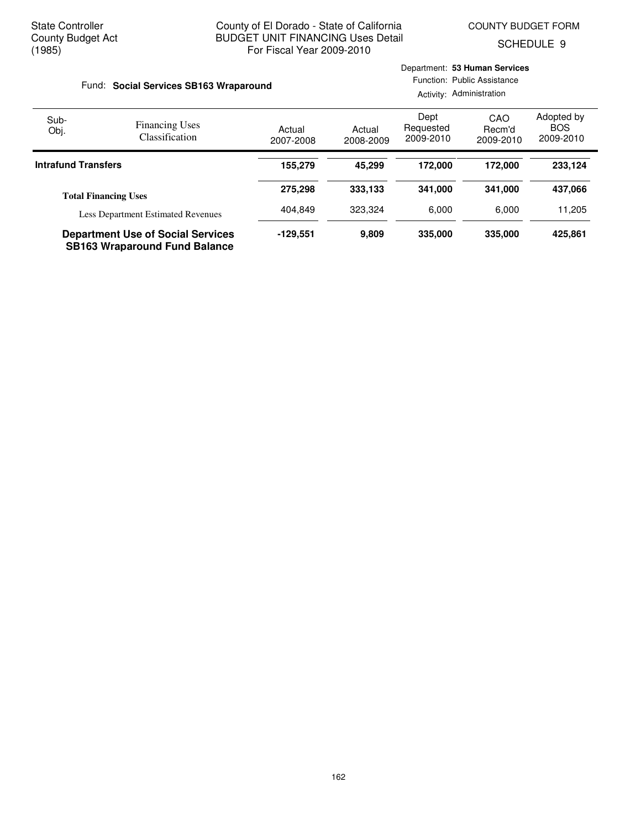Department: **53 Human Services**

SCHEDULE 9

| Fund: Social Services SB163 Wraparound |                                                                                  |                     |                     | Function: Public Assistance<br>Activity: Administration |                            |                                       |  |
|----------------------------------------|----------------------------------------------------------------------------------|---------------------|---------------------|---------------------------------------------------------|----------------------------|---------------------------------------|--|
| Sub-<br>Obj.                           | <b>Financing Uses</b><br>Classification                                          | Actual<br>2007-2008 | Actual<br>2008-2009 | Dept<br>Requested<br>2009-2010                          | CAO<br>Recm'd<br>2009-2010 | Adopted by<br><b>BOS</b><br>2009-2010 |  |
| <b>Intrafund Transfers</b>             |                                                                                  | 155,279             | 45.299              | 172,000                                                 | 172.000                    | 233,124                               |  |
|                                        | <b>Total Financing Uses</b>                                                      | 275,298             | 333,133             | 341.000                                                 | 341.000                    | 437,066                               |  |
|                                        | <b>Less Department Estimated Revenues</b>                                        | 404.849             | 323,324             | 6.000                                                   | 6.000                      | 11,205                                |  |
|                                        | <b>Department Use of Social Services</b><br><b>SB163 Wraparound Fund Balance</b> | -129.551            | 9,809               | 335,000                                                 | 335,000                    | 425,861                               |  |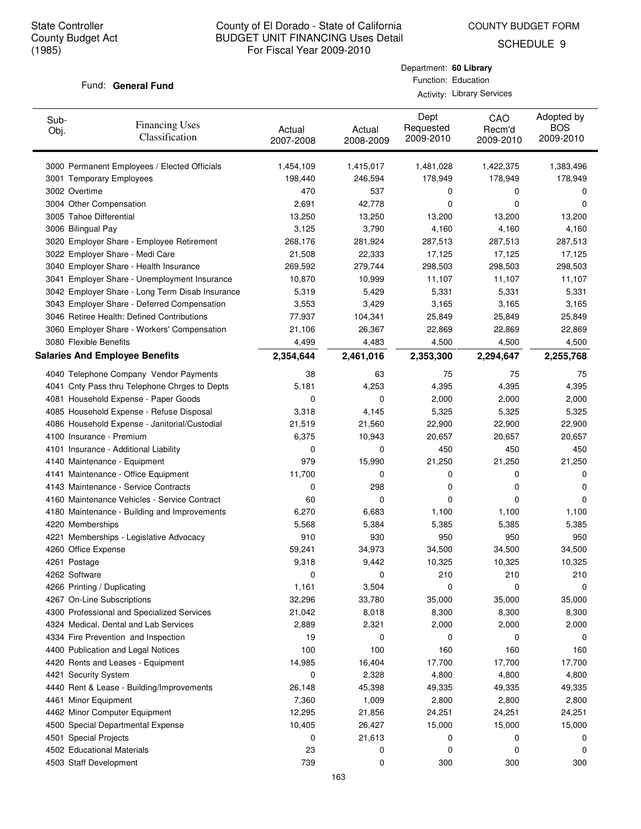COUNTY BUDGET FORM

Department: **60 Library** Function: Education Activity: Library Services

SCHEDULE 9

#### Fund: General Fund

| Sub-<br>Obj.       | <b>Financing Uses</b><br>Classification         | Actual<br>2007-2008 | Actual<br>2008-2009 | Dept<br>Requested<br>2009-2010 | CAO<br>Recm'd<br>2009-2010 | Adopted by<br><b>BOS</b><br>2009-2010 |
|--------------------|-------------------------------------------------|---------------------|---------------------|--------------------------------|----------------------------|---------------------------------------|
|                    | 3000 Permanent Employees / Elected Officials    | 1,454,109           | 1,415,017           | 1,481,028                      | 1,422,375                  | 1,383,496                             |
|                    | 3001 Temporary Employees                        | 198,440             | 246,594             | 178,949                        | 178,949                    | 178,949                               |
| 3002 Overtime      |                                                 | 470                 | 537                 | 0                              | 0                          | 0                                     |
|                    | 3004 Other Compensation                         | 2,691               | 42,778              | 0                              | 0                          | 0                                     |
|                    | 3005 Tahoe Differential                         | 13,250              | 13,250              | 13,200                         | 13,200                     | 13,200                                |
| 3006 Bilingual Pay |                                                 | 3,125               | 3,790               | 4,160                          | 4,160                      | 4,160                                 |
|                    | 3020 Employer Share - Employee Retirement       | 268,176             | 281,924             | 287,513                        | 287,513                    | 287,513                               |
|                    | 3022 Employer Share - Medi Care                 | 21,508              | 22,333              | 17,125                         | 17,125                     | 17,125                                |
|                    | 3040 Employer Share - Health Insurance          | 269,592             | 279,744             | 298,503                        | 298,503                    | 298,503                               |
|                    | 3041 Employer Share - Unemployment Insurance    | 10,870              | 10,999              | 11,107                         | 11,107                     | 11,107                                |
|                    | 3042 Employer Share - Long Term Disab Insurance | 5,319               | 5,429               | 5,331                          | 5,331                      | 5,331                                 |
|                    | 3043 Employer Share - Deferred Compensation     | 3,553               | 3,429               | 3,165                          | 3,165                      | 3,165                                 |
|                    | 3046 Retiree Health: Defined Contributions      | 77,937              | 104,341             | 25,849                         | 25,849                     | 25,849                                |
|                    | 3060 Employer Share - Workers' Compensation     | 21,106              | 26,367              | 22,869                         | 22,869                     | 22,869                                |
|                    | 3080 Flexible Benefits                          | 4,499               | 4,483               | 4,500                          | 4,500                      | 4,500                                 |
|                    | <b>Salaries And Employee Benefits</b>           | 2,354,644           | 2,461,016           | 2,353,300                      | 2,294,647                  | 2,255,768                             |
|                    | 4040 Telephone Company Vendor Payments          | 38                  | 63                  | 75                             | 75                         | 75                                    |
|                    | 4041 Cnty Pass thru Telephone Chrges to Depts   | 5,181               | 4,253               | 4,395                          | 4,395                      | 4,395                                 |
|                    | 4081 Household Expense - Paper Goods            | 0                   | 0                   | 2,000                          | 2,000                      | 2,000                                 |
|                    | 4085 Household Expense - Refuse Disposal        | 3,318               | 4,145               | 5,325                          | 5,325                      | 5,325                                 |
|                    | 4086 Household Expense - Janitorial/Custodial   | 21,519              | 21,560              | 22,900                         | 22,900                     | 22,900                                |
|                    | 4100 Insurance - Premium                        | 6,375               | 10,943              | 20,657                         | 20,657                     | 20,657                                |
|                    | 4101 Insurance - Additional Liability           | 0                   | 0                   | 450                            | 450                        | 450                                   |
|                    | 4140 Maintenance - Equipment                    | 979                 | 15,990              | 21,250                         | 21,250                     | 21,250                                |
|                    | 4141 Maintenance - Office Equipment             | 11,700              | 0                   | 0                              | 0                          | 0                                     |
|                    | 4143 Maintenance - Service Contracts            | 0                   | 298                 | 0                              | 0                          | 0                                     |
|                    | 4160 Maintenance Vehicles - Service Contract    | 60                  | 0                   | 0                              | 0                          | 0                                     |
|                    | 4180 Maintenance - Building and Improvements    | 6,270               | 6,683               | 1,100                          | 1,100                      | 1,100                                 |
| 4220 Memberships   |                                                 | 5,568               | 5,384               | 5,385                          | 5,385                      | 5,385                                 |
|                    | 4221 Memberships - Legislative Advocacy         | 910                 | 930                 | 950                            | 950                        | 950                                   |
|                    | 4260 Office Expense                             | 59,241              | 34,973              | 34,500                         | 34,500                     | 34,500                                |
| 4261 Postage       |                                                 | 9,318               | 9,442               | 10,325                         | 10,325                     | 10,325                                |
| 4262 Software      |                                                 | 0                   | 0                   | 210                            | 210                        | 210                                   |
|                    | 4266 Printing / Duplicating                     | 1,161               | 3,504               | 0                              | 0                          | 0                                     |
|                    | 4267 On-Line Subscriptions                      | 32,296              | 33,780              | 35,000                         | 35,000                     | 35,000                                |
|                    | 4300 Professional and Specialized Services      | 21,042              | 8,018               | 8,300                          | 8,300                      | 8,300                                 |
|                    | 4324 Medical, Dental and Lab Services           | 2,889               | 2,321               | 2,000                          | 2,000                      | 2,000                                 |
|                    | 4334 Fire Prevention and Inspection             | 19                  | 0                   | 0                              | 0                          | 0                                     |
|                    | 4400 Publication and Legal Notices              | 100                 | 100                 | 160                            | 160                        | 160                                   |
|                    | 4420 Rents and Leases - Equipment               | 14,985              | 16,404              | 17,700                         | 17,700                     | 17,700                                |
|                    | 4421 Security System                            | 0                   | 2,328               | 4,800                          | 4,800                      | 4,800                                 |
|                    | 4440 Rent & Lease - Building/Improvements       | 26,148              | 45,398              | 49,335                         | 49,335                     | 49,335                                |
|                    | 4461 Minor Equipment                            | 7,360               | 1,009               | 2,800                          | 2,800                      | 2,800                                 |
|                    | 4462 Minor Computer Equipment                   | 12,295              | 21,856              | 24,251                         | 24,251                     | 24,251                                |
|                    | 4500 Special Departmental Expense               | 10,405              | 26,427              | 15,000                         | 15,000                     | 15,000                                |
|                    | 4501 Special Projects                           | 0                   | 21,613              | 0                              | 0                          | 0                                     |
|                    | 4502 Educational Materials                      | 23                  | 0                   | 0                              | 0                          | 0                                     |
|                    | 4503 Staff Development                          | 739                 | 0                   | 300                            | 300                        | 300                                   |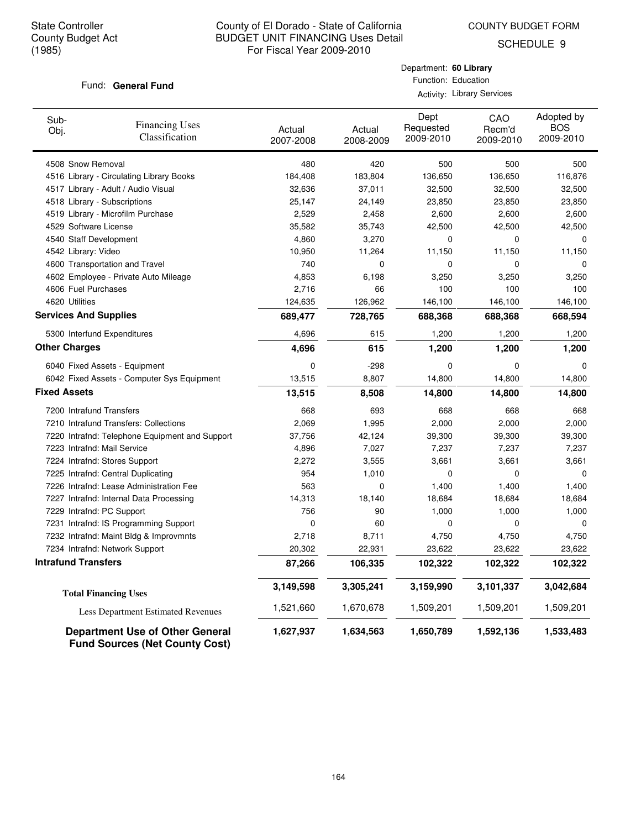COUNTY BUDGET FORM

Department: **60 Library** Function: Education Activity: Library Services

SCHEDULE 9

#### Fund: General Fund

| Sub-<br>Obj.                 | <b>Financing Uses</b><br>Classification                                         | Actual<br>2007-2008 | Actual<br>2008-2009 | Dept<br>Requested<br>2009-2010 | CAO<br>Recm'd<br>2009-2010 | Adopted by<br><b>BOS</b><br>2009-2010 |
|------------------------------|---------------------------------------------------------------------------------|---------------------|---------------------|--------------------------------|----------------------------|---------------------------------------|
| 4508 Snow Removal            |                                                                                 | 480                 | 420                 | 500                            | 500                        | 500                                   |
|                              | 4516 Library - Circulating Library Books                                        | 184,408             | 183,804             | 136,650                        | 136,650                    | 116,876                               |
|                              | 4517 Library - Adult / Audio Visual                                             | 32,636              | 37,011              | 32,500                         | 32,500                     | 32,500                                |
|                              | 4518 Library - Subscriptions                                                    | 25,147              | 24,149              | 23,850                         | 23,850                     | 23,850                                |
|                              | 4519 Library - Microfilm Purchase                                               | 2,529               | 2,458               | 2,600                          | 2,600                      | 2,600                                 |
| 4529 Software License        |                                                                                 | 35,582              | 35,743              | 42,500                         | 42,500                     | 42,500                                |
| 4540 Staff Development       |                                                                                 | 4,860               | 3,270               | 0                              | 0                          | 0                                     |
| 4542 Library: Video          |                                                                                 | 10,950              | 11,264              | 11,150                         | 11,150                     | 11,150                                |
|                              | 4600 Transportation and Travel                                                  | 740                 | 0                   | 0                              | 0                          | 0                                     |
|                              | 4602 Employee - Private Auto Mileage                                            | 4,853               | 6,198               | 3,250                          | 3,250                      | 3,250                                 |
| 4606 Fuel Purchases          |                                                                                 | 2,716               | 66                  | 100                            | 100                        | 100                                   |
| 4620 Utilities               |                                                                                 | 124,635             | 126,962             | 146,100                        | 146,100                    | 146,100                               |
| <b>Services And Supplies</b> |                                                                                 | 689,477             | 728,765             | 688,368                        | 688,368                    | 668,594                               |
|                              | 5300 Interfund Expenditures                                                     | 4,696               | 615                 | 1,200                          | 1,200                      | 1,200                                 |
| <b>Other Charges</b>         |                                                                                 | 4,696               | 615                 | 1,200                          | 1,200                      | 1,200                                 |
|                              | 6040 Fixed Assets - Equipment                                                   | 0                   | $-298$              | 0                              | 0                          | 0                                     |
|                              | 6042 Fixed Assets - Computer Sys Equipment                                      | 13,515              | 8,807               | 14,800                         | 14,800                     | 14,800                                |
| <b>Fixed Assets</b>          |                                                                                 | 13,515              | 8,508               | 14,800                         | 14,800                     | 14,800                                |
| 7200 Intrafund Transfers     |                                                                                 | 668                 | 693                 | 668                            | 668                        | 668                                   |
|                              | 7210 Intrafund Transfers: Collections                                           | 2,069               | 1,995               | 2,000                          | 2,000                      | 2,000                                 |
|                              | 7220 Intrafnd: Telephone Equipment and Support                                  | 37,756              | 42,124              | 39,300                         | 39,300                     | 39,300                                |
|                              | 7223 Intrafnd: Mail Service                                                     | 4,896               | 7,027               | 7,237                          | 7,237                      | 7,237                                 |
|                              | 7224 Intrafnd: Stores Support                                                   | 2,272               | 3,555               | 3,661                          | 3,661                      | 3,661                                 |
|                              | 7225 Intrafnd: Central Duplicating                                              | 954                 | 1,010               | 0                              | 0                          | 0                                     |
|                              | 7226 Intrafnd: Lease Administration Fee                                         | 563                 | 0                   | 1,400                          | 1,400                      | 1,400                                 |
|                              | 7227 Intrafnd: Internal Data Processing                                         | 14,313              | 18,140              | 18,684                         | 18,684                     | 18,684                                |
|                              | 7229 Intrafnd: PC Support                                                       | 756                 | 90                  | 1,000                          | 1,000                      | 1,000                                 |
|                              | 7231 Intrafnd: IS Programming Support                                           | 0                   | 60                  | 0                              | 0                          | 0                                     |
|                              | 7232 Intrafnd: Maint Bldg & Improvmnts                                          | 2,718               | 8,711               | 4,750                          | 4,750                      | 4,750                                 |
|                              | 7234 Intrafnd: Network Support                                                  | 20,302              | 22,931              | 23,622                         | 23,622                     | 23,622                                |
| <b>Intrafund Transfers</b>   |                                                                                 | 87,266              | 106,335             | 102,322                        | 102,322                    | 102,322                               |
|                              | <b>Total Financing Uses</b>                                                     | 3,149,598           | 3,305,241           | 3,159,990                      | 3,101,337                  | 3,042,684                             |
|                              | Less Department Estimated Revenues                                              | 1,521,660           | 1,670,678           | 1,509,201                      | 1,509,201                  | 1,509,201                             |
|                              | <b>Department Use of Other General</b><br><b>Fund Sources (Net County Cost)</b> | 1,627,937           | 1,634,563           | 1,650,789                      | 1,592,136                  | 1,533,483                             |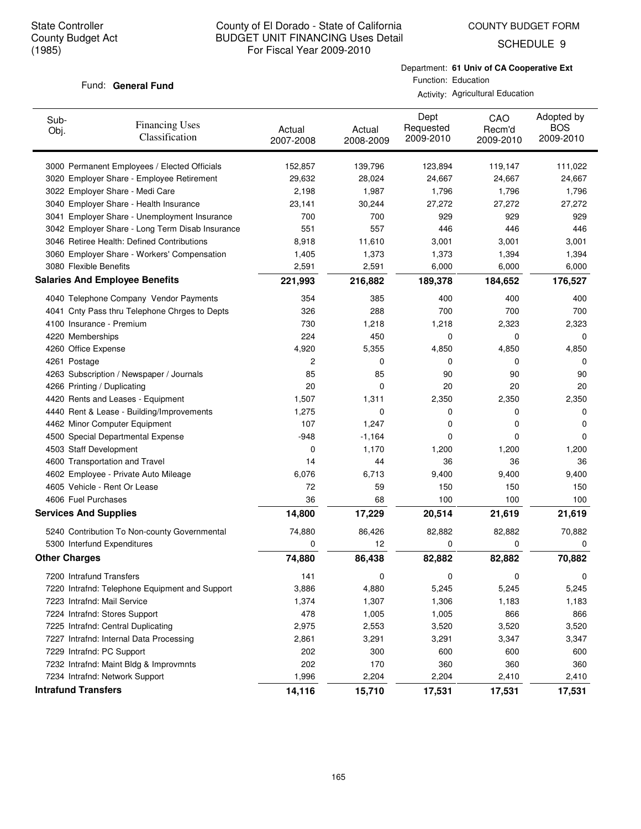SCHEDULE 9

#### Fund: General Fund

Department: **61 Univ of CA Cooperative Ext** Function: Education

Activity: Agricultural Education

| Sub-<br>Obj.                 | <b>Financing Uses</b><br>Classification         | Actual<br>2007-2008 | Actual<br>2008-2009 | Dept<br>Requested<br>2009-2010 | CAO<br>Recm'd<br>2009-2010 | Adopted by<br><b>BOS</b><br>2009-2010 |
|------------------------------|-------------------------------------------------|---------------------|---------------------|--------------------------------|----------------------------|---------------------------------------|
|                              | 3000 Permanent Employees / Elected Officials    | 152,857             | 139,796             | 123,894                        | 119,147                    | 111,022                               |
|                              | 3020 Employer Share - Employee Retirement       | 29,632              | 28,024              | 24,667                         | 24,667                     | 24,667                                |
|                              | 3022 Employer Share - Medi Care                 | 2,198               | 1,987               | 1,796                          | 1,796                      | 1,796                                 |
|                              | 3040 Employer Share - Health Insurance          | 23,141              | 30,244              | 27,272                         | 27,272                     | 27,272                                |
|                              | 3041 Employer Share - Unemployment Insurance    | 700                 | 700                 | 929                            | 929                        | 929                                   |
|                              | 3042 Employer Share - Long Term Disab Insurance | 551                 | 557                 | 446                            | 446                        | 446                                   |
|                              | 3046 Retiree Health: Defined Contributions      | 8,918               | 11,610              | 3,001                          | 3,001                      | 3,001                                 |
|                              | 3060 Employer Share - Workers' Compensation     | 1,405               | 1,373               | 1,373                          | 1,394                      | 1,394                                 |
| 3080 Flexible Benefits       |                                                 | 2,591               | 2,591               | 6,000                          | 6,000                      | 6,000                                 |
|                              | <b>Salaries And Employee Benefits</b>           | 221,993             | 216,882             | 189,378                        | 184,652                    | 176,527                               |
|                              | 4040 Telephone Company Vendor Payments          | 354                 | 385                 | 400                            | 400                        | 400                                   |
|                              | 4041 Cnty Pass thru Telephone Chrges to Depts   | 326                 | 288                 | 700                            | 700                        | 700                                   |
| 4100 Insurance - Premium     |                                                 | 730                 | 1,218               | 1,218                          | 2,323                      | 2,323                                 |
| 4220 Memberships             |                                                 | 224                 | 450                 | 0                              | 0                          | 0                                     |
| 4260 Office Expense          |                                                 | 4,920               | 5,355               | 4,850                          | 4,850                      | 4,850                                 |
| 4261 Postage                 |                                                 | 2                   | 0                   | 0                              | 0                          | 0                                     |
|                              | 4263 Subscription / Newspaper / Journals        | 85                  | 85                  | 90                             | 90                         | 90                                    |
| 4266 Printing / Duplicating  |                                                 | 20                  | 0                   | 20                             | 20                         | 20                                    |
|                              | 4420 Rents and Leases - Equipment               | 1,507               | 1,311               | 2,350                          | 2,350                      | 2,350                                 |
|                              | 4440 Rent & Lease - Building/Improvements       | 1,275               | 0                   | 0                              | 0                          | 0                                     |
|                              | 4462 Minor Computer Equipment                   | 107                 | 1,247               | 0                              | 0                          | 0                                     |
|                              | 4500 Special Departmental Expense               | $-948$              | $-1,164$            | 0                              | 0                          | 0                                     |
| 4503 Staff Development       |                                                 | 0                   | 1,170               | 1,200                          | 1,200                      | 1,200                                 |
|                              | 4600 Transportation and Travel                  | 14                  | 44                  | 36                             | 36                         | 36                                    |
|                              | 4602 Employee - Private Auto Mileage            | 6,076               | 6,713               | 9,400                          | 9,400                      | 9,400                                 |
|                              | 4605 Vehicle - Rent Or Lease                    | 72                  | 59                  | 150                            | 150                        | 150                                   |
| 4606 Fuel Purchases          |                                                 | 36                  | 68                  | 100                            | 100                        | 100                                   |
| <b>Services And Supplies</b> |                                                 | 14,800              | 17,229              | 20,514                         | 21,619                     | 21,619                                |
|                              | 5240 Contribution To Non-county Governmental    | 74,880              | 86,426              | 82,882                         | 82,882                     | 70,882                                |
|                              | 5300 Interfund Expenditures                     | 0                   | 12                  | 0                              | 0                          | 0                                     |
| <b>Other Charges</b>         |                                                 | 74,880              | 86,438              | 82,882                         | 82,882                     | 70,882                                |
| 7200 Intrafund Transfers     |                                                 | 141                 | 0                   | 0                              | 0                          | 0                                     |
|                              | 7220 Intrafnd: Telephone Equipment and Support  | 3,886               | 4,880               | 5,245                          | 5,245                      | 5,245                                 |
| 7223 Intrafnd: Mail Service  |                                                 | 1,374               | 1,307               | 1,306                          | 1,183                      | 1,183                                 |
|                              | 7224 Intrafnd: Stores Support                   | 478                 | 1,005               | 1,005                          | 866                        | 866                                   |
|                              | 7225 Intrafnd: Central Duplicating              | 2,975               | 2,553               | 3,520                          | 3,520                      | 3,520                                 |
|                              | 7227 Intrafnd: Internal Data Processing         | 2,861               | 3,291               | 3,291                          | 3,347                      | 3,347                                 |
| 7229 Intrafnd: PC Support    |                                                 | 202                 | 300                 | 600                            | 600                        | 600                                   |
|                              | 7232 Intrafnd: Maint Bldg & Improvmnts          | 202                 | 170                 | 360                            | 360                        | 360                                   |
|                              | 7234 Intrafnd: Network Support                  | 1,996               | 2,204               | 2,204                          | 2,410                      | 2,410                                 |
| <b>Intrafund Transfers</b>   |                                                 | 14,116              | 15,710              | 17,531                         | 17,531                     | 17,531                                |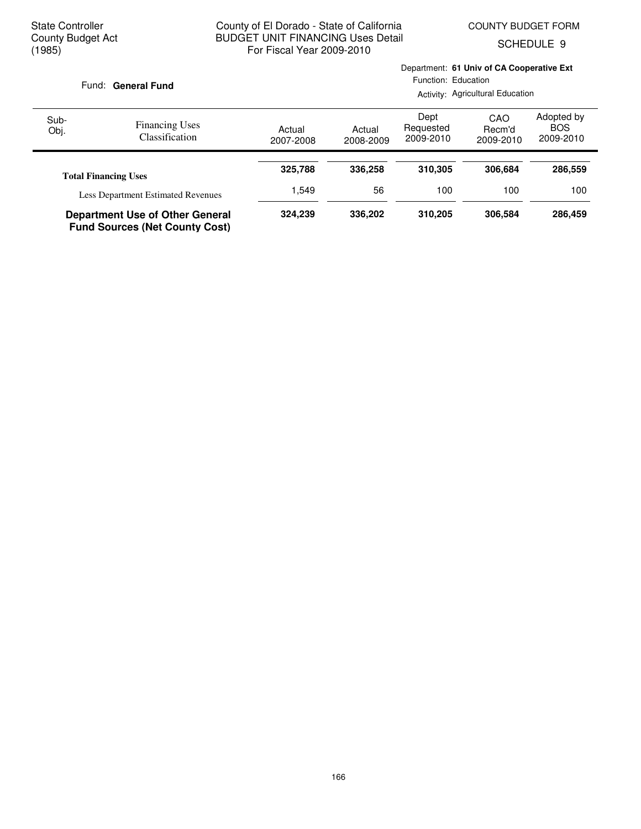SCHEDULE 9

|  | Fund: General Fund |  |
|--|--------------------|--|
|--|--------------------|--|

Department: **61 Univ of CA Cooperative Ext** Function: Education

Activity: Agricultural Education

| Sub-<br>Obj. | <b>Financing Uses</b><br>Classification                                         | Actual<br>2007-2008 | Actual<br>2008-2009 | Dept<br>Requested<br>2009-2010 | CAO<br>Recm'd<br>2009-2010 | Adopted by<br><b>BOS</b><br>2009-2010 |
|--------------|---------------------------------------------------------------------------------|---------------------|---------------------|--------------------------------|----------------------------|---------------------------------------|
|              | <b>Total Financing Uses</b>                                                     | 325,788             | 336,258             | 310.305                        | 306.684                    | 286,559                               |
|              | <b>Less Department Estimated Revenues</b>                                       | .549                | 56                  | 100                            | 100                        | 100                                   |
|              | <b>Department Use of Other General</b><br><b>Fund Sources (Net County Cost)</b> | 324.239             | 336,202             | 310.205                        | 306,584                    | 286,459                               |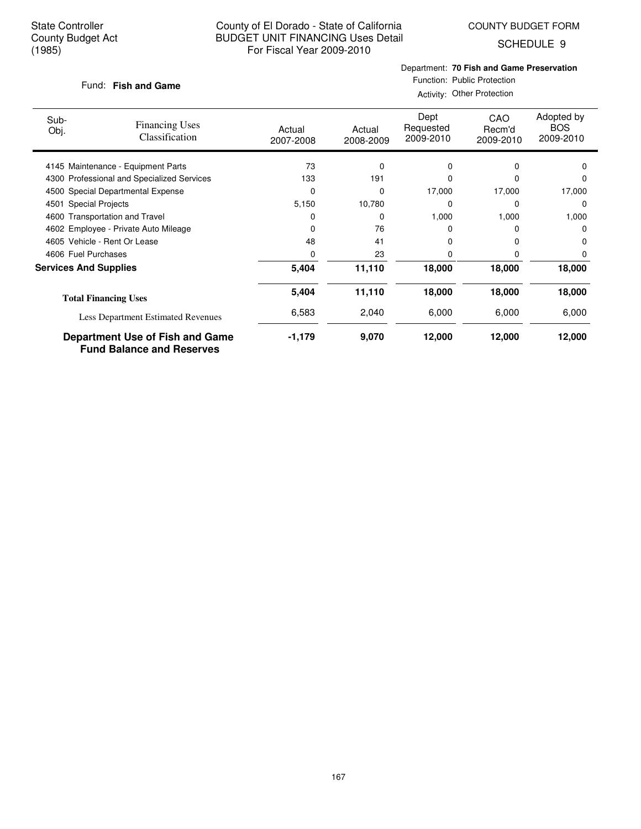COUNTY BUDGET FORM

SCHEDULE 9

#### **Fish and Game** Fund:

### Department: **70 Fish and Game Preservation**

Function: Public Protection Activity: Other Protection

| Sub-<br>Obj.                 | <b>Financing Uses</b><br>Classification                             | Actual<br>2007-2008 | Actual<br>2008-2009 | Dept<br>Requested<br>2009-2010 | CAO<br>Recm'd<br>2009-2010 | Adopted by<br><b>BOS</b><br>2009-2010 |
|------------------------------|---------------------------------------------------------------------|---------------------|---------------------|--------------------------------|----------------------------|---------------------------------------|
|                              | 4145 Maintenance - Equipment Parts                                  | 73                  | 0                   | 0                              | 0                          | 0                                     |
|                              | 4300 Professional and Specialized Services                          | 133                 | 191                 | O                              | 0                          | O                                     |
|                              | 4500 Special Departmental Expense                                   | 0                   | 0                   | 17,000                         | 17,000                     | 17,000                                |
| 4501                         | <b>Special Projects</b>                                             | 5,150               | 10,780              | 0                              | 0                          | $\Omega$                              |
|                              | 4600 Transportation and Travel                                      | 0                   | 0                   | 1,000                          | 1,000                      | 1,000                                 |
|                              | 4602 Employee - Private Auto Mileage                                | 0                   | 76                  |                                |                            | O                                     |
|                              | 4605 Vehicle - Rent Or Lease                                        | 48                  | 41                  | 0                              |                            | 0                                     |
| 4606 Fuel Purchases          |                                                                     | O                   | 23                  | 0                              | 0                          |                                       |
| <b>Services And Supplies</b> |                                                                     | 5,404               | 11,110              | 18,000                         | 18,000                     | 18,000                                |
|                              | <b>Total Financing Uses</b>                                         | 5,404               | 11,110              | 18,000                         | 18,000                     | 18,000                                |
|                              | Less Department Estimated Revenues                                  | 6,583               | 2,040               | 6,000                          | 6,000                      | 6,000                                 |
|                              | Department Use of Fish and Game<br><b>Fund Balance and Reserves</b> | $-1,179$            | 9,070               | 12,000                         | 12,000                     | 12,000                                |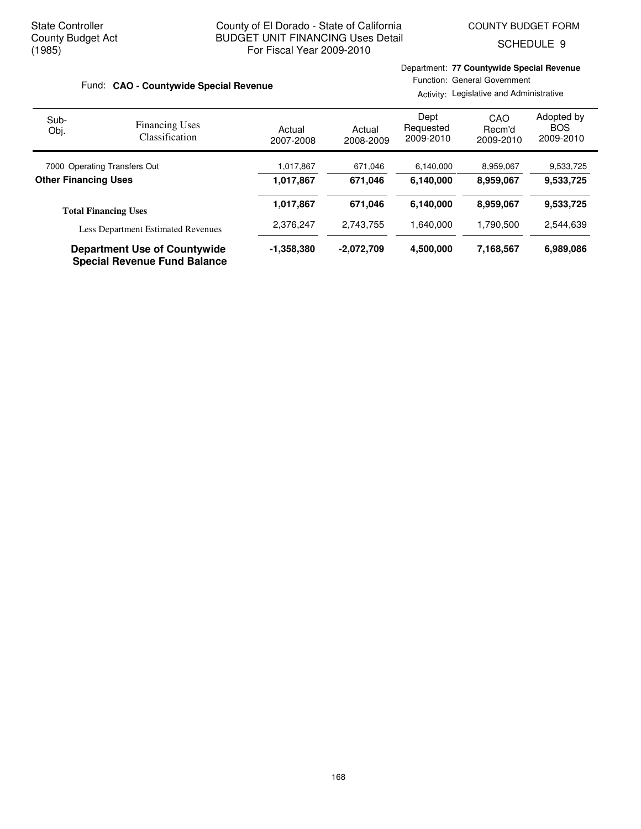SCHEDULE 9

| Fund: CAO - Countywide Special Revenue |                                           |                     |                     | Department: 77 Countywide Special Revenue<br>Function: General Government<br>Activity: Legislative and Administrative |                            |                                       |  |
|----------------------------------------|-------------------------------------------|---------------------|---------------------|-----------------------------------------------------------------------------------------------------------------------|----------------------------|---------------------------------------|--|
| Sub-<br>Obj.                           | <b>Financing Uses</b><br>Classification   | Actual<br>2007-2008 | Actual<br>2008-2009 | Dept<br>Requested<br>2009-2010                                                                                        | CAO<br>Recm'd<br>2009-2010 | Adopted by<br><b>BOS</b><br>2009-2010 |  |
| 7000 Operating Transfers Out           |                                           | 1,017,867           | 671,046             | 6,140,000                                                                                                             | 8,959,067                  | 9,533,725                             |  |
| <b>Other Financing Uses</b>            |                                           | 1,017,867           | 671,046             | 6,140,000                                                                                                             | 8,959,067                  | 9,533,725                             |  |
|                                        | <b>Total Financing Uses</b>               | 1,017,867           | 671.046             | 6,140,000                                                                                                             | 8,959,067                  | 9,533,725                             |  |
|                                        | <b>Less Department Estimated Revenues</b> | 2,376,247           | 2,743,755           | 1,640,000                                                                                                             | 1,790,500                  | 2,544,639                             |  |
|                                        | <b>Department Use of Countywide</b>       | $-1,358,380$        | $-2,072,709$        | 4,500,000                                                                                                             | 7,168,567                  | 6,989,086                             |  |

**Special Revenue Fund Balance**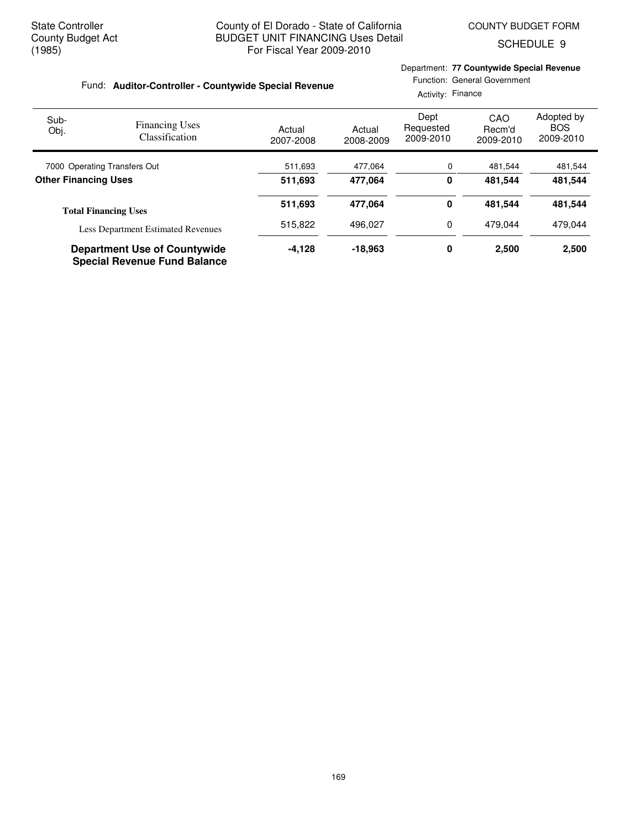SCHEDULE 9

| Fund: Auditor-Controller - Countywide Special Revenue |                                                                            |                     |                     | Department: 77 Countywide Special Revenue<br>Function: General Government<br>Activity: Finance        |         |         |  |
|-------------------------------------------------------|----------------------------------------------------------------------------|---------------------|---------------------|-------------------------------------------------------------------------------------------------------|---------|---------|--|
| Sub-<br>Obj.                                          | <b>Financing Uses</b><br><b>Classification</b>                             | Actual<br>2007-2008 | Actual<br>2008-2009 | Adopted by<br>Dept<br>CAO<br><b>BOS</b><br>Requested<br>Recm'd<br>2009-2010<br>2009-2010<br>2009-2010 |         |         |  |
| 7000 Operating Transfers Out                          |                                                                            | 511,693             | 477,064             | 0                                                                                                     | 481,544 | 481,544 |  |
| <b>Other Financing Uses</b>                           |                                                                            | 511,693             | 477,064             | 0                                                                                                     | 481,544 | 481,544 |  |
|                                                       | <b>Total Financing Uses</b>                                                | 511,693             | 477,064             | 0                                                                                                     | 481,544 | 481,544 |  |
|                                                       | <b>Less Department Estimated Revenues</b>                                  | 515,822             | 496.027             | 0                                                                                                     | 479.044 | 479.044 |  |
|                                                       | <b>Department Use of Countywide</b><br><b>Special Revenue Fund Balance</b> | $-4,128$            | $-18,963$           | 0                                                                                                     | 2,500   | 2,500   |  |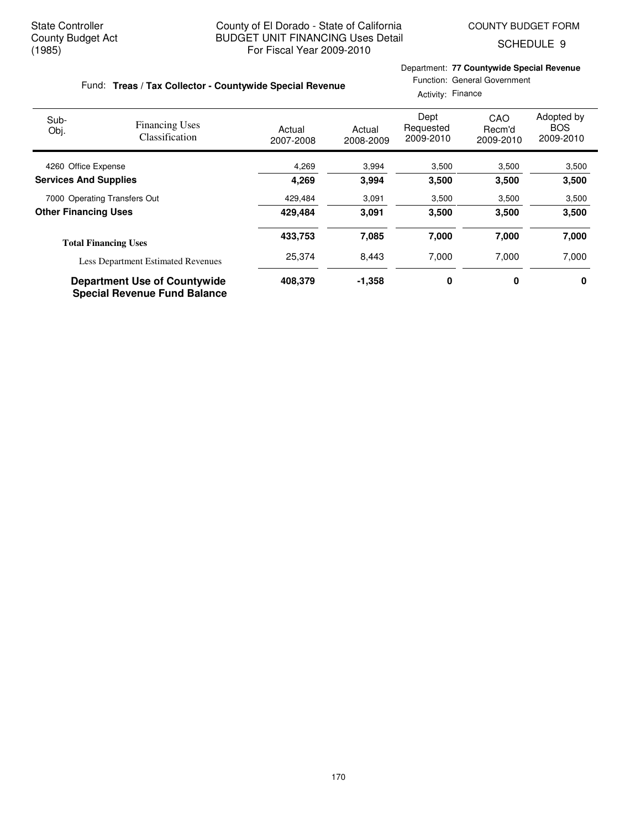Department: **77 Countywide Special Revenue**

Function: General Government

SCHEDULE 9

#### Fund: Treas / Tax Collector - Countywide Special Revenue

|                              |                                                                            |                     | Activity: Finance   |                                |                            |                                       |  |
|------------------------------|----------------------------------------------------------------------------|---------------------|---------------------|--------------------------------|----------------------------|---------------------------------------|--|
| Sub-<br>Obj.                 | <b>Financing Uses</b><br><b>Classification</b>                             | Actual<br>2007-2008 | Actual<br>2008-2009 | Dept<br>Requested<br>2009-2010 | CAO<br>Recm'd<br>2009-2010 | Adopted by<br><b>BOS</b><br>2009-2010 |  |
| 4260 Office Expense          |                                                                            | 4,269               | 3,994               | 3,500                          | 3,500                      | 3,500                                 |  |
| <b>Services And Supplies</b> |                                                                            | 4,269               | 3.994               | 3,500                          | 3,500                      | 3,500                                 |  |
| 7000 Operating Transfers Out |                                                                            | 429,484             | 3,091               | 3,500                          | 3,500                      | 3,500                                 |  |
| <b>Other Financing Uses</b>  |                                                                            | 429.484             | 3,091               | 3,500                          | 3,500                      | 3,500                                 |  |
|                              | <b>Total Financing Uses</b>                                                | 433,753             | 7,085               | 7,000                          | 7,000                      | 7,000                                 |  |
|                              | <b>Less Department Estimated Revenues</b>                                  | 25,374              | 8,443               | 7,000                          | 7,000                      | 7,000                                 |  |
|                              | <b>Department Use of Countywide</b><br><b>Special Revenue Fund Balance</b> | 408,379             | $-1,358$            | 0                              | 0                          | 0                                     |  |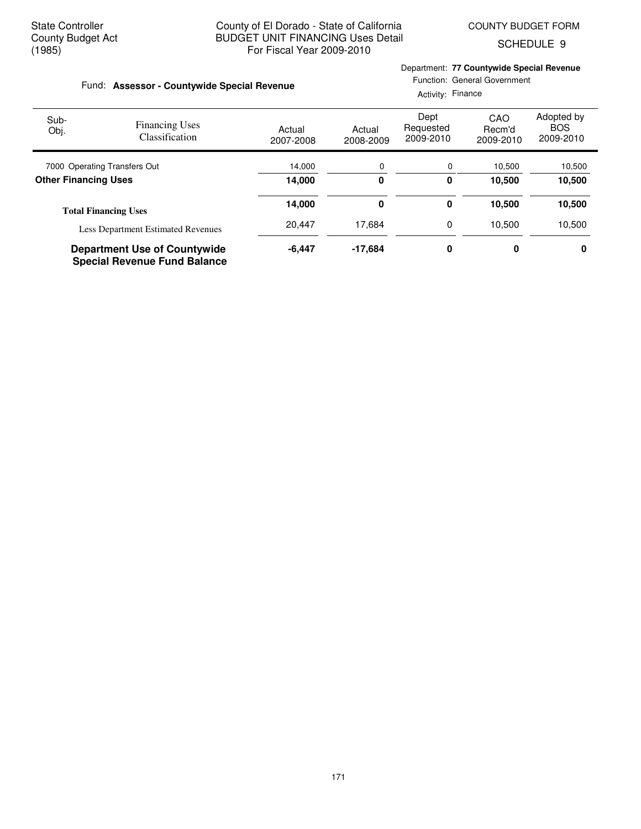SCHEDULE 9

|                              | Fund: Assessor - Countywide Special Revenue                                | Department: 77 Countywide Special Revenue<br>Function: General Government<br>Activity: Finance |                                                                                                                              |   |        |        |  |
|------------------------------|----------------------------------------------------------------------------|------------------------------------------------------------------------------------------------|------------------------------------------------------------------------------------------------------------------------------|---|--------|--------|--|
| Sub-<br>Obj.                 | <b>Financing Uses</b><br><b>Classification</b>                             | Actual<br>2007-2008                                                                            | Adopted by<br>Dept<br>CAO<br><b>BOS</b><br>Requested<br>Recm'd<br>Actual<br>2009-2010<br>2009-2010<br>2008-2009<br>2009-2010 |   |        |        |  |
| 7000 Operating Transfers Out |                                                                            | 14,000                                                                                         | 0                                                                                                                            | 0 | 10,500 | 10,500 |  |
| <b>Other Financing Uses</b>  |                                                                            | 14,000                                                                                         | 0                                                                                                                            | 0 | 10,500 | 10,500 |  |
|                              | <b>Total Financing Uses</b>                                                | 14,000                                                                                         | 0                                                                                                                            | 0 | 10,500 | 10,500 |  |
|                              | Less Department Estimated Revenues                                         | 20,447                                                                                         | 17.684                                                                                                                       | 0 | 10.500 | 10,500 |  |
|                              | <b>Department Use of Countywide</b><br><b>Special Revenue Fund Balance</b> | $-6,447$                                                                                       | $-17,684$                                                                                                                    | 0 | 0      | 0      |  |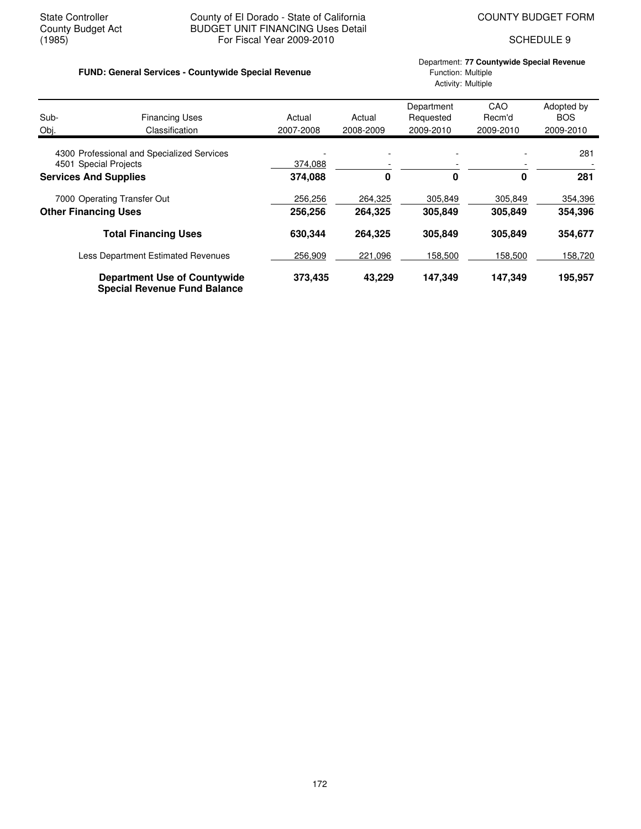#### State Controller **County of El Dorado - State of California** COUNTY BUDGET FORM<br>County Budget Act **COUNTY BUDGET UNIT FINANCING** Uses Detail County Budget Act BUDGET UNIT FINANCING Uses Detail<br>(1985) For Fiscal Year 2009-2010 For Fiscal Year 2009-2010 SCHEDULE 9

#### Department: **77 Countywide Special Revenue FUND: General Services - Countywide Special Revenue** Function: Multiple Function: Multiple Activity: Multiple

| Sub-                         | <b>Financing Uses</b>                                                      | Actual    | Actual    | Department<br>Requested | CAO<br>Recm'd | Adopted by<br><b>BOS</b> |
|------------------------------|----------------------------------------------------------------------------|-----------|-----------|-------------------------|---------------|--------------------------|
| Obj.                         | Classification                                                             | 2007-2008 | 2008-2009 | 2009-2010               | 2009-2010     | 2009-2010                |
|                              | 4300 Professional and Specialized Services                                 |           |           |                         |               | 281                      |
| 4501 Special Projects        |                                                                            | 374,088   |           |                         |               |                          |
| <b>Services And Supplies</b> |                                                                            | 374,088   | 0         | 0                       | 0             | 281                      |
|                              | 7000 Operating Transfer Out                                                | 256,256   | 264,325   | 305,849                 | 305,849       | 354,396                  |
|                              | <b>Other Financing Uses</b>                                                | 256,256   | 264,325   | 305,849                 | 305,849       | 354,396                  |
|                              | <b>Total Financing Uses</b>                                                | 630,344   | 264,325   | 305,849                 | 305,849       | 354,677                  |
|                              | <b>Less Department Estimated Revenues</b>                                  | 256,909   | 221,096   | 158,500                 | 158,500       | 158,720                  |
|                              | <b>Department Use of Countywide</b><br><b>Special Revenue Fund Balance</b> | 373,435   | 43,229    | 147.349                 | 147,349       | 195,957                  |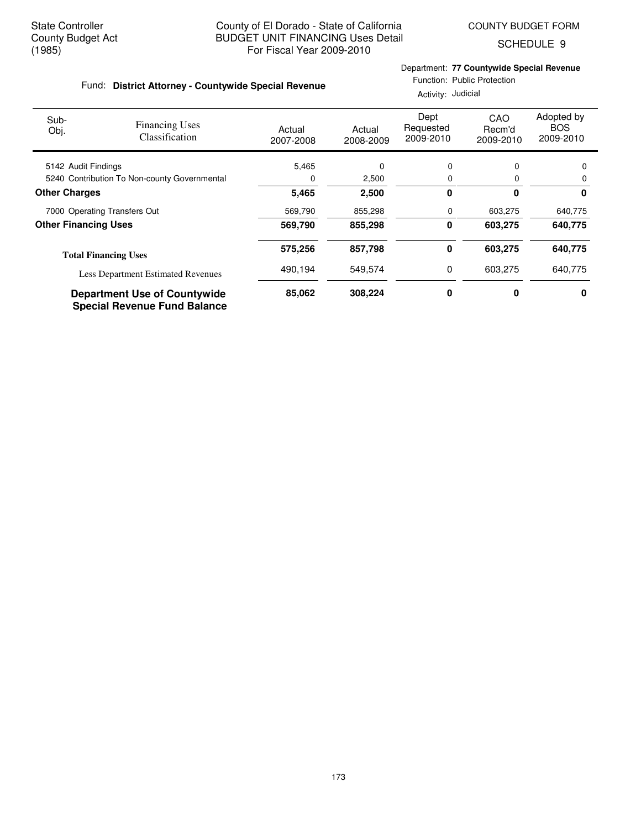Fund: District Attorney - Countywide Special Revenue

SCHEDULE 9

### Department: **77 Countywide Special Revenue**

| Function: Public Protection |  |  |
|-----------------------------|--|--|
|                             |  |  |

|                                              |                                                                            | Activity: Judicial  |                     |                                |                            |                                       |  |
|----------------------------------------------|----------------------------------------------------------------------------|---------------------|---------------------|--------------------------------|----------------------------|---------------------------------------|--|
| Sub-<br>Obj.                                 | <b>Financing Uses</b><br>Classification                                    | Actual<br>2007-2008 | Actual<br>2008-2009 | Dept<br>Requested<br>2009-2010 | CAO<br>Recm'd<br>2009-2010 | Adopted by<br><b>BOS</b><br>2009-2010 |  |
| 5142 Audit Findings                          |                                                                            | 5,465               | 0                   | 0                              | 0                          | 0                                     |  |
| 5240 Contribution To Non-county Governmental |                                                                            | 0                   | 2,500               | 0                              | 0                          | 0                                     |  |
| <b>Other Charges</b>                         |                                                                            | 5.465               | 2,500               | 0                              | 0                          | 0                                     |  |
|                                              | 7000 Operating Transfers Out                                               | 569,790             | 855,298             | 0                              | 603,275                    | 640,775                               |  |
| <b>Other Financing Uses</b>                  |                                                                            | 569,790             | 855,298             | 0                              | 603,275                    | 640,775                               |  |
|                                              | <b>Total Financing Uses</b>                                                | 575,256             | 857,798             | 0                              | 603,275                    | 640,775                               |  |
|                                              | <b>Less Department Estimated Revenues</b>                                  | 490,194             | 549,574             | 0                              | 603,275                    | 640,775                               |  |
|                                              | <b>Department Use of Countywide</b><br><b>Special Revenue Fund Balance</b> | 85,062              | 308,224             | 0                              | 0                          | 0                                     |  |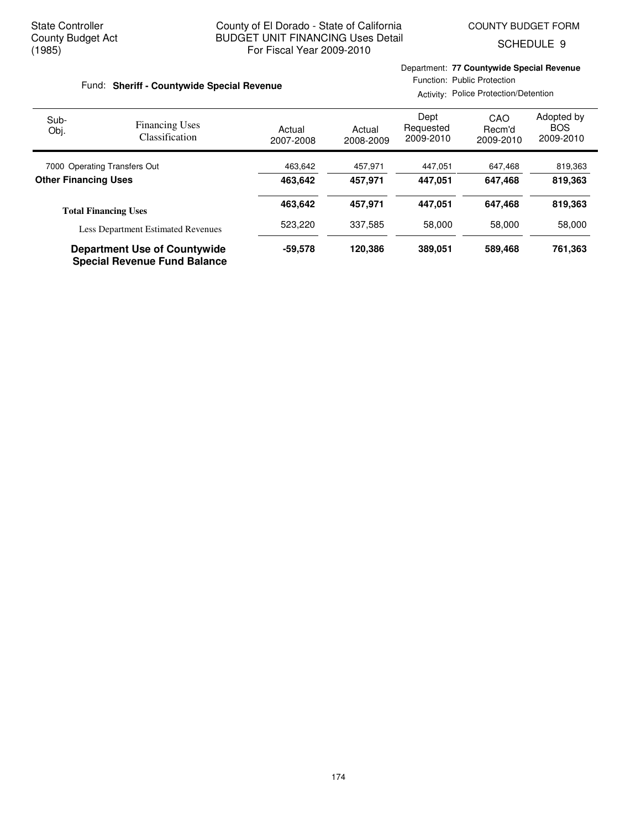Department: **77 Countywide Special Revenue**

SCHEDULE 9

| Fund: Sheriff - Countywide Special Revenue |                                           |                     |                     | Function: Public Protection<br>Activity: Police Protection/Detention |                            |                                       |  |
|--------------------------------------------|-------------------------------------------|---------------------|---------------------|----------------------------------------------------------------------|----------------------------|---------------------------------------|--|
| Sub-<br>Obj.                               | <b>Financing Uses</b><br>Classification   | Actual<br>2007-2008 | Actual<br>2008-2009 | Dept<br>Requested<br>2009-2010                                       | CAO<br>Recm'd<br>2009-2010 | Adopted by<br><b>BOS</b><br>2009-2010 |  |
| 7000 Operating Transfers Out               |                                           | 463,642             | 457.971             | 447.051                                                              | 647,468                    | 819,363                               |  |
| <b>Other Financing Uses</b>                |                                           | 463.642             | 457,971             | 447.051                                                              | 647,468                    | 819,363                               |  |
|                                            | <b>Total Financing Uses</b>               | 463.642             | 457.971             | 447.051                                                              | 647.468                    | 819,363                               |  |
|                                            | <b>Less Department Estimated Revenues</b> | 523,220             | 337,585             | 58,000                                                               | 58,000                     | 58,000                                |  |
|                                            | <b>Department Use of Countywide</b>       | -59.578             | 120,386             | 389,051                                                              | 589,468                    | 761,363                               |  |

**Special Revenue Fund Balance**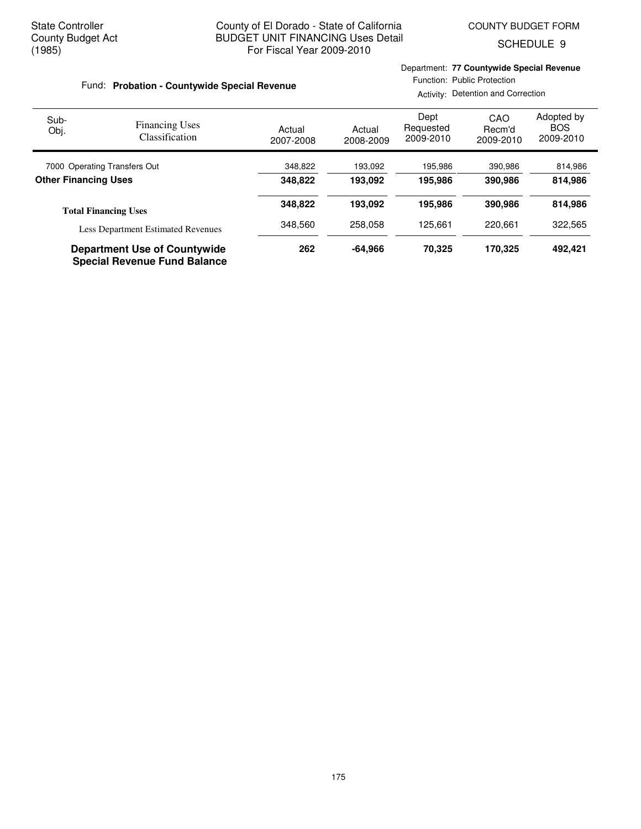Department: **77 Countywide Special Revenue**

SCHEDULE 9

| Fund: Probation - Countywide Special Revenue |                                           |                     |                     | Function: Public Protection<br>Activity: Detention and Correction |                            |                                       |  |
|----------------------------------------------|-------------------------------------------|---------------------|---------------------|-------------------------------------------------------------------|----------------------------|---------------------------------------|--|
| Sub-<br>Obj.                                 | <b>Financing Uses</b><br>Classification   | Actual<br>2007-2008 | Actual<br>2008-2009 | Dept<br>Requested<br>2009-2010                                    | CAO<br>Recm'd<br>2009-2010 | Adopted by<br><b>BOS</b><br>2009-2010 |  |
| 7000 Operating Transfers Out                 |                                           | 348,822             | 193.092             | 195,986                                                           | 390,986                    | 814,986                               |  |
| <b>Other Financing Uses</b>                  |                                           | 348.822             | 193.092             | 195.986                                                           | 390.986                    | 814,986                               |  |
|                                              | <b>Total Financing Uses</b>               | 348.822             | 193.092             | 195.986                                                           | 390,986                    | 814.986                               |  |
|                                              | <b>Less Department Estimated Revenues</b> | 348,560             | 258,058             | 125,661                                                           | 220,661                    | 322,565                               |  |
|                                              | _                                         | $\cdots$            |                     | - - - - -                                                         | $1 - A - A =$              |                                       |  |

**Department Use of Countywide 262 -64,966 70,325 492,421 170,325 Special Revenue Fund Balance**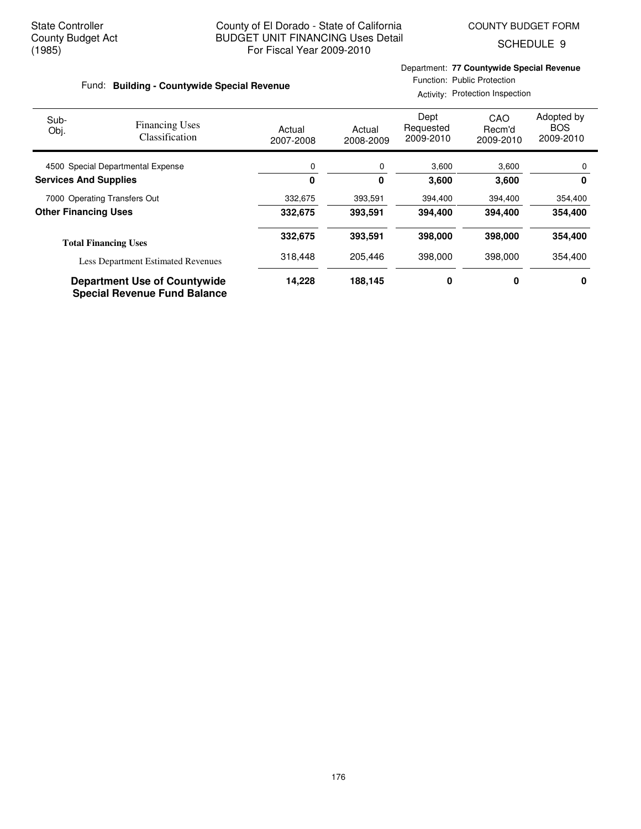SCHEDULE 9

#### Fund: Building - Countywide Special Revenue

#### Department: **77 Countywide Special Revenue** Function: Public Protection

Activity: Protection Inspection

| Sub-<br>Obj.                      | <b>Financing Uses</b><br>Classification                                    | Actual<br>2007-2008 | Actual<br>2008-2009 | Dept<br>Requested<br>2009-2010 | CAO<br>Recm'd<br>2009-2010 | Adopted by<br><b>BOS</b><br>2009-2010 |
|-----------------------------------|----------------------------------------------------------------------------|---------------------|---------------------|--------------------------------|----------------------------|---------------------------------------|
| 4500 Special Departmental Expense |                                                                            | 0                   | 0                   | 3,600                          | 3,600                      | 0                                     |
| <b>Services And Supplies</b>      |                                                                            | 0                   | 0                   | 3,600                          | 3,600                      | 0                                     |
| 7000 Operating Transfers Out      |                                                                            | 332,675             | 393,591             | 394,400                        | 394,400                    | 354,400                               |
| <b>Other Financing Uses</b>       |                                                                            | 332,675             | 393,591             | 394,400                        | 394,400                    | 354,400                               |
|                                   | <b>Total Financing Uses</b>                                                |                     | 393,591             | 398,000                        | 398,000                    | 354,400                               |
|                                   | <b>Less Department Estimated Revenues</b>                                  | 318,448             | 205.446             | 398,000                        | 398,000                    | 354,400                               |
|                                   | <b>Department Use of Countywide</b><br><b>Special Revenue Fund Balance</b> | 14,228              | 188,145             | 0                              | 0                          | 0                                     |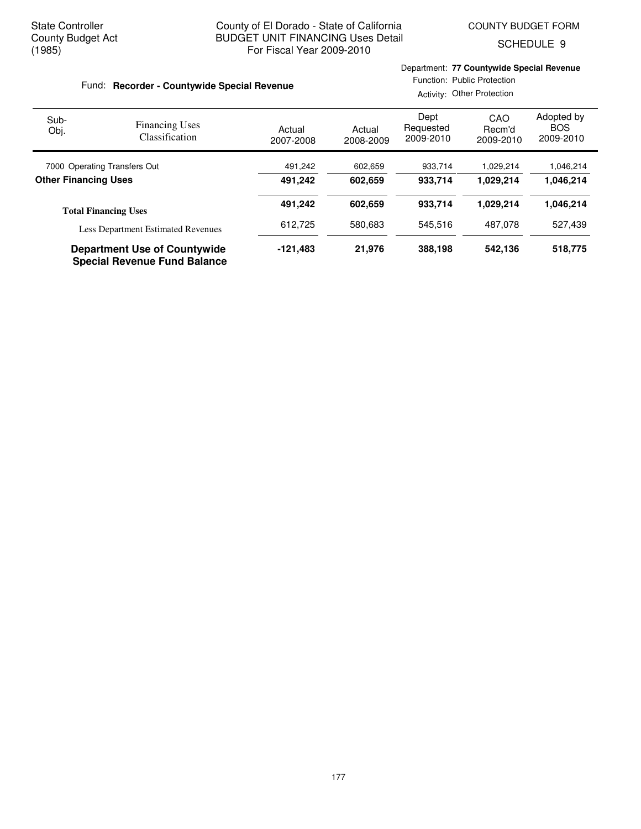Department: **77 Countywide Special Revenue**

SCHEDULE 9

| Fund: Recorder - Countywide Special Revenue |                                                                            |                     | Function: Public Protection<br>Activity: Other Protection |                                |                            |                                       |  |
|---------------------------------------------|----------------------------------------------------------------------------|---------------------|-----------------------------------------------------------|--------------------------------|----------------------------|---------------------------------------|--|
| Sub-<br>Obj.                                | <b>Financing Uses</b><br>Classification                                    | Actual<br>2007-2008 | Actual<br>2008-2009                                       | Dept<br>Requested<br>2009-2010 | CAO<br>Recm'd<br>2009-2010 | Adopted by<br><b>BOS</b><br>2009-2010 |  |
| 7000 Operating Transfers Out                |                                                                            | 491,242             | 602,659                                                   | 933,714                        | 1,029,214                  | 1,046,214                             |  |
|                                             | <b>Other Financing Uses</b><br>491.242<br>602.659                          |                     |                                                           | 933.714                        | 1.029.214                  | 1,046,214                             |  |
|                                             | <b>Total Financing Uses</b>                                                | 491,242             | 602.659                                                   | 933.714                        | 1.029.214                  | 1,046,214                             |  |
|                                             | <b>Less Department Estimated Revenues</b>                                  | 612.725             | 580.683                                                   | 545.516                        | 487.078                    | 527.439                               |  |
|                                             | <b>Department Use of Countywide</b><br><b>Special Revenue Fund Balance</b> | $-121,483$          | 21,976                                                    | 388,198                        | 542,136                    | 518,775                               |  |

177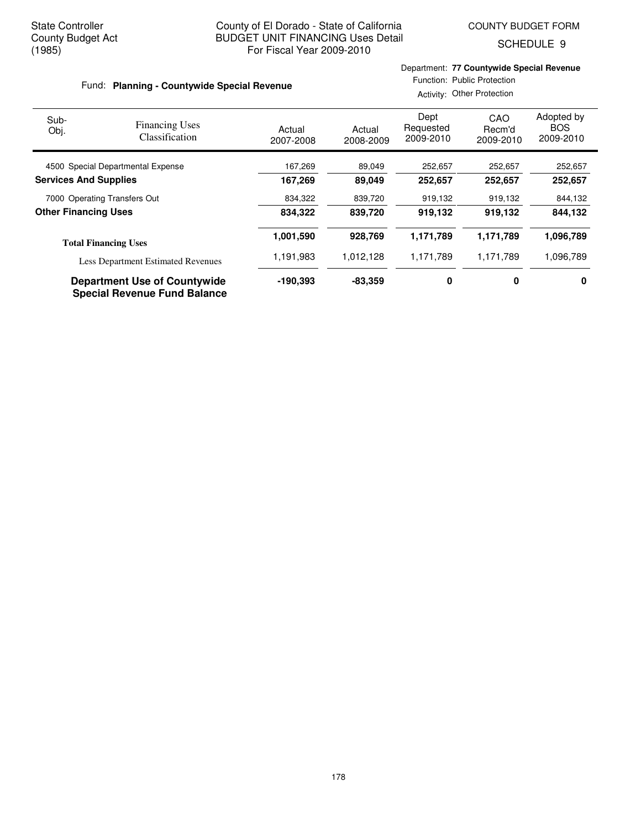SCHEDULE 9

#### Actual 2007-2008 Actual 2008-2009 Dept Requested 2009-2010 Adopted by **BOS**  2009-2010 Fund: Planning - Countywide Special Revenue Sub-Obj. Department: **77 Countywide Special Revenue** Function: Public Protection Activity: Other Protection CAO Recm'd 2009-2010 Financing Uses Classification

| 4500 Special Departmental Expense         | 167,269    | 89,049    | 252,657   | 252,657   | 252,657   |
|-------------------------------------------|------------|-----------|-----------|-----------|-----------|
| <b>Services And Supplies</b>              | 167,269    | 89.049    | 252.657   | 252.657   | 252,657   |
| 7000 Operating Transfers Out              | 834,322    | 839,720   | 919,132   | 919,132   | 844,132   |
| <b>Other Financing Uses</b>               | 834.322    | 839.720   | 919.132   | 919.132   | 844,132   |
| <b>Total Financing Uses</b>               | 1,001,590  | 928.769   | 1.171.789 | 1,171,789 | 1,096,789 |
| <b>Less Department Estimated Revenues</b> | 1,191,983  | 1,012,128 | 1,171,789 | 1,171,789 | 1,096,789 |
| <b>Department Use of Countywide</b>       | $-190.393$ | $-83.359$ | 0         | 0         | 0         |

**Special Revenue Fund Balance**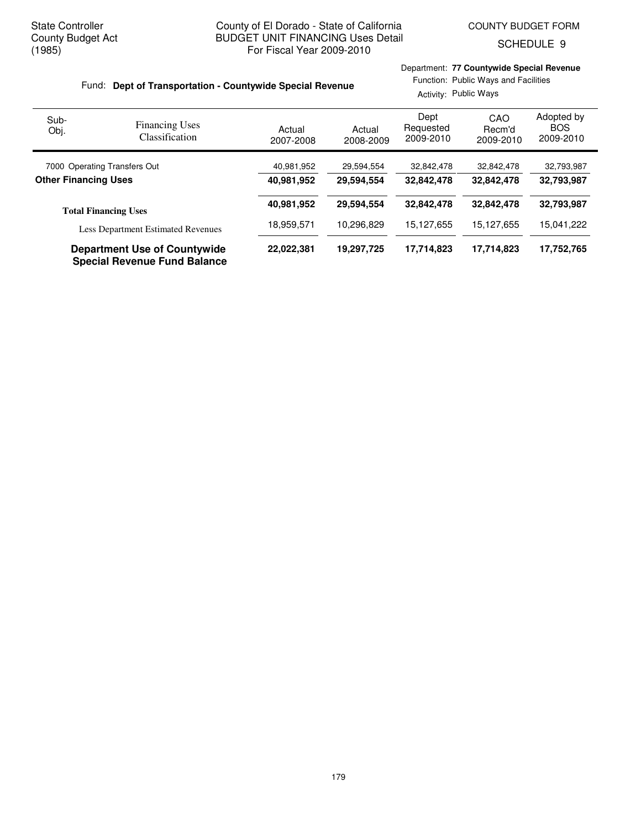SCHEDULE 9

#### Fund: Dept of Transportation - Countywide Special Revenue

Department: **77 Countywide Special Revenue** Function: Public Ways and Facilities

|                              |                                                                            |                     | Activity: Public Ways |                                |                            |                                       |  |  |
|------------------------------|----------------------------------------------------------------------------|---------------------|-----------------------|--------------------------------|----------------------------|---------------------------------------|--|--|
| Sub-<br>Obj.                 | <b>Financing Uses</b><br>Classification                                    | Actual<br>2007-2008 | Actual<br>2008-2009   | Dept<br>Requested<br>2009-2010 | CAO<br>Recm'd<br>2009-2010 | Adopted by<br><b>BOS</b><br>2009-2010 |  |  |
| 7000 Operating Transfers Out |                                                                            | 40,981,952          | 29,594,554            | 32,842,478                     | 32,842,478                 | 32,793,987                            |  |  |
| <b>Other Financing Uses</b>  |                                                                            | 40,981,952          | 29,594,554            | 32.842.478                     | 32,842,478                 | 32,793,987                            |  |  |
|                              | <b>Total Financing Uses</b>                                                | 40,981,952          | 29,594,554            | 32.842.478                     | 32,842,478                 | 32,793,987                            |  |  |
|                              | <b>Less Department Estimated Revenues</b>                                  | 18,959,571          | 10,296,829            | 15,127,655                     | 15,127,655                 | 15,041,222                            |  |  |
|                              | <b>Department Use of Countywide</b><br><b>Special Revenue Fund Balance</b> | 22,022,381          | 19,297,725            | 17,714,823                     | 17,714,823                 | 17,752,765                            |  |  |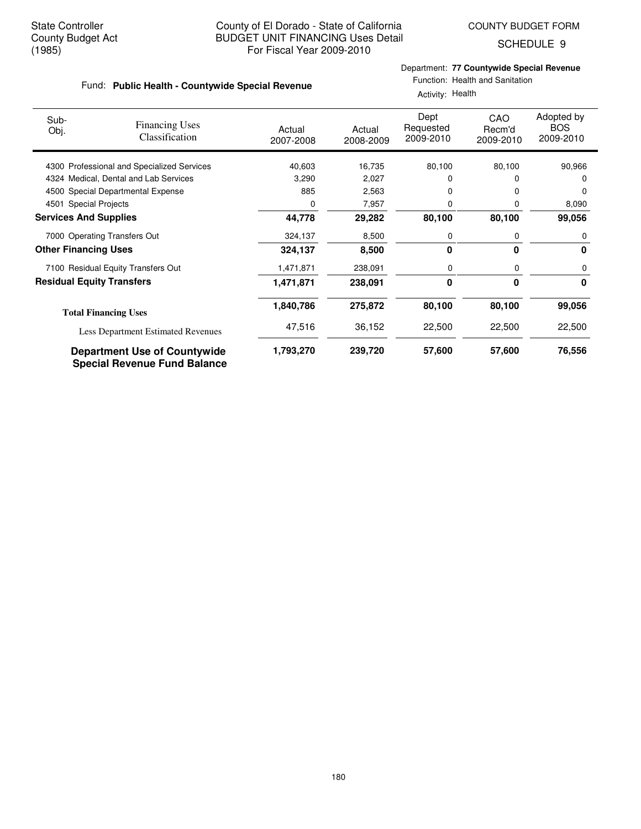SCHEDULE 9

## Department: **77 Countywide Special Revenue**

|  |  |  | Fund: Public Health - Countywide Special Revenue |
|--|--|--|--------------------------------------------------|
|--|--|--|--------------------------------------------------|

# Function: Health and Sanitation

| Sub-<br>Obj.                 | <b>Financing Uses</b><br><b>Classification</b>                             | Actual<br>2007-2008 | Actual<br>2008-2009 | Dept<br>Requested<br>2009-2010 | CAO<br>Recm'd<br>2009-2010 | Adopted by<br><b>BOS</b><br>2009-2010 |
|------------------------------|----------------------------------------------------------------------------|---------------------|---------------------|--------------------------------|----------------------------|---------------------------------------|
|                              | 4300 Professional and Specialized Services                                 | 40,603              | 16,735              | 80,100                         | 80,100                     | 90,966                                |
|                              | 4324 Medical, Dental and Lab Services                                      | 3,290               | 2,027               | 0                              |                            | 0                                     |
|                              | 4500 Special Departmental Expense                                          | 885                 | 2,563               | 0                              |                            | $\Omega$                              |
| 4501                         | <b>Special Projects</b>                                                    | 0                   | 7,957               | 0                              | O                          | 8,090                                 |
| <b>Services And Supplies</b> |                                                                            | 44,778              | 29,282              | 80,100                         | 80,100                     | 99,056                                |
|                              | 7000 Operating Transfers Out                                               | 324,137             | 8,500               | 0                              | 0                          | 0                                     |
| <b>Other Financing Uses</b>  |                                                                            | 324,137             | 8,500               | 0                              | 0                          | 0                                     |
|                              | 7100 Residual Equity Transfers Out                                         | 1,471,871           | 238,091             | 0                              | 0                          | 0                                     |
|                              | <b>Residual Equity Transfers</b>                                           | 1,471,871           | 238,091             | 0                              | $\bf{0}$                   | 0                                     |
|                              | <b>Total Financing Uses</b>                                                | 1,840,786           | 275,872             | 80,100                         | 80,100                     | 99,056                                |
|                              | <b>Less Department Estimated Revenues</b>                                  | 47,516              | 36,152              | 22,500                         | 22,500                     | 22,500                                |
|                              | <b>Department Use of Countywide</b><br><b>Special Revenue Fund Balance</b> | 1,793,270           | 239,720             | 57,600                         | 57,600                     | 76,556                                |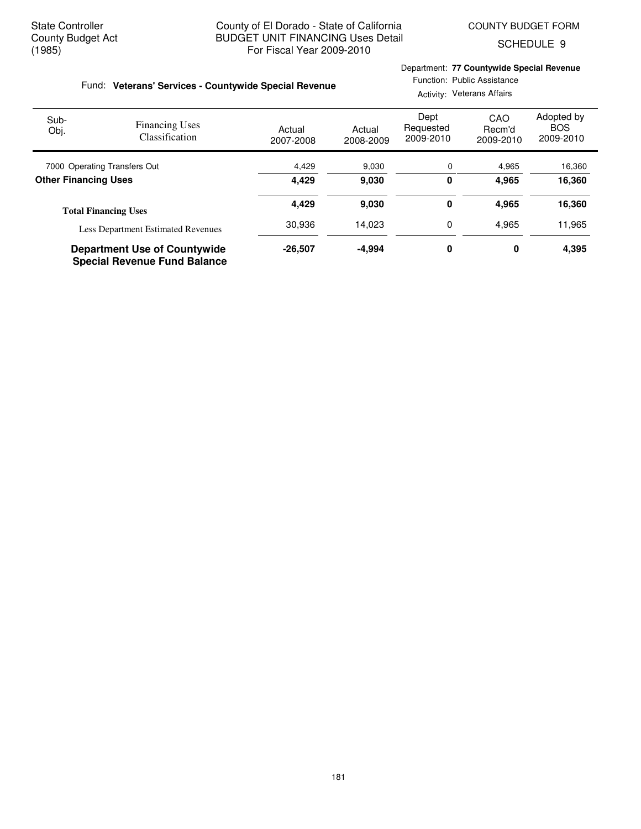SCHEDULE 9

### Fund: Veterans' Services - Countywide Special Revenue

### Department: **77 Countywide Special Revenue**

Function: Public Assistance Activity: Veterans Affairs

| Sub-<br>Obj.                 | <b>Financing Uses</b><br><b>Classification</b> | Actual<br>2007-2008 | Actual<br>2008-2009 | Dept<br>Requested<br>2009-2010 | CAO<br>Recm'd<br>2009-2010 | Adopted by<br><b>BOS</b><br>2009-2010 |
|------------------------------|------------------------------------------------|---------------------|---------------------|--------------------------------|----------------------------|---------------------------------------|
| 7000 Operating Transfers Out |                                                | 4,429               | 9,030               | 0                              | 4,965                      | 16,360                                |
| <b>Other Financing Uses</b>  |                                                | 4,429               | 9,030               | 0                              | 4,965                      | 16,360                                |
|                              | <b>Total Financing Uses</b>                    | 4,429               | 9,030               | 0                              | 4,965                      | 16,360                                |
|                              | <b>Less Department Estimated Revenues</b>      | 30,936              | 14.023              | 0                              | 4,965                      | 11,965                                |
|                              | <b>Department Use of Countywide</b>            | $-26.507$           | $-4.994$            | 0                              | 0                          | 4,395                                 |

**Special Revenue Fund Balance**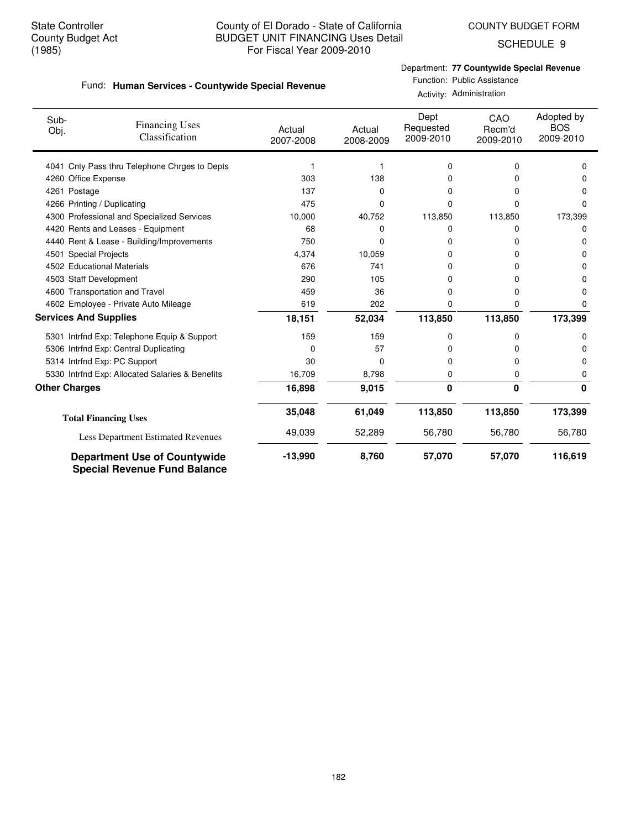SCHEDULE 9

### Department: **77 Countywide Special Revenue**

|  |  |  | Fund: Human Services - Countywide Special Revenue |  |  |
|--|--|--|---------------------------------------------------|--|--|
|--|--|--|---------------------------------------------------|--|--|

## Function: Public Assistance

Activity: Administration

| Sub-<br>Obj.         | <b>Financing Uses</b><br>Classification                                    | Actual<br>2007-2008 | Actual<br>2008-2009 | Dept<br>Requested<br>2009-2010 | CAO<br>Recm'd<br>2009-2010 | Adopted by<br><b>BOS</b><br>2009-2010 |
|----------------------|----------------------------------------------------------------------------|---------------------|---------------------|--------------------------------|----------------------------|---------------------------------------|
|                      | 4041 Cnty Pass thru Telephone Chrges to Depts                              |                     |                     | 0                              | 0                          | $\Omega$                              |
|                      | 4260 Office Expense                                                        | 303                 | 138                 | 0                              | 0                          | 0                                     |
|                      | 4261 Postage                                                               | 137                 | $\Omega$            | 0                              | 0                          | 0                                     |
|                      | 4266 Printing / Duplicating                                                | 475                 | 0                   | 0                              | $\Omega$                   | $\Omega$                              |
|                      | 4300 Professional and Specialized Services                                 | 10,000              | 40,752              | 113,850                        | 113,850                    | 173,399                               |
|                      | 4420 Rents and Leases - Equipment                                          | 68                  | 0                   | 0                              | 0                          | 0                                     |
|                      | 4440 Rent & Lease - Building/Improvements                                  | 750                 | 0                   | 0                              | O                          | 0                                     |
|                      | 4501 Special Projects                                                      | 4,374               | 10,059              | 0                              | O                          | 0                                     |
|                      | 4502 Educational Materials                                                 | 676                 | 741                 | 0                              | n                          | 0                                     |
|                      | 4503 Staff Development                                                     | 290                 | 105                 | 0                              | 0                          | 0                                     |
|                      | 4600 Transportation and Travel                                             | 459                 | 36                  | 0                              | 0                          | $\Omega$                              |
|                      | 4602 Employee - Private Auto Mileage                                       | 619                 | 202                 | 0                              | 0                          | 0                                     |
|                      | <b>Services And Supplies</b>                                               | 18,151              | 52,034              | 113,850                        | 113,850                    | 173,399                               |
|                      | 5301 Intrfnd Exp: Telephone Equip & Support                                | 159                 | 159                 | 0                              | 0                          | 0                                     |
|                      | 5306 Intrfnd Exp: Central Duplicating                                      | 0                   | 57                  | 0                              | 0                          | 0                                     |
|                      | 5314 Intrfnd Exp: PC Support                                               | 30                  | 0                   | 0                              | 0                          | 0                                     |
|                      | 5330 Intrfnd Exp: Allocated Salaries & Benefits                            | 16,709              | 8,798               | 0                              | 0                          | 0                                     |
| <b>Other Charges</b> |                                                                            | 16,898              | 9,015               | 0                              | 0                          | 0                                     |
|                      | <b>Total Financing Uses</b>                                                | 35,048              | 61,049              | 113,850                        | 113,850                    | 173,399                               |
|                      | Less Department Estimated Revenues                                         | 49,039              | 52,289              | 56,780                         | 56,780                     | 56,780                                |
|                      | <b>Department Use of Countywide</b><br><b>Special Revenue Fund Balance</b> | $-13,990$           | 8,760               | 57,070                         | 57,070                     | 116,619                               |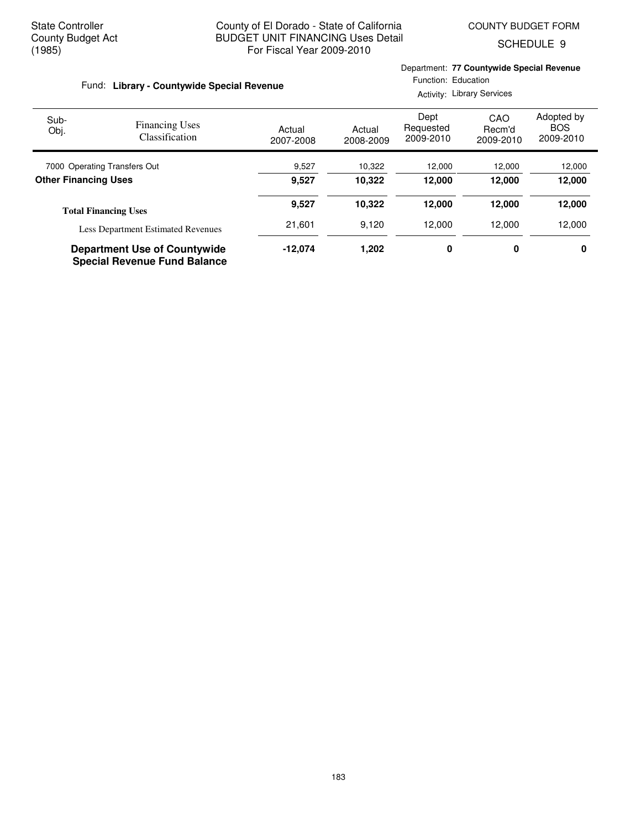Department: **77 Countywide Special Revenue**

SCHEDULE 9

| Fund: Library - Countywide Special Revenue |                                                                            |                     | Function: Education<br><b>Activity: Library Services</b> |                                |                            |                                       |  |
|--------------------------------------------|----------------------------------------------------------------------------|---------------------|----------------------------------------------------------|--------------------------------|----------------------------|---------------------------------------|--|
| Sub-<br>Obj.                               | <b>Financing Uses</b><br>Classification                                    | Actual<br>2007-2008 | Actual<br>2008-2009                                      | Dept<br>Requested<br>2009-2010 | CAO<br>Recm'd<br>2009-2010 | Adopted by<br><b>BOS</b><br>2009-2010 |  |
| 7000 Operating Transfers Out               |                                                                            | 9,527               | 10,322                                                   | 12,000                         | 12,000                     | 12,000                                |  |
| <b>Other Financing Uses</b>                |                                                                            | 9,527               | 10,322                                                   | 12,000                         | 12,000                     | 12,000                                |  |
|                                            | <b>Total Financing Uses</b>                                                | 9,527               | 10,322                                                   | 12,000                         | 12,000                     | 12,000                                |  |
|                                            | <b>Less Department Estimated Revenues</b>                                  | 21,601              | 9,120                                                    | 12,000                         | 12,000                     | 12,000                                |  |
|                                            | <b>Department Use of Countywide</b><br><b>Special Revenue Fund Balance</b> | $-12.074$           | 1,202                                                    | 0                              | 0                          | 0                                     |  |

183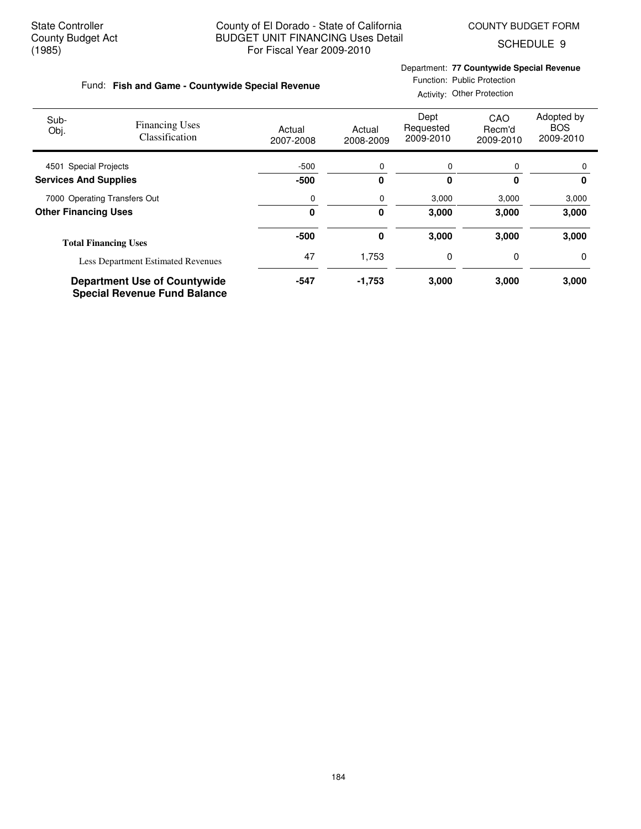**Fish and Game - Countywide Special Revenue** Fund:

SCHEDULE 9

#### Department: **77 Countywide Special Revenue**

#### Function: Public Protection Activity: Other Protection

| Sub-<br>Obj.                 | <b>Financing Uses</b><br>Classification                                    | Actual<br>2007-2008 | Actual<br>2008-2009 | Dept<br>Requested<br>2009-2010 | CAO<br>Recm'd<br>2009-2010 | Adopted by<br><b>BOS</b><br>2009-2010 |
|------------------------------|----------------------------------------------------------------------------|---------------------|---------------------|--------------------------------|----------------------------|---------------------------------------|
| 4501 Special Projects        |                                                                            | $-500$              | 0                   | 0                              | 0                          | 0                                     |
| <b>Services And Supplies</b> |                                                                            | $-500$              | 0                   | 0                              | $\bf{0}$                   | 0                                     |
|                              | 7000 Operating Transfers Out                                               |                     | 0                   | 3,000                          | 3,000                      | 3,000                                 |
| <b>Other Financing Uses</b>  |                                                                            | $\bf{0}$            | 0                   | 3.000                          | 3,000                      | 3,000                                 |
|                              | <b>Total Financing Uses</b>                                                | $-500$              | 0                   | 3,000                          | 3,000                      | 3,000                                 |
|                              | <b>Less Department Estimated Revenues</b>                                  | 47                  | 1,753               | 0                              | 0                          | 0                                     |
|                              | <b>Department Use of Countywide</b><br><b>Special Revenue Fund Balance</b> | $-547$              | $-1,753$            | 3,000                          | 3,000                      | 3,000                                 |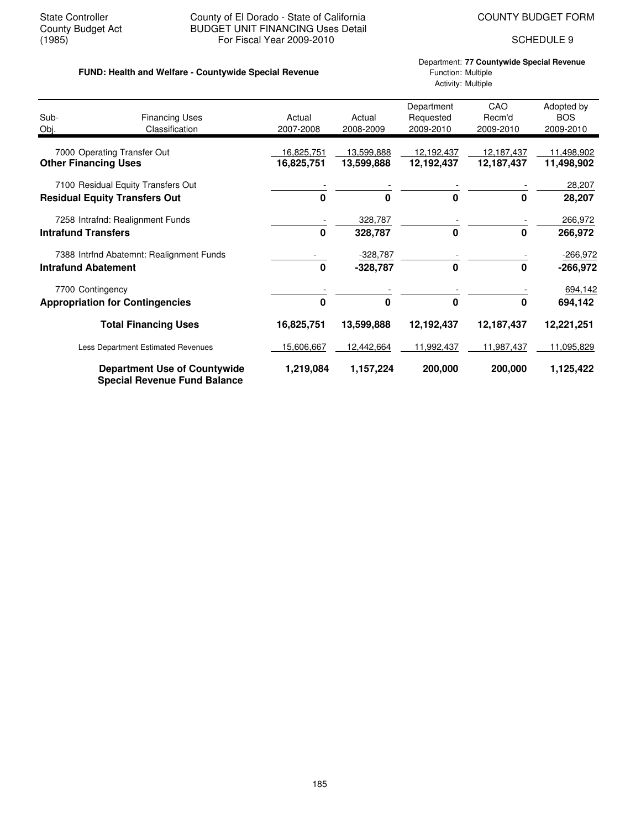#### State Controller **County of El Dorado - State of California** COUNTY BUDGET FORM<br>County Budget Act **COUNTY BUDGET UNIT FINANCING** Uses Detail County Budget Act BUDGET UNIT FINANCING Uses Detail<br>(1985) For Fiscal Year 2009-2010 For Fiscal Year 2009-2010 SCHEDULE 9

#### **FUND: Health and Welfare - Countywide Special Revenue** Function: Multiple

### Department: **77 Countywide Special Revenue** Activity: Multiple

| Sub-<br>Obj.               | <b>Financing Uses</b><br>Classification                                    | Actual<br>2007-2008 | Actual<br>2008-2009 | Department<br>Requested<br>2009-2010 | CAO<br>Recm'd<br>2009-2010 | Adopted by<br><b>BOS</b><br>2009-2010 |
|----------------------------|----------------------------------------------------------------------------|---------------------|---------------------|--------------------------------------|----------------------------|---------------------------------------|
|                            | 7000 Operating Transfer Out                                                | 16,825,751          | 13,599,888          | 12,192,437                           | 12,187,437                 | 11,498,902                            |
|                            | <b>Other Financing Uses</b>                                                | 16,825,751          | 13,599,888          | 12,192,437                           | 12,187,437                 | 11,498,902                            |
|                            | 7100 Residual Equity Transfers Out                                         |                     |                     |                                      |                            | 28,207                                |
|                            | <b>Residual Equity Transfers Out</b>                                       | $\bf{0}$            | 0                   | 0                                    | 0                          | 28,207                                |
|                            | 7258 Intrafnd: Realignment Funds                                           |                     | 328,787             |                                      |                            | 266,972                               |
| <b>Intrafund Transfers</b> |                                                                            | $\bf{0}$            | 328,787             | 0                                    | 0                          | 266,972                               |
|                            | 7388 Intrind Abatemnt: Realignment Funds                                   |                     | $-328,787$          |                                      |                            | $-266,972$                            |
|                            | <b>Intrafund Abatement</b>                                                 | $\bf{0}$            | $-328,787$          | 0                                    | 0                          | $-266,972$                            |
|                            | 7700 Contingency                                                           |                     |                     |                                      |                            | 694,142                               |
|                            | <b>Appropriation for Contingencies</b>                                     | $\bf{0}$            | 0                   | 0                                    | 0                          | 694,142                               |
|                            | <b>Total Financing Uses</b>                                                | 16,825,751          | 13,599,888          | 12,192,437                           | 12,187,437                 | 12,221,251                            |
|                            | Less Department Estimated Revenues                                         | 15,606,667          | 12,442,664          | 11,992,437                           | 11,987,437                 | 11,095,829                            |
|                            | <b>Department Use of Countywide</b><br><b>Special Revenue Fund Balance</b> | 1,219,084           | 1,157,224           | 200,000                              | 200,000                    | 1,125,422                             |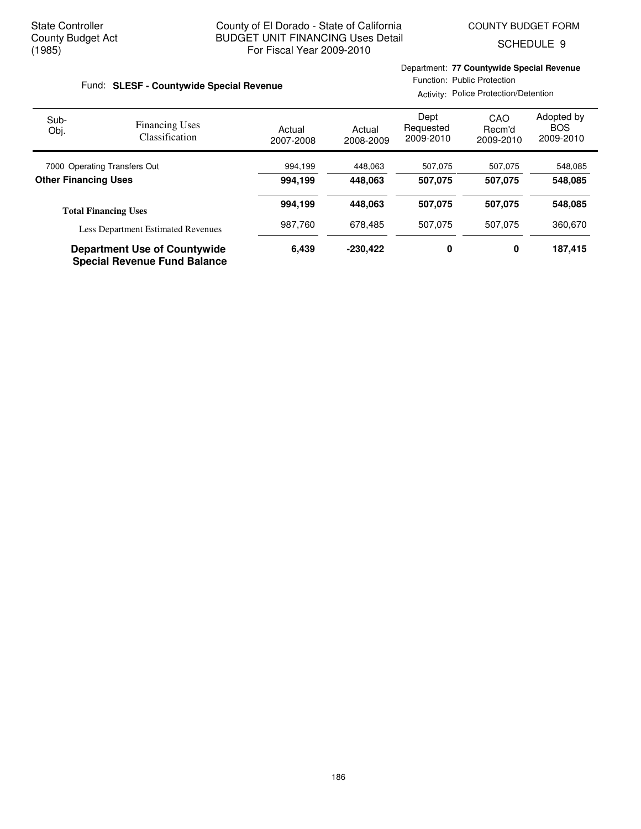Department: **77 Countywide Special Revenue**

SCHEDULE 9

| Fund: SLESF - Countywide Special Revenue |                                                                            |                     | Function: Public Protection<br>Activity: Police Protection/Detention |                                |                            |                                       |  |
|------------------------------------------|----------------------------------------------------------------------------|---------------------|----------------------------------------------------------------------|--------------------------------|----------------------------|---------------------------------------|--|
| Sub-<br>Obj.                             | <b>Financing Uses</b><br><b>Classification</b>                             | Actual<br>2007-2008 | Actual<br>2008-2009                                                  | Dept<br>Requested<br>2009-2010 | CAO<br>Recm'd<br>2009-2010 | Adopted by<br><b>BOS</b><br>2009-2010 |  |
| 7000 Operating Transfers Out             |                                                                            | 994,199             | 448,063                                                              | 507,075                        | 507,075                    | 548,085                               |  |
| <b>Other Financing Uses</b>              |                                                                            | 994.199             | 448.063                                                              | 507.075                        | 507.075                    | 548.085                               |  |
|                                          | <b>Total Financing Uses</b>                                                | 994,199             | 448,063                                                              | 507,075                        | 507,075                    | 548,085                               |  |
|                                          | <b>Less Department Estimated Revenues</b>                                  | 987,760             | 678,485                                                              | 507.075                        | 507.075                    | 360,670                               |  |
|                                          | <b>Department Use of Countywide</b><br><b>Special Revenue Fund Balance</b> | 6.439               | $-230.422$                                                           | 0                              | 0                          | 187,415                               |  |

186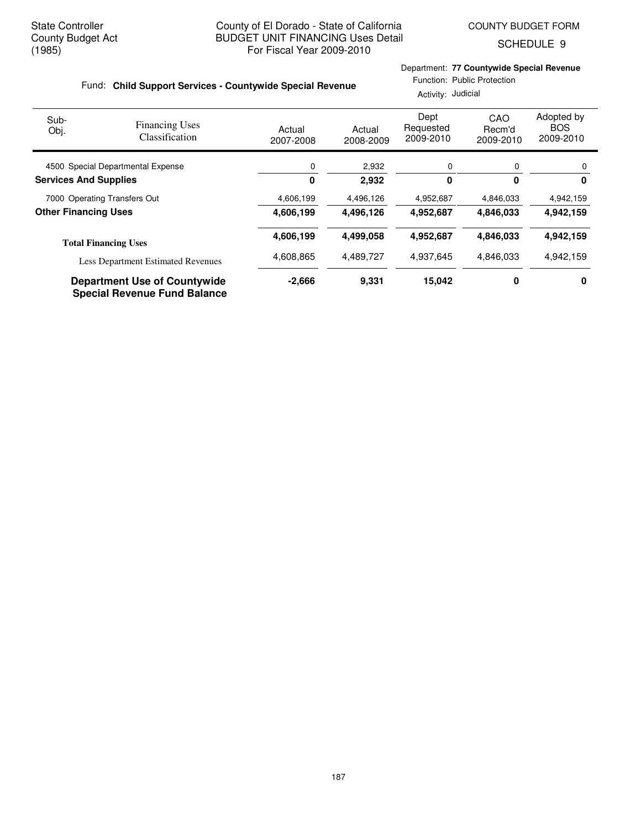SCHEDULE 9

#### Fund: Child Support Services - Countywide Special Revenue

### Department: **77 Countywide Special Revenue**

Function: Public Protection Activity: Judicial

| Sub-<br>Obj.                                                | <b>Financing Uses</b><br>Classification                                    | Actual<br>2007-2008 | Actual<br>2008-2009 | Dept<br>Requested<br>2009-2010 | CAO<br>Recm'd<br>2009-2010 | Adopted by<br><b>BOS</b><br>2009-2010 |
|-------------------------------------------------------------|----------------------------------------------------------------------------|---------------------|---------------------|--------------------------------|----------------------------|---------------------------------------|
| 4500 Special Departmental Expense                           |                                                                            | 0                   | 2,932               | 0                              | 0                          | 0                                     |
| <b>Services And Supplies</b>                                |                                                                            | 0                   | 2,932               | 0                              | $\bf{0}$                   | 0                                     |
| 7000 Operating Transfers Out<br><b>Other Financing Uses</b> |                                                                            | 4,606,199           | 4,496,126           | 4,952,687                      | 4,846,033                  | 4,942,159                             |
|                                                             |                                                                            | 4,606,199           | 4,496,126           | 4,952,687                      | 4,846,033                  | 4,942,159                             |
| <b>Total Financing Uses</b>                                 |                                                                            | 4,606,199           | 4,499,058           | 4,952,687                      | 4,846,033                  | 4,942,159                             |
| <b>Less Department Estimated Revenues</b>                   | 4,608,865                                                                  | 4,489,727           | 4,937,645           | 4,846,033                      | 4,942,159                  |                                       |
|                                                             | <b>Department Use of Countywide</b><br><b>Special Revenue Fund Balance</b> | $-2,666$            | 9.331               | 15,042                         | 0                          | 0                                     |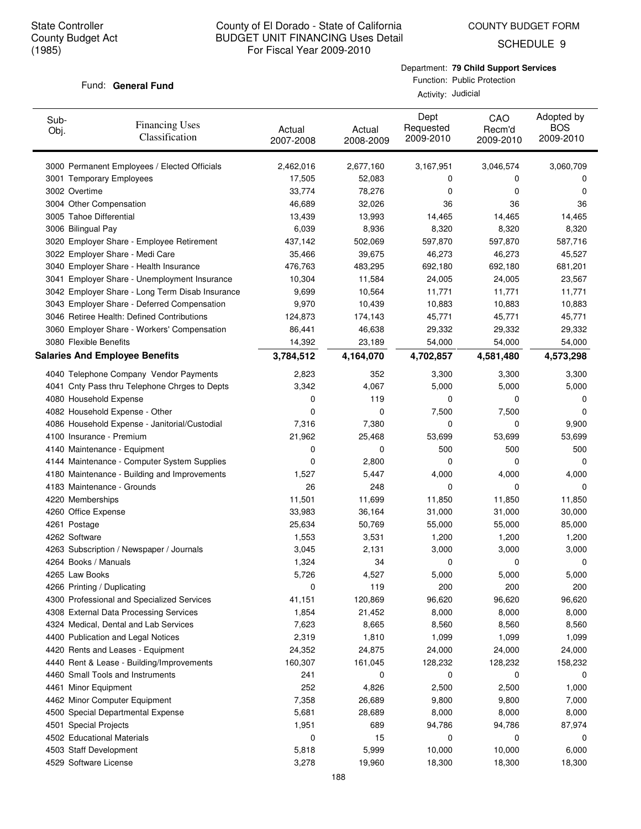Fund: General Fund

#### County of El Dorado - State of California BUDGET UNIT FINANCING Uses Detail For Fiscal Year 2009-2010

COUNTY BUDGET FORM

SCHEDULE 9

Function: Public Protection Activity: Judicial

Department: **79 Child Support Services**

| Sub-<br>Obj.        | <b>Financing Uses</b><br>Classification         | Actual<br>2007-2008 | Actual<br>2008-2009 | Dept<br>Requested<br>2009-2010 | CAO<br>Recm'd<br>2009-2010 | Adopted by<br><b>BOS</b><br>2009-2010 |
|---------------------|-------------------------------------------------|---------------------|---------------------|--------------------------------|----------------------------|---------------------------------------|
|                     | 3000 Permanent Employees / Elected Officials    | 2,462,016           | 2,677,160           | 3,167,951                      | 3,046,574                  | 3,060,709                             |
|                     | 3001 Temporary Employees                        | 17,505              | 52,083              | 0                              | 0                          | 0                                     |
| 3002 Overtime       |                                                 | 33,774              | 78,276              | 0                              | 0                          | 0                                     |
|                     | 3004 Other Compensation                         | 46,689              | 32,026              | 36                             | 36                         | 36                                    |
|                     | 3005 Tahoe Differential                         | 13,439              | 13,993              | 14,465                         | 14,465                     | 14,465                                |
| 3006 Bilingual Pay  |                                                 | 6,039               | 8,936               | 8,320                          | 8,320                      | 8,320                                 |
|                     | 3020 Employer Share - Employee Retirement       | 437,142             | 502,069             | 597,870                        | 597,870                    | 587,716                               |
|                     | 3022 Employer Share - Medi Care                 | 35,466              | 39,675              | 46,273                         | 46,273                     | 45,527                                |
|                     | 3040 Employer Share - Health Insurance          | 476,763             | 483,295             | 692,180                        | 692,180                    | 681,201                               |
|                     | 3041 Employer Share - Unemployment Insurance    | 10,304              | 11,584              | 24,005                         | 24,005                     | 23,567                                |
|                     | 3042 Employer Share - Long Term Disab Insurance | 9,699               | 10,564              | 11,771                         | 11,771                     | 11,771                                |
|                     | 3043 Employer Share - Deferred Compensation     | 9,970               | 10,439              | 10,883                         | 10,883                     | 10,883                                |
|                     | 3046 Retiree Health: Defined Contributions      | 124,873             | 174,143             | 45,771                         | 45,771                     | 45,771                                |
|                     | 3060 Employer Share - Workers' Compensation     | 86,441              | 46,638              | 29,332                         | 29,332                     | 29,332                                |
|                     | 3080 Flexible Benefits                          | 14,392              | 23,189              | 54,000                         | 54,000                     | 54,000                                |
|                     | <b>Salaries And Employee Benefits</b>           | 3,784,512           | 4,164,070           | 4,702,857                      | 4,581,480                  | 4,573,298                             |
|                     | 4040 Telephone Company Vendor Payments          | 2,823               | 352                 | 3,300                          | 3,300                      | 3,300                                 |
|                     | 4041 Cnty Pass thru Telephone Chrges to Depts   | 3,342               | 4,067               | 5,000                          | 5,000                      | 5,000                                 |
|                     | 4080 Household Expense                          | 0                   | 119                 | 0                              | 0                          | 0                                     |
|                     | 4082 Household Expense - Other                  | 0                   | 0                   | 7,500                          | 7,500                      | 0                                     |
|                     | 4086 Household Expense - Janitorial/Custodial   | 7,316               | 7,380               | 0                              | 0                          | 9,900                                 |
|                     | 4100 Insurance - Premium                        | 21,962              | 25,468              | 53,699                         | 53,699                     | 53,699                                |
|                     | 4140 Maintenance - Equipment                    | 0                   | 0                   | 500                            | 500                        | 500                                   |
|                     | 4144 Maintenance - Computer System Supplies     | 0                   | 2,800               | 0                              | 0                          | 0                                     |
|                     | 4180 Maintenance - Building and Improvements    | 1,527               | 5,447               | 4,000                          | 4,000                      | 4,000                                 |
|                     | 4183 Maintenance - Grounds                      | 26                  | 248                 | 0                              | 0                          | 0                                     |
| 4220 Memberships    |                                                 | 11,501              | 11,699              | 11,850                         | 11,850                     | 11,850                                |
| 4260 Office Expense |                                                 | 33,983              | 36,164              | 31,000                         | 31,000                     | 30,000                                |
| 4261 Postage        |                                                 | 25,634              | 50,769              | 55,000                         | 55,000                     | 85,000                                |
| 4262 Software       |                                                 | 1,553               | 3,531               | 1,200                          | 1,200                      | 1,200                                 |
|                     | 4263 Subscription / Newspaper / Journals        | 3,045               | 2,131               | 3,000                          | 3,000                      | 3,000                                 |
|                     | 4264 Books / Manuals                            | 1,324               | 34                  | 0                              | 0                          | 0                                     |
| 4265 Law Books      |                                                 | 5,726               | 4,527               | 5,000                          | 5,000                      | 5,000                                 |
|                     | 4266 Printing / Duplicating                     | 0                   | 119                 | 200                            | 200                        | 200                                   |
|                     | 4300 Professional and Specialized Services      | 41,151              | 120,869             | 96,620                         | 96,620                     | 96,620                                |
|                     | 4308 External Data Processing Services          | 1,854               | 21,452              | 8,000                          | 8,000                      | 8,000                                 |
|                     | 4324 Medical, Dental and Lab Services           | 7,623               | 8,665               | 8,560                          | 8,560                      | 8,560                                 |
|                     | 4400 Publication and Legal Notices              | 2,319               | 1,810               | 1,099                          | 1,099                      | 1,099                                 |
|                     | 4420 Rents and Leases - Equipment               | 24,352              | 24,875              | 24,000                         | 24,000                     | 24,000                                |
|                     | 4440 Rent & Lease - Building/Improvements       | 160,307             | 161,045             | 128,232                        | 128,232                    | 158,232                               |
|                     | 4460 Small Tools and Instruments                | 241                 | 0                   | 0                              | 0                          | 0                                     |
|                     | 4461 Minor Equipment                            | 252                 | 4,826               | 2,500                          | 2,500                      | 1,000                                 |
|                     | 4462 Minor Computer Equipment                   | 7,358               | 26,689              | 9,800                          | 9,800                      | 7,000                                 |
|                     | 4500 Special Departmental Expense               | 5,681               | 28,689              | 8,000                          | 8,000                      | 8,000                                 |
|                     | 4501 Special Projects                           | 1,951               | 689                 | 94,786                         | 94,786                     | 87,974                                |
|                     | 4502 Educational Materials                      | 0                   | 15                  | 0                              | 0                          | 0                                     |
|                     | 4503 Staff Development                          | 5,818               | 5,999               | 10,000                         | 10,000                     | 6,000                                 |
|                     | 4529 Software License                           | 3,278               | 19,960              | 18,300                         | 18,300                     | 18,300                                |
|                     |                                                 |                     |                     |                                |                            |                                       |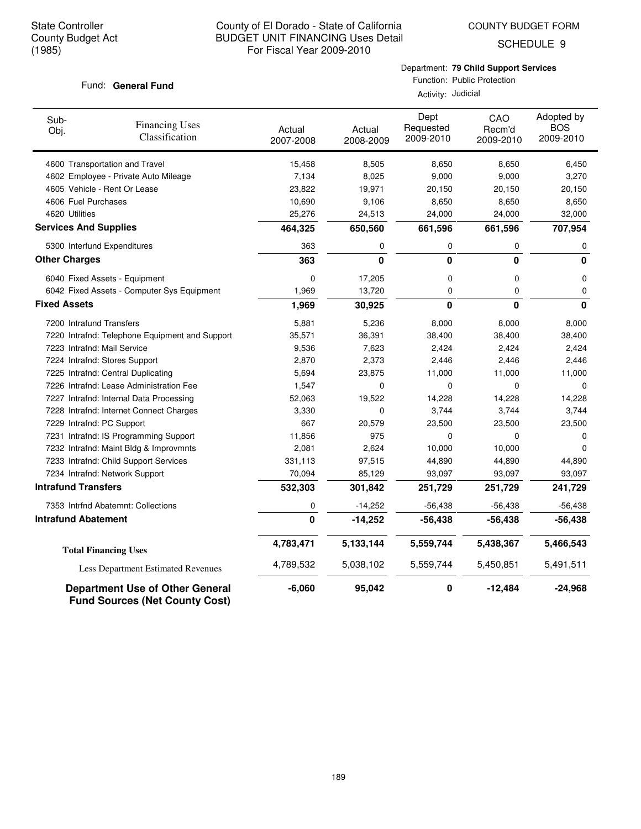COUNTY BUDGET FORM

SCHEDULE 9

#### Fund: General Fund

Department: **79 Child Support Services**

Function: Public Protection Activity: Judicial

| Sub-<br>Obj.                 | <b>Financing Uses</b><br>Classification                                         | Actual<br>2007-2008 | Actual<br>2008-2009 | Dept<br>Requested<br>2009-2010 | CAO<br>Recm'd<br>2009-2010 | Adopted by<br><b>BOS</b><br>2009-2010 |
|------------------------------|---------------------------------------------------------------------------------|---------------------|---------------------|--------------------------------|----------------------------|---------------------------------------|
|                              | 4600 Transportation and Travel                                                  | 15,458              | 8,505               | 8,650                          | 8,650                      | 6,450                                 |
|                              | 4602 Employee - Private Auto Mileage                                            | 7,134               | 8,025               | 9,000                          | 9,000                      | 3,270                                 |
|                              | 4605 Vehicle - Rent Or Lease                                                    | 23,822              | 19,971              | 20,150                         | 20,150                     | 20,150                                |
| 4606 Fuel Purchases          |                                                                                 | 10,690              | 9,106               | 8,650                          | 8,650                      | 8,650                                 |
| 4620 Utilities               |                                                                                 | 25,276              | 24,513              | 24,000                         | 24,000                     | 32,000                                |
| <b>Services And Supplies</b> |                                                                                 | 464,325             | 650,560             | 661,596                        | 661,596                    | 707,954                               |
| 5300 Interfund Expenditures  |                                                                                 | 363                 | 0                   | 0                              | 0                          | 0                                     |
| <b>Other Charges</b>         |                                                                                 | 363                 | 0                   | 0                              | 0                          | 0                                     |
|                              | 6040 Fixed Assets - Equipment                                                   | 0                   | 17,205              | 0                              | $\mathbf 0$                | 0                                     |
|                              | 6042 Fixed Assets - Computer Sys Equipment                                      | 1,969               | 13,720              | 0                              | 0                          | 0                                     |
| <b>Fixed Assets</b>          |                                                                                 |                     | 30,925              | 0                              | $\bf{0}$                   | 0                                     |
| 7200 Intrafund Transfers     |                                                                                 | 5,881               | 5,236               | 8,000                          | 8,000                      | 8,000                                 |
|                              | 7220 Intrafnd: Telephone Equipment and Support                                  | 35,571              | 36,391              | 38,400                         | 38,400                     | 38,400                                |
|                              | 7223 Intrafnd: Mail Service                                                     | 9,536               | 7,623               | 2,424                          | 2,424                      | 2,424                                 |
|                              | 7224 Intrafnd: Stores Support                                                   | 2,870               | 2,373               | 2,446                          | 2,446                      | 2,446                                 |
|                              | 7225 Intrafnd: Central Duplicating                                              | 5,694               | 23,875              | 11,000                         | 11,000                     | 11,000                                |
|                              | 7226 Intrafnd: Lease Administration Fee                                         | 1,547               | 0                   | 0                              | $\mathbf 0$                | $\Omega$                              |
|                              | 7227 Intrafnd: Internal Data Processing                                         | 52,063              | 19,522              | 14,228                         | 14,228                     | 14,228                                |
|                              | 7228 Intrafnd: Internet Connect Charges                                         | 3,330               | 0                   | 3,744                          | 3,744                      | 3,744                                 |
|                              | 7229 Intrafnd: PC Support                                                       | 667                 | 20,579              | 23,500                         | 23,500                     | 23,500                                |
|                              | 7231 Intrafnd: IS Programming Support                                           | 11,856              | 975                 | 0                              | $\Omega$                   | 0                                     |
|                              | 7232 Intrafnd: Maint Bldg & Improvmnts                                          | 2,081               | 2,624               | 10,000                         | 10,000                     | $\Omega$                              |
|                              | 7233 Intrafnd: Child Support Services                                           | 331,113             | 97,515              | 44,890                         | 44,890                     | 44,890                                |
|                              | 7234 Intrafnd: Network Support                                                  | 70,094              | 85,129              | 93,097                         | 93,097                     | 93,097                                |
| <b>Intrafund Transfers</b>   |                                                                                 | 532,303             | 301,842             | 251,729                        | 251,729                    | 241,729                               |
|                              | 7353 Intrfnd Abatemnt: Collections                                              | 0                   | $-14,252$           | $-56,438$                      | $-56,438$                  | $-56,438$                             |
| <b>Intrafund Abatement</b>   |                                                                                 | 0                   | $-14,252$           | $-56,438$                      | $-56,438$                  | $-56,438$                             |
|                              | <b>Total Financing Uses</b>                                                     | 4,783,471           | 5,133,144           | 5,559,744                      | 5,438,367                  | 5,466,543                             |
|                              | Less Department Estimated Revenues                                              | 4,789,532           | 5,038,102           | 5,559,744                      | 5,450,851                  | 5,491,511                             |
|                              | <b>Department Use of Other General</b><br><b>Fund Sources (Net County Cost)</b> | $-6,060$            | 95,042              | 0                              | $-12,484$                  | $-24,968$                             |